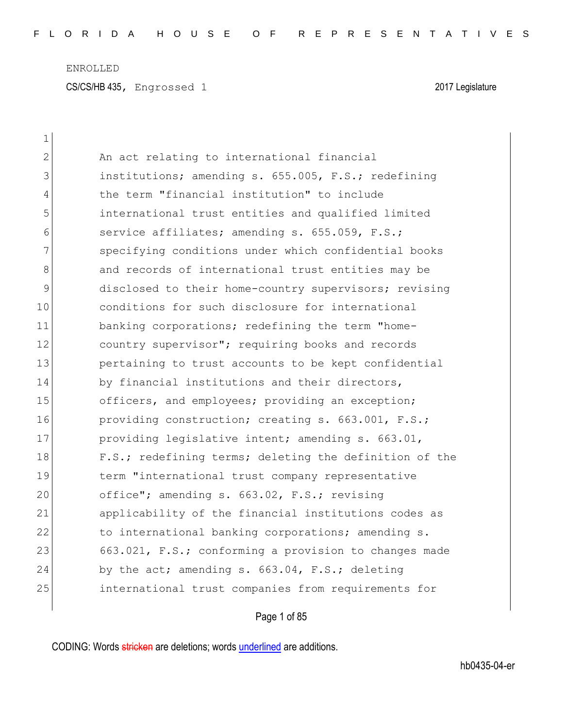| 1             |                                                        |
|---------------|--------------------------------------------------------|
| $\mathbf{2}$  | An act relating to international financial             |
| 3             | institutions; amending s. 655.005, F.S.; redefining    |
| 4             | the term "financial institution" to include            |
| 5             | international trust entities and qualified limited     |
| 6             | service affiliates; amending s. 655.059, F.S.;         |
| 7             | specifying conditions under which confidential books   |
| 8             | and records of international trust entities may be     |
| $\mathcal{G}$ | disclosed to their home-country supervisors; revising  |
| 10            | conditions for such disclosure for international       |
| 11            | banking corporations; redefining the term "home-       |
| 12            | country supervisor"; requiring books and records       |
| 13            | pertaining to trust accounts to be kept confidential   |
| 14            | by financial institutions and their directors,         |
| 15            | officers, and employees; providing an exception;       |
| 16            | providing construction; creating s. 663.001, F.S.;     |
| 17            | providing legislative intent; amending s. 663.01,      |
| 18            | F.S.; redefining terms; deleting the definition of the |
| 19            | term "international trust company representative       |
| 20            | office"; amending s. 663.02, F.S.; revising            |
| 21            | applicability of the financial institutions codes as   |
| 22            | to international banking corporations; amending s.     |
| 23            | 663.021, F.S.; conforming a provision to changes made  |
| 24            | by the act; amending s. 663.04, F.S.; deleting         |
| 25            | international trust companies from requirements for    |
|               |                                                        |

Page 1 of 85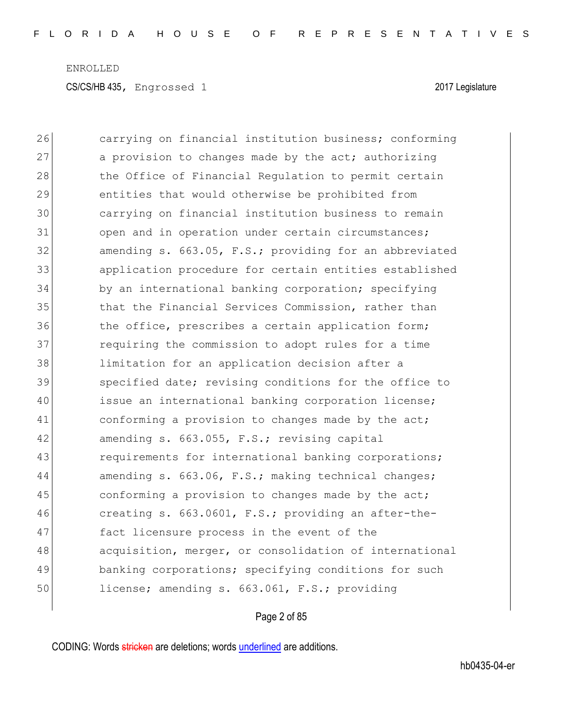| 26 | carrying on financial institution business; conforming |
|----|--------------------------------------------------------|
| 27 | a provision to changes made by the act; authorizing    |
| 28 | the Office of Financial Regulation to permit certain   |
| 29 | entities that would otherwise be prohibited from       |
| 30 | carrying on financial institution business to remain   |
| 31 | open and in operation under certain circumstances;     |
| 32 | amending s. 663.05, F.S.; providing for an abbreviated |
| 33 | application procedure for certain entities established |
| 34 | by an international banking corporation; specifying    |
| 35 | that the Financial Services Commission, rather than    |
| 36 | the office, prescribes a certain application form;     |
| 37 | requiring the commission to adopt rules for a time     |
| 38 | limitation for an application decision after a         |
| 39 | specified date; revising conditions for the office to  |
| 40 | issue an international banking corporation license;    |
| 41 | conforming a provision to changes made by the act;     |
| 42 | amending s. 663.055, F.S.; revising capital            |
| 43 | requirements for international banking corporations;   |
| 44 | amending s. 663.06, F.S.; making technical changes;    |
| 45 | conforming a provision to changes made by the act;     |
| 46 | creating s. 663.0601, F.S.; providing an after-the-    |
| 47 | fact licensure process in the event of the             |
| 48 | acquisition, merger, or consolidation of international |
| 49 | banking corporations; specifying conditions for such   |
| 50 | license; amending s. 663.061, F.S.; providing          |
|    |                                                        |

## Page 2 of 85

CODING: Words stricken are deletions; words underlined are additions.

 $\overline{\phantom{a}}$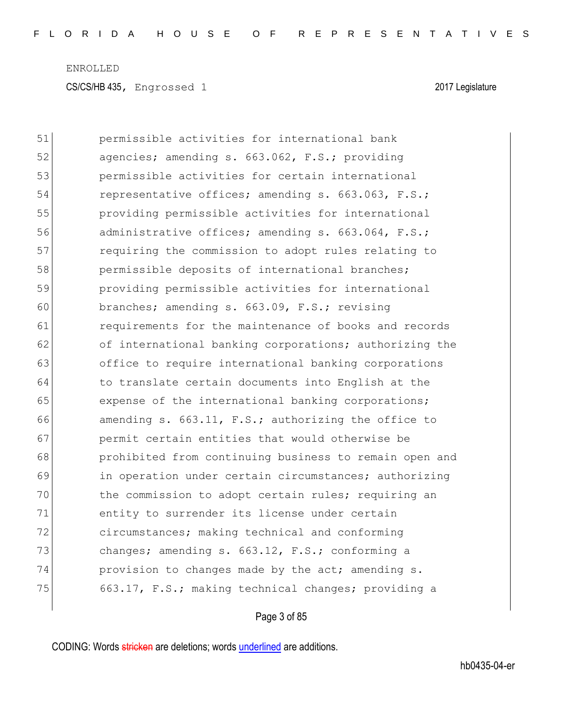CS/CS/HB 435, Engrossed 1 2017 Legislature

| 51 | permissible activities for international bank          |
|----|--------------------------------------------------------|
| 52 | agencies; amending s. 663.062, F.S.; providing         |
| 53 | permissible activities for certain international       |
| 54 | representative offices; amending s. 663.063, F.S.;     |
| 55 | providing permissible activities for international     |
| 56 | administrative offices; amending s. 663.064, F.S.;     |
| 57 | requiring the commission to adopt rules relating to    |
| 58 | permissible deposits of international branches;        |
| 59 | providing permissible activities for international     |
| 60 | branches; amending s. 663.09, F.S.; revising           |
| 61 | requirements for the maintenance of books and records  |
| 62 | of international banking corporations; authorizing the |
| 63 | office to require international banking corporations   |
| 64 | to translate certain documents into English at the     |
| 65 | expense of the international banking corporations;     |
| 66 | amending s. 663.11, F.S.; authorizing the office to    |
| 67 | permit certain entities that would otherwise be        |
| 68 | prohibited from continuing business to remain open and |
| 69 | in operation under certain circumstances; authorizing  |
| 70 | the commission to adopt certain rules; requiring an    |
| 71 | entity to surrender its license under certain          |
| 72 | circumstances; making technical and conforming         |
| 73 | changes; amending s. 663.12, F.S.; conforming a        |
| 74 | provision to changes made by the act; amending s.      |
| 75 | 663.17, F.S.; making technical changes; providing a    |
|    |                                                        |

## Page 3 of 85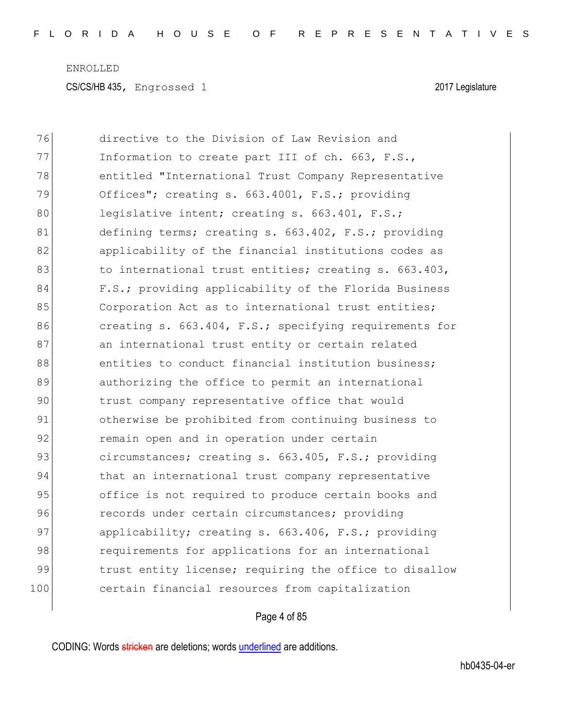| 76  | directive to the Division of Law Revision and          |
|-----|--------------------------------------------------------|
| 77  | Information to create part III of ch. 663, F.S.,       |
| 78  | entitled "International Trust Company Representative   |
| 79  | Offices"; creating s. 663.4001, F.S.; providing        |
| 80  | legislative intent; creating s. 663.401, F.S.;         |
| 81  | defining terms; creating s. 663.402, F.S.; providing   |
| 82  | applicability of the financial institutions codes as   |
| 83  | to international trust entities; creating s. 663.403,  |
| 84  | F.S.; providing applicability of the Florida Business  |
| 85  | Corporation Act as to international trust entities;    |
| 86  | creating s. 663.404, F.S.; specifying requirements for |
| 87  | an international trust entity or certain related       |
| 88  | entities to conduct financial institution business;    |
| 89  | authorizing the office to permit an international      |
| 90  | trust company representative office that would         |
| 91  | otherwise be prohibited from continuing business to    |
| 92  | remain open and in operation under certain             |
| 93  | circumstances; creating s. 663.405, F.S.; providing    |
| 94  | that an international trust company representative     |
| 95  | office is not required to produce certain books and    |
| 96  | records under certain circumstances; providing         |
| 97  | applicability; creating s. 663.406, F.S.; providing    |
| 98  | requirements for applications for an international     |
| 99  | trust entity license; requiring the office to disallow |
| 100 | certain financial resources from capitalization        |

## Page 4 of 85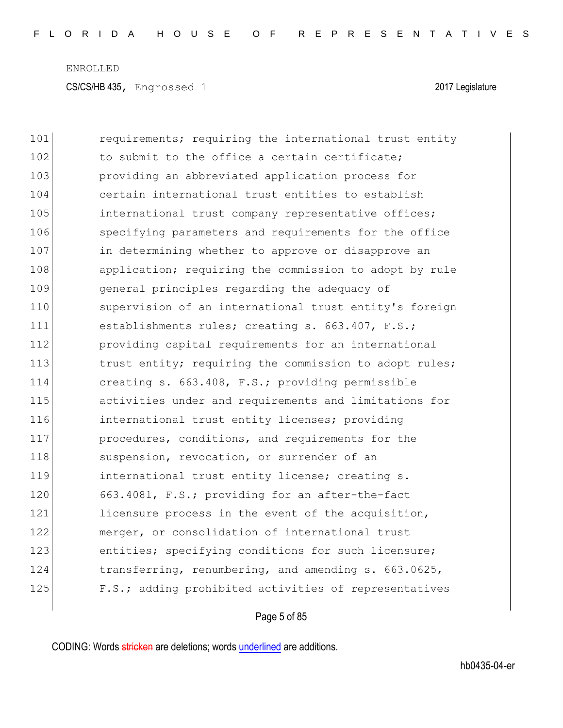| 101 | requirements; requiring the international trust entity |
|-----|--------------------------------------------------------|
| 102 | to submit to the office a certain certificate;         |
| 103 | providing an abbreviated application process for       |
| 104 | certain international trust entities to establish      |
| 105 | international trust company representative offices;    |
| 106 | specifying parameters and requirements for the office  |
| 107 | in determining whether to approve or disapprove an     |
| 108 | application; requiring the commission to adopt by rule |
| 109 | general principles regarding the adequacy of           |
| 110 | supervision of an international trust entity's foreign |
| 111 | establishments rules; creating s. 663.407, F.S.;       |
| 112 | providing capital requirements for an international    |
| 113 | trust entity; requiring the commission to adopt rules; |
| 114 | creating s. 663.408, F.S.; providing permissible       |
| 115 | activities under and requirements and limitations for  |
| 116 | international trust entity licenses; providing         |
| 117 | procedures, conditions, and requirements for the       |
| 118 | suspension, revocation, or surrender of an             |
| 119 | international trust entity license; creating s.        |
| 120 | 663.4081, F.S.; providing for an after-the-fact        |
| 121 | licensure process in the event of the acquisition,     |
| 122 | merger, or consolidation of international trust        |
| 123 | entities; specifying conditions for such licensure;    |
| 124 | transferring, renumbering, and amending s. 663.0625,   |
| 125 | F.S.; adding prohibited activities of representatives  |
|     |                                                        |

## Page 5 of 85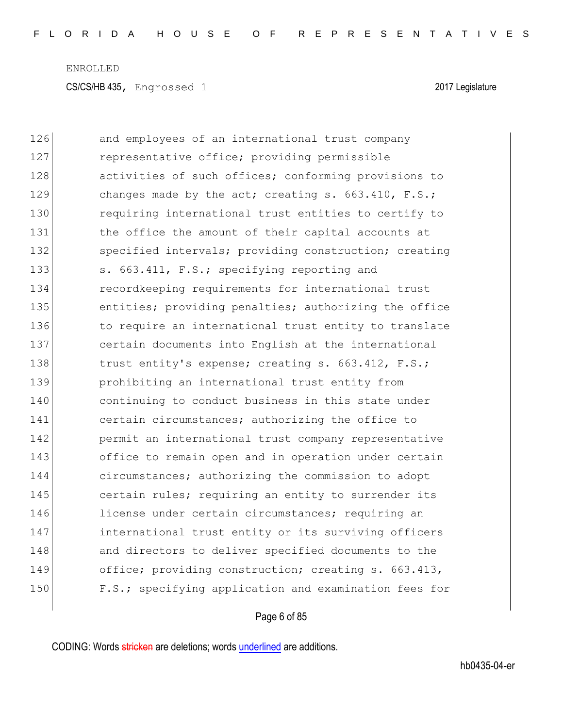| 126 | and employees of an international trust company       |
|-----|-------------------------------------------------------|
| 127 | representative office; providing permissible          |
| 128 | activities of such offices; conforming provisions to  |
| 129 | changes made by the act; creating s. 663.410, F.S.;   |
| 130 | requiring international trust entities to certify to  |
| 131 | the office the amount of their capital accounts at    |
| 132 | specified intervals; providing construction; creating |
| 133 | s. 663.411, F.S.; specifying reporting and            |
| 134 | recordkeeping requirements for international trust    |
| 135 | entities; providing penalties; authorizing the office |
| 136 | to require an international trust entity to translate |
| 137 | certain documents into English at the international   |
| 138 | trust entity's expense; creating s. 663.412, F.S.;    |
| 139 | prohibiting an international trust entity from        |
| 140 | continuing to conduct business in this state under    |
| 141 | certain circumstances; authorizing the office to      |
| 142 | permit an international trust company representative  |
| 143 | office to remain open and in operation under certain  |
| 144 | circumstances; authorizing the commission to adopt    |
| 145 | certain rules; requiring an entity to surrender its   |
| 146 | license under certain circumstances; requiring an     |
| 147 | international trust entity or its surviving officers  |
| 148 | and directors to deliver specified documents to the   |
| 149 | office; providing construction; creating s. 663.413,  |
| 150 | F.S.; specifying application and examination fees for |

## Page 6 of 85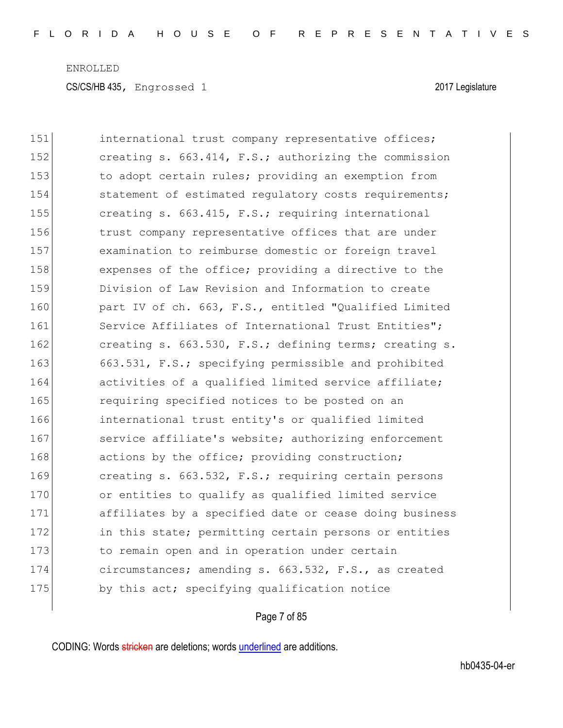CS/CS/HB 435, Engrossed 1 2017 Legislature

| 151 | international trust company representative offices;    |
|-----|--------------------------------------------------------|
| 152 | creating s. 663.414, F.S.; authorizing the commission  |
| 153 | to adopt certain rules; providing an exemption from    |
| 154 | statement of estimated regulatory costs requirements;  |
| 155 | creating s. 663.415, F.S.; requiring international     |
| 156 | trust company representative offices that are under    |
| 157 | examination to reimburse domestic or foreign travel    |
| 158 | expenses of the office; providing a directive to the   |
| 159 | Division of Law Revision and Information to create     |
| 160 | part IV of ch. 663, F.S., entitled "Qualified Limited  |
| 161 | Service Affiliates of International Trust Entities";   |
| 162 | creating s. 663.530, F.S.; defining terms; creating s. |
| 163 | 663.531, F.S.; specifying permissible and prohibited   |
| 164 | activities of a qualified limited service affiliate;   |
| 165 | requiring specified notices to be posted on an         |
| 166 | international trust entity's or qualified limited      |
| 167 | service affiliate's website; authorizing enforcement   |
| 168 | actions by the office; providing construction;         |
| 169 | creating s. 663.532, F.S.; requiring certain persons   |
| 170 | or entities to qualify as qualified limited service    |
| 171 | affiliates by a specified date or cease doing business |
| 172 | in this state; permitting certain persons or entities  |
| 173 | to remain open and in operation under certain          |
| 174 | circumstances; amending s. 663.532, F.S., as created   |
| 175 | by this act; specifying qualification notice           |

## Page 7 of 85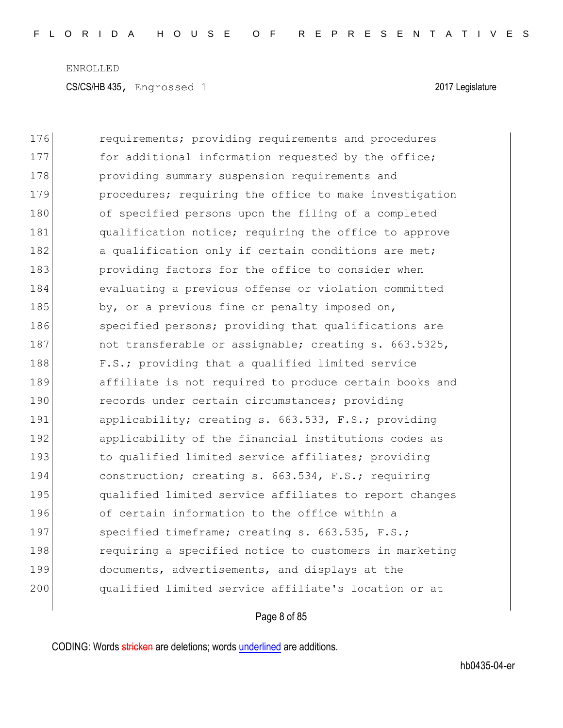| 176 | requirements; providing requirements and procedures    |
|-----|--------------------------------------------------------|
| 177 | for additional information requested by the office;    |
| 178 | providing summary suspension requirements and          |
| 179 | procedures; requiring the office to make investigation |
| 180 | of specified persons upon the filing of a completed    |
| 181 | qualification notice; requiring the office to approve  |
| 182 | a qualification only if certain conditions are met;    |
| 183 | providing factors for the office to consider when      |
| 184 | evaluating a previous offense or violation committed   |
| 185 | by, or a previous fine or penalty imposed on,          |
| 186 | specified persons; providing that qualifications are   |
| 187 | not transferable or assignable; creating s. 663.5325,  |
| 188 | F.S.; providing that a qualified limited service       |
| 189 | affiliate is not required to produce certain books and |
| 190 | records under certain circumstances; providing         |
| 191 | applicability; creating s. 663.533, F.S.; providing    |
| 192 | applicability of the financial institutions codes as   |
| 193 | to qualified limited service affiliates; providing     |
| 194 | construction; creating s. 663.534, F.S.; requiring     |
| 195 | qualified limited service affiliates to report changes |
| 196 | of certain information to the office within a          |
| 197 | specified timeframe; creating s. 663.535, F.S.;        |
| 198 | requiring a specified notice to customers in marketing |
| 199 | documents, advertisements, and displays at the         |
| 200 | qualified limited service affiliate's location or at   |
|     |                                                        |

## Page 8 of 85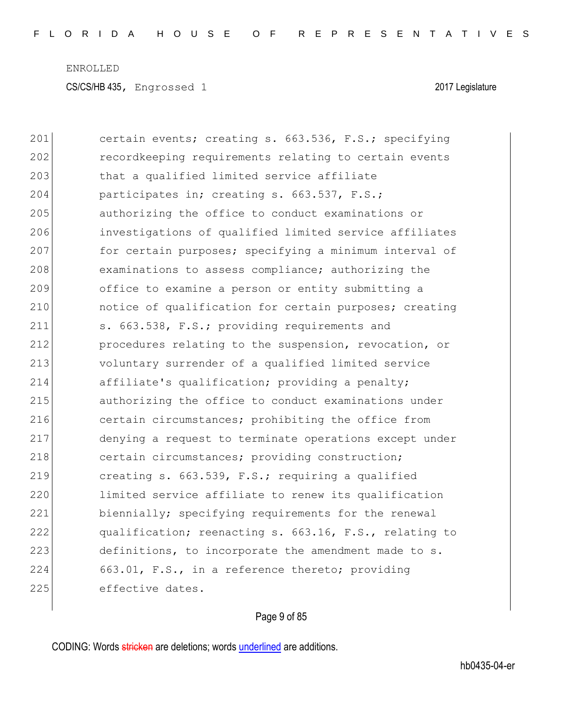201 certain events; creating s. 663.536, F.S.; specifying 202 **recordkeeping requirements relating to certain events** 203 **that a qualified limited service affiliate** 204 participates in; creating s. 663.537, F.S.; 205 authorizing the office to conduct examinations or 206 investigations of qualified limited service affiliates 207 for certain purposes; specifying a minimum interval of 208 examinations to assess compliance; authorizing the 209 office to examine a person or entity submitting a 210 **c** notice of qualification for certain purposes; creating 211 s. 663.538, F.S.; providing requirements and 212 procedures relating to the suspension, revocation, or 213 voluntary surrender of a qualified limited service 214 affiliate's qualification; providing a penalty; 215 authorizing the office to conduct examinations under 216 certain circumstances; prohibiting the office from 217 denying a request to terminate operations except under 218 certain circumstances; providing construction; 219 creating s. 663.539, F.S.; requiring a qualified 220 limited service affiliate to renew its qualification 221 biennially; specifying requirements for the renewal 222 qualification; reenacting s. 663.16, F.S., relating to 223 definitions, to incorporate the amendment made to s. 224 663.01, F.S., in a reference thereto; providing 225 effective dates.

#### Page 9 of 85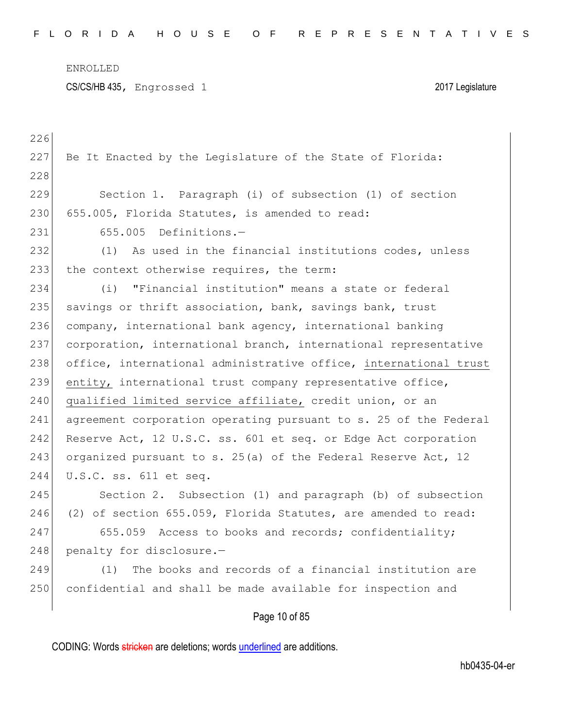CS/CS/HB 435, Engrossed 1 2017 Legislature

| 226 |                                                                  |
|-----|------------------------------------------------------------------|
| 227 | Be It Enacted by the Legislature of the State of Florida:        |
| 228 |                                                                  |
| 229 | Section 1. Paragraph (i) of subsection (1) of section            |
| 230 | 655.005, Florida Statutes, is amended to read:                   |
| 231 | 655.005 Definitions.-                                            |
| 232 | As used in the financial institutions codes, unless<br>(1)       |
| 233 | the context otherwise requires, the term:                        |
| 234 | "Financial institution" means a state or federal<br>(i)          |
| 235 | savings or thrift association, bank, savings bank, trust         |
| 236 | company, international bank agency, international banking        |
| 237 | corporation, international branch, international representative  |
| 238 | office, international administrative office, international trust |
| 239 | entity, international trust company representative office,       |
| 240 | qualified limited service affiliate, credit union, or an         |
| 241 | agreement corporation operating pursuant to s. 25 of the Federal |
| 242 | Reserve Act, 12 U.S.C. ss. 601 et seq. or Edge Act corporation   |
| 243 | organized pursuant to s. 25(a) of the Federal Reserve Act, 12    |
| 244 | U.S.C. ss. 611 et seq.                                           |
| 245 | Section 2. Subsection (1) and paragraph (b) of subsection        |
| 246 | (2) of section 655.059, Florida Statutes, are amended to read:   |
| 247 | 655.059 Access to books and records; confidentiality;            |
| 248 | penalty for disclosure.-                                         |
| 249 | The books and records of a financial institution are<br>(1)      |
| 250 | confidential and shall be made available for inspection and      |
|     |                                                                  |

## Page 10 of 85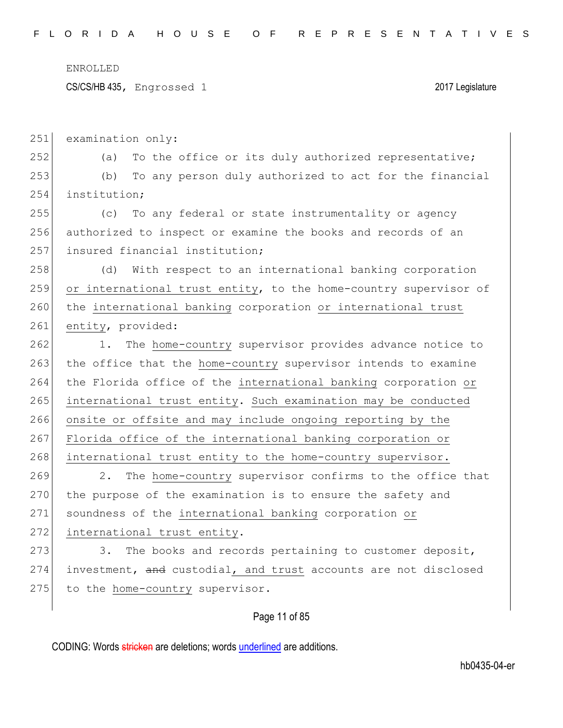CS/CS/HB 435, Engrossed 1 2017 Legislature

251 examination only:

252 (a) To the office or its duly authorized representative; 253 (b) To any person duly authorized to act for the financial 254 institution;

255 (c) To any federal or state instrumentality or agency 256 authorized to inspect or examine the books and records of an 257 insured financial institution;

258 (d) With respect to an international banking corporation 259 or international trust entity, to the home-country supervisor of 260 the international banking corporation or international trust 261 entity, provided:

262 1. The home-country supervisor provides advance notice to 263 the office that the home-country supervisor intends to examine 264 the Florida office of the international banking corporation or 265 international trust entity. Such examination may be conducted 266 onsite or offsite and may include ongoing reporting by the 267 Florida office of the international banking corporation or 268 international trust entity to the home-country supervisor.

269 2. The home-country supervisor confirms to the office that 270 the purpose of the examination is to ensure the safety and 271 soundness of the international banking corporation or 272 international trust entity.

273 3. The books and records pertaining to customer deposit, 274 investment, and custodial, and trust accounts are not disclosed 275 to the home-country supervisor.

#### Page 11 of 85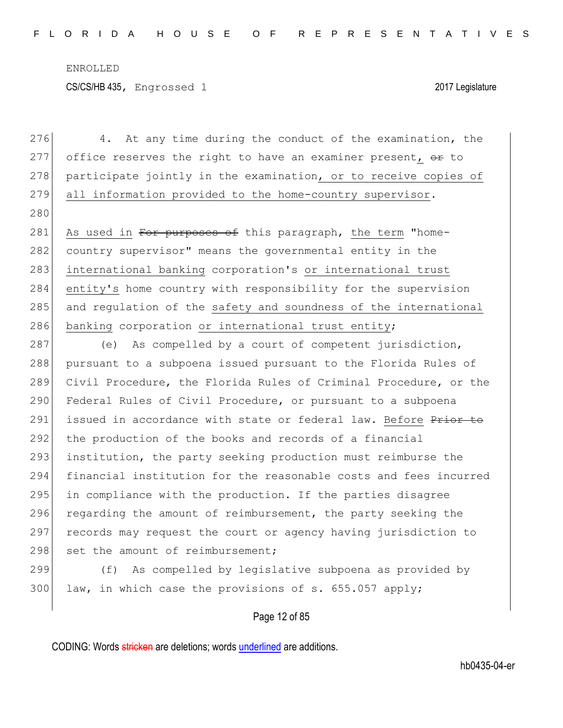276 4. At any time during the conduct of the examination, the 277 office reserves the right to have an examiner present,  $\Theta$  to 278 participate jointly in the examination, or to receive copies of 279 all information provided to the home-country supervisor. 280 281 As used in For purposes of this paragraph, the term "home-282 country supervisor" means the governmental entity in the 283 international banking corporation's or international trust 284 entity's home country with responsibility for the supervision 285 and regulation of the safety and soundness of the international 286 banking corporation or international trust entity;

287 (e) As compelled by a court of competent jurisdiction, 288 pursuant to a subpoena issued pursuant to the Florida Rules of 289 Civil Procedure, the Florida Rules of Criminal Procedure, or the 290 Federal Rules of Civil Procedure, or pursuant to a subpoena 291 issued in accordance with state or federal law. Before Prior to 292 the production of the books and records of a financial 293 institution, the party seeking production must reimburse the 294 financial institution for the reasonable costs and fees incurred 295 in compliance with the production. If the parties disagree 296 regarding the amount of reimbursement, the party seeking the 297 records may request the court or agency having jurisdiction to 298 set the amount of reimbursement;

299 (f) As compelled by legislative subpoena as provided by 300 law, in which case the provisions of s. 655.057 apply;

Page 12 of 85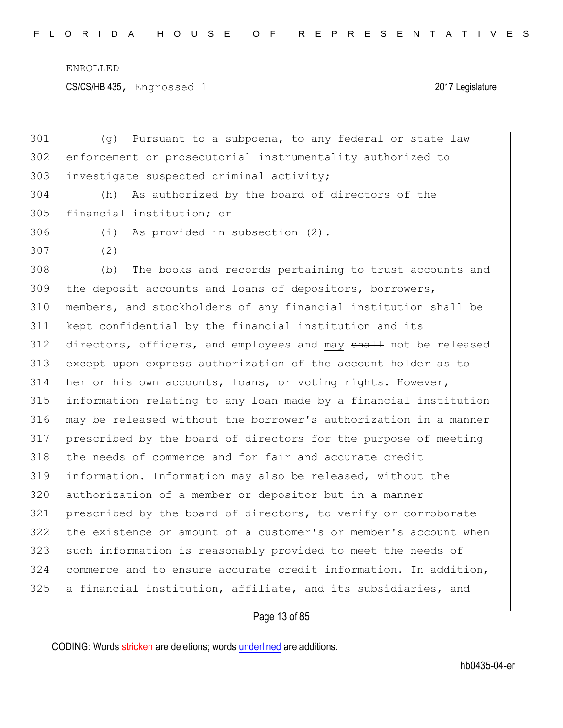CS/CS/HB 435, Engrossed 1 2017 Legislature

 (g) Pursuant to a subpoena, to any federal or state law enforcement or prosecutorial instrumentality authorized to 303 investigate suspected criminal activity; (h) As authorized by the board of directors of the financial institution; or (i) As provided in subsection (2). (2) (b) The books and records pertaining to trust accounts and the deposit accounts and loans of depositors, borrowers, members, and stockholders of any financial institution shall be kept confidential by the financial institution and its 312 directors, officers, and employees and may shall not be released except upon express authorization of the account holder as to her or his own accounts, loans, or voting rights. However, information relating to any loan made by a financial institution may be released without the borrower's authorization in a manner prescribed by the board of directors for the purpose of meeting 318 the needs of commerce and for fair and accurate credit information. Information may also be released, without the authorization of a member or depositor but in a manner prescribed by the board of directors, to verify or corroborate the existence or amount of a customer's or member's account when 323 such information is reasonably provided to meet the needs of commerce and to ensure accurate credit information. In addition, a financial institution, affiliate, and its subsidiaries, and

Page 13 of 85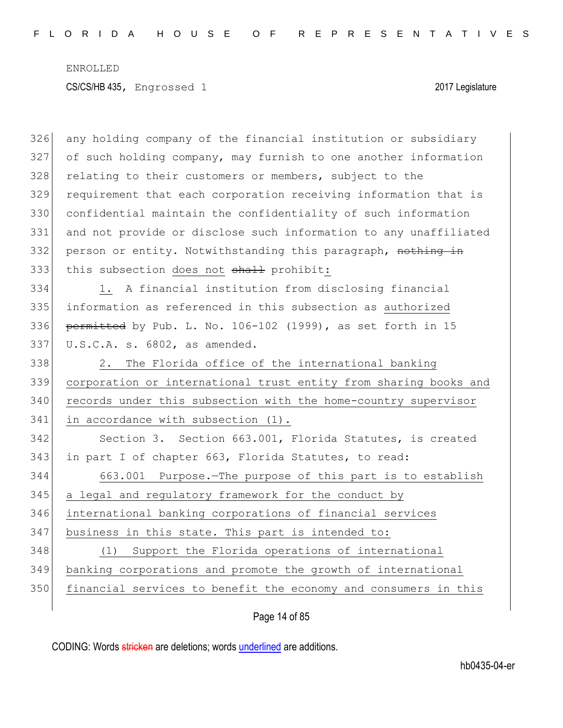| 326 | any holding company of the financial institution or subsidiary   |
|-----|------------------------------------------------------------------|
| 327 | of such holding company, may furnish to one another information  |
| 328 | relating to their customers or members, subject to the           |
| 329 | requirement that each corporation receiving information that is  |
| 330 | confidential maintain the confidentiality of such information    |
| 331 | and not provide or disclose such information to any unaffiliated |
| 332 | person or entity. Notwithstanding this paragraph, nothing in     |
| 333 | this subsection does not shall prohibit:                         |
| 334 | A financial institution from disclosing financial<br>1.          |
| 335 | information as referenced in this subsection as authorized       |
| 336 | permitted by Pub. L. No. 106-102 (1999), as set forth in 15      |
| 337 | U.S.C.A. s. 6802, as amended.                                    |
| 338 | The Florida office of the international banking<br>2.            |
| 339 | corporation or international trust entity from sharing books and |
| 340 | records under this subsection with the home-country supervisor   |
| 341 | in accordance with subsection (1).                               |
| 342 | Section 3. Section 663.001, Florida Statutes, is created         |
| 343 | in part I of chapter 663, Florida Statutes, to read:             |
| 344 | 663.001 Purpose. The purpose of this part is to establish        |
| 345 | a legal and regulatory framework for the conduct by              |
| 346 | international banking corporations of financial services         |
| 347 | business in this state. This part is intended to:                |
| 348 | (1) Support the Florida operations of international              |
| 349 | banking corporations and promote the growth of international     |
| 350 | financial services to benefit the economy and consumers in this  |
|     |                                                                  |

Page 14 of 85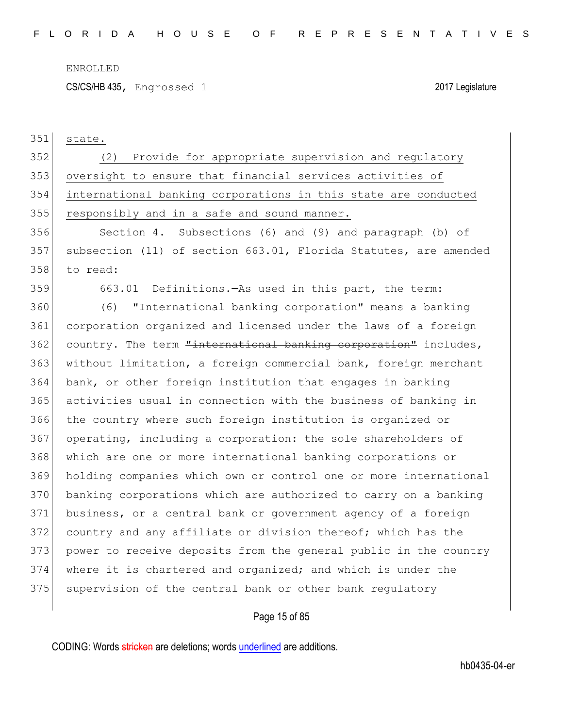CS/CS/HB 435, Engrossed 1 2017 Legislature

state.

 (2) Provide for appropriate supervision and regulatory oversight to ensure that financial services activities of international banking corporations in this state are conducted 355 responsibly and in a safe and sound manner.

 Section 4. Subsections (6) and (9) and paragraph (b) of subsection (11) of section 663.01, Florida Statutes, are amended to read:

663.01 Definitions.—As used in this part, the term:

 (6) "International banking corporation" means a banking corporation organized and licensed under the laws of a foreign 362 country. The term "international banking corporation" includes, 363 without limitation, a foreign commercial bank, foreign merchant bank, or other foreign institution that engages in banking activities usual in connection with the business of banking in the country where such foreign institution is organized or operating, including a corporation: the sole shareholders of which are one or more international banking corporations or holding companies which own or control one or more international banking corporations which are authorized to carry on a banking business, or a central bank or government agency of a foreign 372 country and any affiliate or division thereof; which has the power to receive deposits from the general public in the country where it is chartered and organized; and which is under the 375 supervision of the central bank or other bank regulatory

Page 15 of 85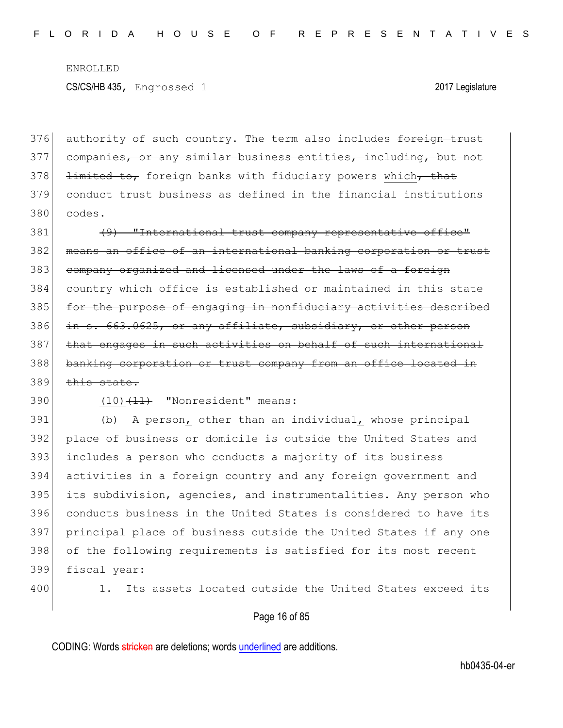376 authority of such country. The term also includes foreign trust 377 companies, or any similar business entities, including, but not  $378$  <del>limited to,</del> foreign banks with fiduciary powers which, that 379 conduct trust business as defined in the financial institutions 380 codes.

381 (9) "International trust company representative office" 382 means an office of an international banking corporation or trust 383 company organized and licensed under the laws of a foreign 384 country which office is established or maintained in this state 385 for the purpose of engaging in nonfiduciary activities described 386 in s. 663.0625, or any affiliate, subsidiary, or other person 387 that engages in such activities on behalf of such international 388 banking corporation or trust company from an office located in  $389$  this state.

 $390$  (10) $\left(11\right)$  "Nonresident" means:

 (b) A person, other than an individual, whose principal place of business or domicile is outside the United States and includes a person who conducts a majority of its business activities in a foreign country and any foreign government and its subdivision, agencies, and instrumentalities. Any person who conducts business in the United States is considered to have its principal place of business outside the United States if any one 398 of the following requirements is satisfied for its most recent fiscal year:

400 1. Its assets located outside the United States exceed its

#### Page 16 of 85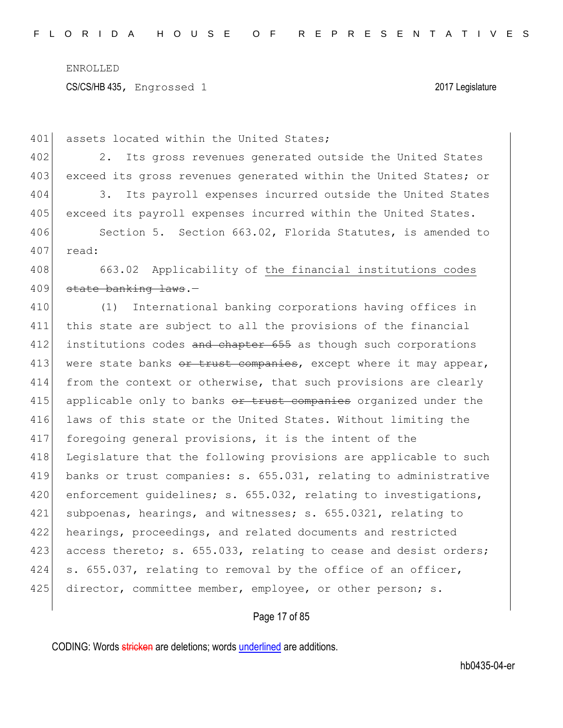CS/CS/HB 435, Engrossed 1 2017 Legislature

401 assets located within the United States;

402 2. Its gross revenues generated outside the United States 403 exceed its gross revenues generated within the United States; or 404 3. Its payroll expenses incurred outside the United States

405 exceed its payroll expenses incurred within the United States.

406 Section 5. Section 663.02, Florida Statutes, is amended to 407 read:

408 663.02 Applicability of the financial institutions codes 409 state banking laws.-

410 (1) International banking corporations having offices in 411 this state are subject to all the provisions of the financial 412 institutions codes and chapter 655 as though such corporations 413 were state banks  $e^{i\theta}$  and  $e^{i\theta}$  except where it may appear, 414 from the context or otherwise, that such provisions are clearly 415 applicable only to banks or trust companies organized under the 416 laws of this state or the United States. Without limiting the 417 foregoing general provisions, it is the intent of the 418 Legislature that the following provisions are applicable to such 419 banks or trust companies: s. 655.031, relating to administrative 420 enforcement guidelines; s. 655.032, relating to investigations, 421 subpoenas, hearings, and witnesses; s. 655.0321, relating to 422 hearings, proceedings, and related documents and restricted 423 access thereto; s. 655.033, relating to cease and desist orders; 424 s. 655.037, relating to removal by the office of an officer, 425 director, committee member, employee, or other person; s.

Page 17 of 85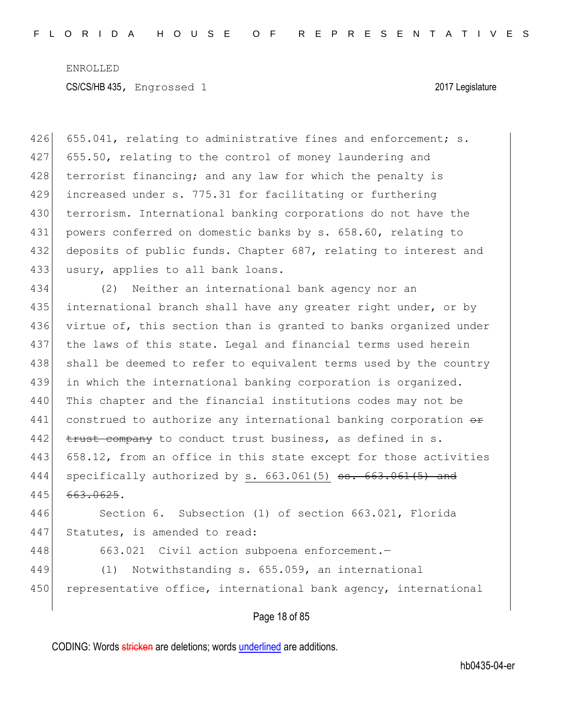426 655.041, relating to administrative fines and enforcement; s. 427 655.50, relating to the control of money laundering and 428 terrorist financing; and any law for which the penalty is 429 increased under s. 775.31 for facilitating or furthering 430 terrorism. International banking corporations do not have the 431 powers conferred on domestic banks by s. 658.60, relating to 432 deposits of public funds. Chapter 687, relating to interest and 433 usury, applies to all bank loans. 434 (2) Neither an international bank agency nor an 435 international branch shall have any greater right under, or by 436 virtue of, this section than is granted to banks organized under 437 the laws of this state. Legal and financial terms used herein 438 shall be deemed to refer to equivalent terms used by the country 439 in which the international banking corporation is organized. 440 This chapter and the financial institutions codes may not be 441 construed to authorize any international banking corporation  $\theta$  $442$  trust company to conduct trust business, as defined in s. 443 658.12, from an office in this state except for those activities 444 specifically authorized by s.  $663.061(5)$  ss.  $663.061(5)$  and 445 663.0625. 446 Section 6. Subsection (1) of section 663.021, Florida

447 Statutes, is amended to read:

448 663.021 Civil action subpoena enforcement.

449 (1) Notwithstanding s. 655.059, an international 450 representative office, international bank agency, international

Page 18 of 85

CODING: Words stricken are deletions; words underlined are additions.

hb0435-04-er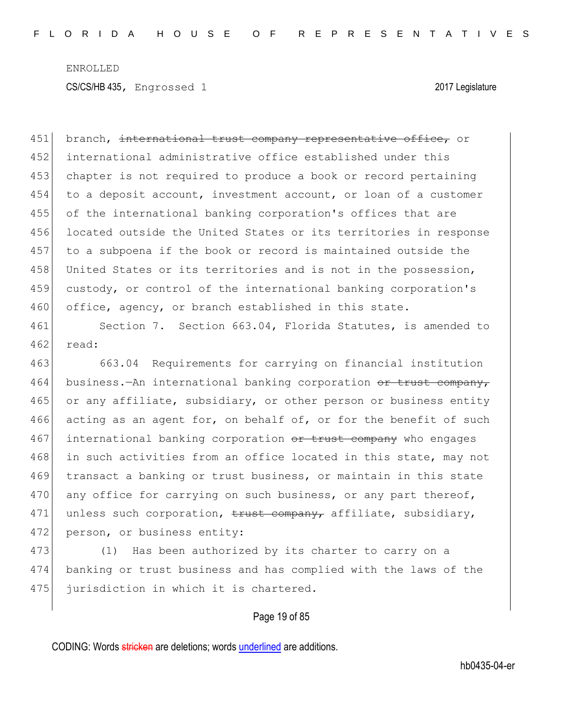451 branch, international trust company representative office, or 452 international administrative office established under this 453 chapter is not required to produce a book or record pertaining 454 to a deposit account, investment account, or loan of a customer 455 of the international banking corporation's offices that are 456 located outside the United States or its territories in response 457 to a subpoena if the book or record is maintained outside the 458 United States or its territories and is not in the possession, 459 custody, or control of the international banking corporation's 460 office, agency, or branch established in this state.

461 Section 7. Section 663.04, Florida Statutes, is amended to 462 read:

463 663.04 Requirements for carrying on financial institution 464 business.—An international banking corporation or trust company, 465 or any affiliate, subsidiary, or other person or business entity 466 acting as an agent for, on behalf of, or for the benefit of such 467 international banking corporation or trust company who engages 468 in such activities from an office located in this state, may not 469 transact a banking or trust business, or maintain in this state 470 any office for carrying on such business, or any part thereof, 471 unless such corporation,  $\frac{1}{2}$  company, affiliate, subsidiary, 472 person, or business entity:

473 (1) Has been authorized by its charter to carry on a 474 banking or trust business and has complied with the laws of the 475 jurisdiction in which it is chartered.

#### Page 19 of 85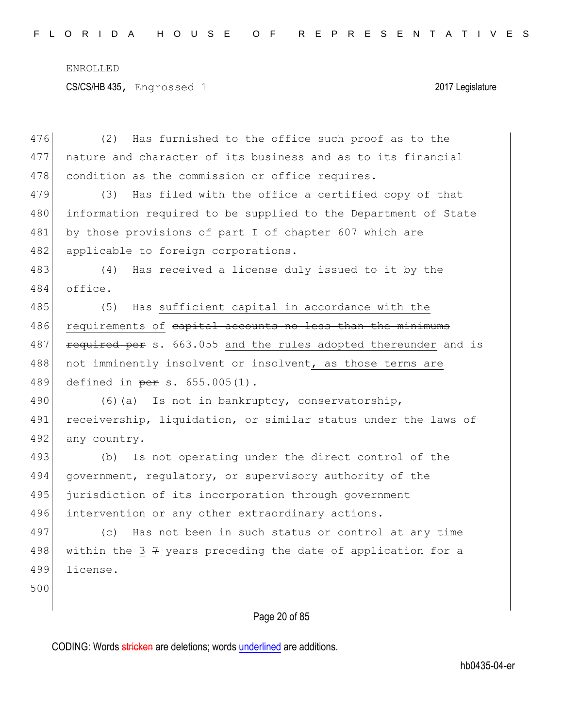CS/CS/HB 435, Engrossed 1 2017 Legislature

476 (2) Has furnished to the office such proof as to the 477 nature and character of its business and as to its financial 478 condition as the commission or office requires.

479 (3) Has filed with the office a certified copy of that 480 information required to be supplied to the Department of State 481 by those provisions of part I of chapter 607 which are 482 applicable to foreign corporations.

483 (4) Has received a license duly issued to it by the 484 office.

485 (5) Has sufficient capital in accordance with the 486 requirements of capital accounts no less than the minimums 487 **required per s.** 663.055 and the rules adopted thereunder and is 488 not imminently insolvent or insolvent, as those terms are 489 defined in per s. 655.005(1).

490 (6)(a) Is not in bankruptcy, conservatorship, 491 receivership, liquidation, or similar status under the laws of 492 any country.

493 (b) Is not operating under the direct control of the 494 government, regulatory, or supervisory authority of the 495 jurisdiction of its incorporation through government 496 intervention or any other extraordinary actions.

497 (c) Has not been in such status or control at any time 498 within the 3  $7$  years preceding the date of application for a 499 license.

500

#### Page 20 of 85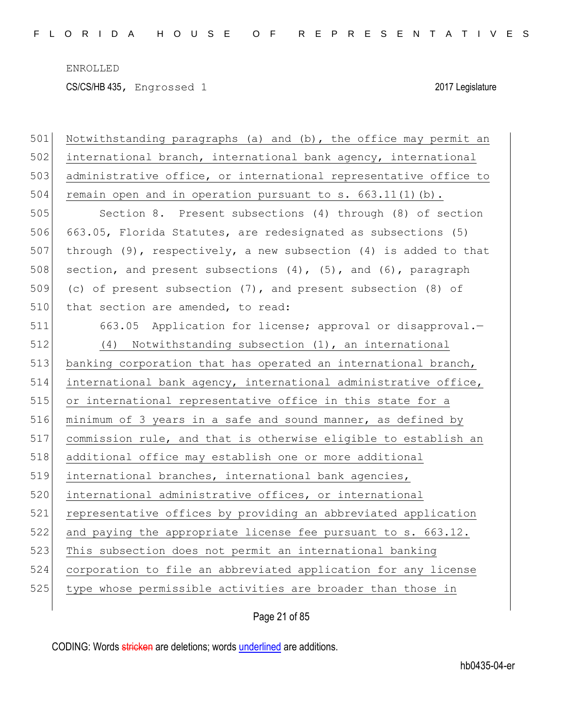CS/CS/HB 435, Engrossed 1 2017 Legislature

| 501 | Notwithstanding paragraphs (a) and (b), the office may permit an      |
|-----|-----------------------------------------------------------------------|
| 502 | international branch, international bank agency, international        |
| 503 | administrative office, or international representative office to      |
| 504 | remain open and in operation pursuant to s. 663.11(1)(b).             |
| 505 | Section 8. Present subsections (4) through (8) of section             |
| 506 | 663.05, Florida Statutes, are redesignated as subsections (5)         |
| 507 | through $(9)$ , respectively, a new subsection $(4)$ is added to that |
| 508 | section, and present subsections (4), (5), and (6), paragraph         |
| 509 | (c) of present subsection (7), and present subsection (8) of          |
| 510 | that section are amended, to read:                                    |
| 511 | 663.05 Application for license; approval or disapproval.-             |
| 512 | (4) Notwithstanding subsection (1), an international                  |
| 513 | banking corporation that has operated an international branch,        |
| 514 | international bank agency, international administrative office,       |
| 515 | or international representative office in this state for a            |
| 516 | minimum of 3 years in a safe and sound manner, as defined by          |
| 517 | commission rule, and that is otherwise eligible to establish an       |
| 518 | additional office may establish one or more additional                |
| 519 | international branches, international bank agencies,                  |
| 520 | international administrative offices, or international                |
| 521 | representative offices by providing an abbreviated application        |
| 522 | and paying the appropriate license fee pursuant to s. 663.12.         |
| 523 | This subsection does not permit an international banking              |
| 524 | corporation to file an abbreviated application for any license        |
| 525 | type whose permissible activities are broader than those in           |
|     |                                                                       |

Page 21 of 85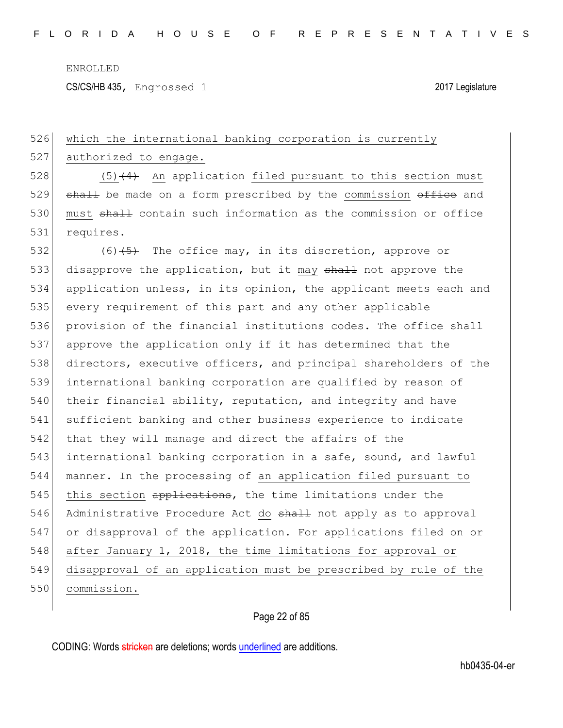526 which the international banking corporation is currently

ENROLLED

CS/CS/HB 435, Engrossed 1 2017 Legislature

# 527 authorized to engage. 528  $(5)$  (4) An application filed pursuant to this section must  $529$  shall be made on a form prescribed by the commission  $\theta$  and 530 must shall contain such information as the commission or office 531 requires. 532 (6) $\left(5\right)$  The office may, in its discretion, approve or 533 disapprove the application, but it may shall not approve the 534 application unless, in its opinion, the applicant meets each and 535 every requirement of this part and any other applicable 536 provision of the financial institutions codes. The office shall 537 approve the application only if it has determined that the 538 directors, executive officers, and principal shareholders of the 539 international banking corporation are qualified by reason of 540 their financial ability, reputation, and integrity and have 541 sufficient banking and other business experience to indicate 542 that they will manage and direct the affairs of the 543 international banking corporation in a safe, sound, and lawful 544 manner. In the processing of an application filed pursuant to 545 this section applications, the time limitations under the 546 Administrative Procedure Act do shall not apply as to approval 547 or disapproval of the application. For applications filed on or 548 after January 1, 2018, the time limitations for approval or 549 disapproval of an application must be prescribed by rule of the 550 commission.

### Page 22 of 85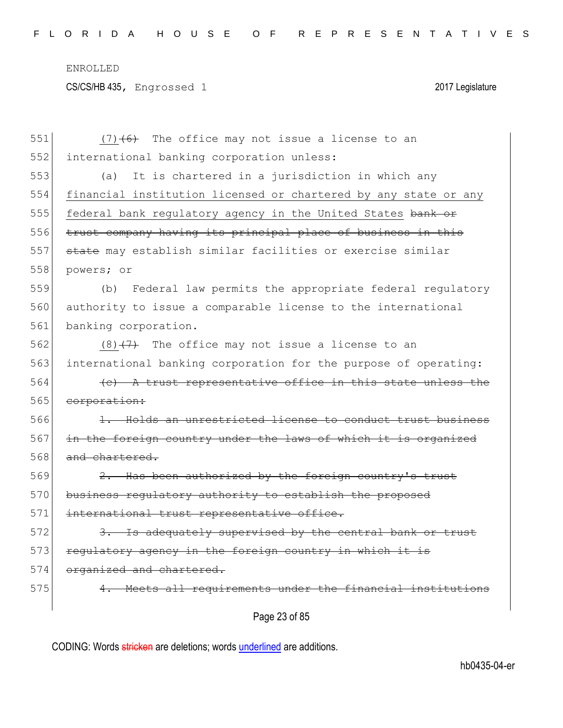CS/CS/HB 435, Engrossed 1 2017 Legislature

| 551 | $(7)$ $(6)$ The office may not issue a license to an            |
|-----|-----------------------------------------------------------------|
| 552 | international banking corporation unless:                       |
| 553 | It is chartered in a jurisdiction in which any<br>(a)           |
| 554 | financial institution licensed or chartered by any state or any |
| 555 | federal bank regulatory agency in the United States bank or     |
| 556 | trust company having its principal place of business in this    |
| 557 | state may establish similar facilities or exercise similar      |
| 558 | powers; or                                                      |
| 559 | Federal law permits the appropriate federal regulatory<br>(b)   |
| 560 | authority to issue a comparable license to the international    |
| 561 | banking corporation.                                            |
| 562 | $(8)$ $(7)$ The office may not issue a license to an            |
| 563 | international banking corporation for the purpose of operating: |
| 564 | $(e)$ A trust representative office in this state unless the    |
| 565 | corporation:                                                    |
| 566 | 1. Holds an unrestricted license to conduct trust business      |
| 567 | in the foreign country under the laws of which it is organized  |
| 568 | and chartered.                                                  |
| 569 | 2. Has been authorized by the foreign country's trust           |
| 570 | business regulatory authority to establish the proposed         |
| 571 | international trust representative office.                      |
| 572 | 3. Is adequately supervised by the central bank or trust        |
| 573 | regulatory agency in the foreign country in which it is         |
| 574 | organized and chartered.                                        |
| 575 | 4. Meets all requirements under the financial institutions      |
|     | Page 23 of 85                                                   |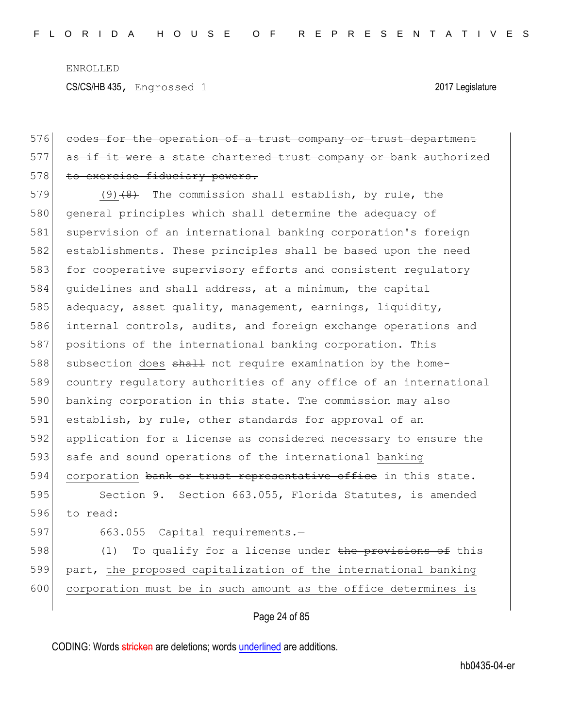CS/CS/HB 435, Engrossed 1 2017 Legislature

## 576 codes for the operation of a trust company or trust department 577 as if it were a state chartered trust company or bank authorized 578 to exercise fiduciary powers.

579  $(9)$   $(8)$  The commission shall establish, by rule, the 580 general principles which shall determine the adequacy of 581 supervision of an international banking corporation's foreign 582 establishments. These principles shall be based upon the need 583 for cooperative supervisory efforts and consistent regulatory 584 guidelines and shall address, at a minimum, the capital 585 adequacy, asset quality, management, earnings, liquidity, 586 internal controls, audits, and foreign exchange operations and 587 positions of the international banking corporation. This 588 subsection does shall not require examination by the home-589 country regulatory authorities of any office of an international 590 banking corporation in this state. The commission may also 591 establish, by rule, other standards for approval of an 592 application for a license as considered necessary to ensure the 593 safe and sound operations of the international banking 594 corporation bank or trust representative office in this state.

595 Section 9. Section 663.055, Florida Statutes, is amended 596 to read:

597 663.055 Capital requirements.-

598 (1) To qualify for a license under the provisions of this 599 part, the proposed capitalization of the international banking 600 corporation must be in such amount as the office determines is

#### Page 24 of 85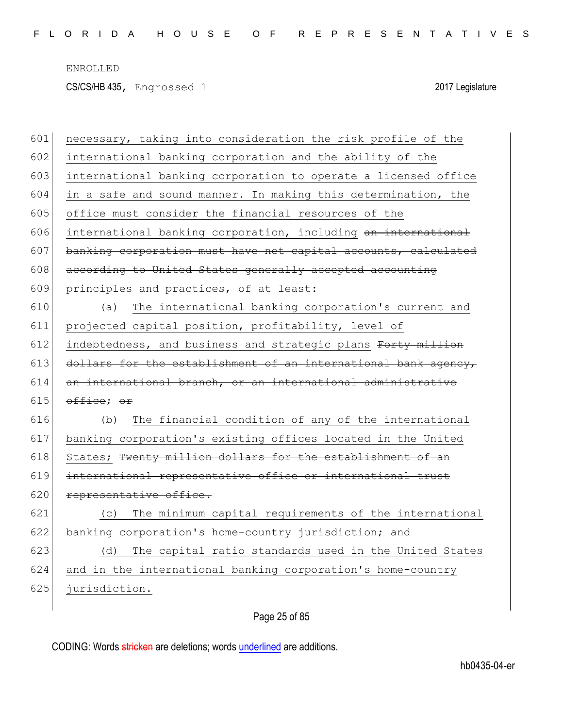CS/CS/HB 435, Engrossed 1 2017 Legislature

| 601 | necessary, taking into consideration the risk profile of the   |
|-----|----------------------------------------------------------------|
| 602 | international banking corporation and the ability of the       |
| 603 | international banking corporation to operate a licensed office |
| 604 | in a safe and sound manner. In making this determination, the  |
| 605 | office must consider the financial resources of the            |
| 606 | international banking corporation, including an international  |
| 607 | banking corporation must have net capital accounts, calculated |
| 608 | according to United States generally accepted accounting       |
| 609 | principles and practices, of at least:                         |
| 610 | The international banking corporation's current and<br>(a)     |
| 611 | projected capital position, profitability, level of            |
| 612 | indebtedness, and business and strategic plans Forty million   |
| 613 | dollars for the establishment of an international bank agency, |
| 614 | an international branch, or an international administrative    |
| 615 | office; or                                                     |
| 616 | The financial condition of any of the international<br>(b)     |
| 617 | banking corporation's existing offices located in the United   |
| 618 | States; Twenty million dollars for the establishment of an     |
| 619 | international representative office or international trust     |
| 620 | representative office.                                         |
| 621 | The minimum capital requirements of the international<br>(C)   |
| 622 | banking corporation's home-country jurisdiction; and           |
| 623 | The capital ratio standards used in the United States<br>(d)   |
| 624 | and in the international banking corporation's home-country    |
| 625 | jurisdiction.                                                  |
|     |                                                                |

Page 25 of 85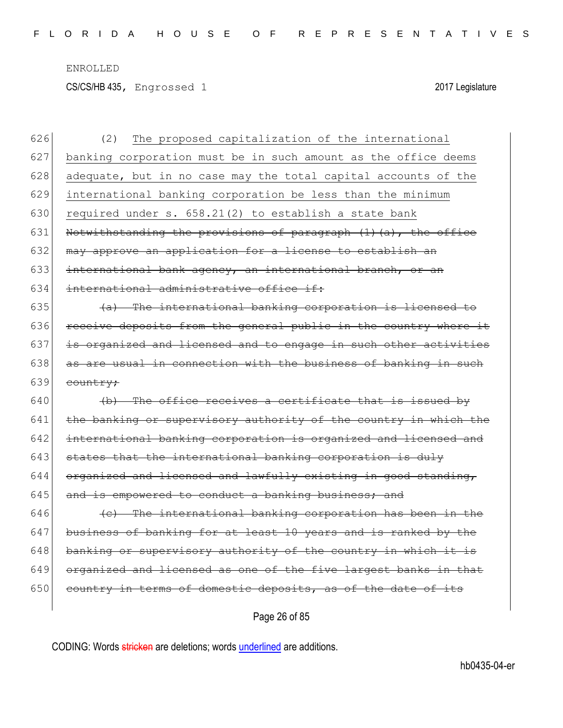CS/CS/HB 435, Engrossed 1 2017 Legislature

| 626 | The proposed capitalization of the international<br>(2)          |
|-----|------------------------------------------------------------------|
| 627 | banking corporation must be in such amount as the office deems   |
| 628 | adequate, but in no case may the total capital accounts of the   |
| 629 | international banking corporation be less than the minimum       |
| 630 | required under s. 658.21(2) to establish a state bank            |
| 631 | Notwithstanding the provisions of paragraph (1)(a), the office   |
| 632 | may approve an application for a license to establish an         |
| 633 | international bank agency, an international branch, or an        |
| 634 | international administrative office if:                          |
| 635 | (a) The international banking corporation is licensed to         |
| 636 | receive deposits from the general public in the country where it |
| 637 | is organized and licensed and to engage in such other activities |
| 638 | as are usual in connection with the business of banking in such  |
| 639 | country;                                                         |
| 640 | (b) The office receives a certificate that is issued by          |
| 641 | the banking or supervisory authority of the country in which the |
| 642 | international banking corporation is organized and licensed and  |
| 643 | states that the international banking corporation is duly        |
| 644 | organized and licensed and lawfully existing in good standing,   |
| 645 | and is empowered to conduct a banking business; and              |
| 646 | (e) The international banking corporation has been in the        |
| 647 | business of banking for at least 10 years and is ranked by the   |
| 648 | banking or supervisory authority of the country in which it is   |
| 649 | organized and licensed as one of the five largest banks in that  |
| 650 | country in terms of domestic deposits, as of the date of its     |
|     |                                                                  |

Page 26 of 85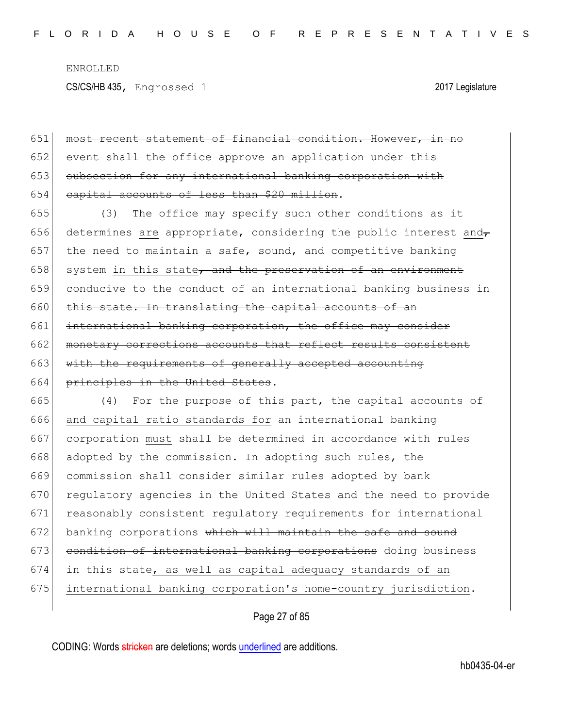651 most recent statement of financial condition. However, in no 652 event shall the office approve an application under this 653 subsection for any international banking corporation with 654 capital accounts of less than \$20 million.

655 (3) The office may specify such other conditions as it 656 determines are appropriate, considering the public interest and $_{\tau}$ 657 the need to maintain a safe, sound, and competitive banking  $658$  system in this state, and the preservation of an environment 659 conducive to the conduct of an international banking business in  $660$  this state. In translating the capital accounts of an 661 international banking corporation, the office may consider 662 monetary corrections accounts that reflect results consistent 663 with the requirements of generally accepted accounting 664 principles in the United States.

665 (4) For the purpose of this part, the capital accounts of 666 and capital ratio standards for an international banking 667 corporation must  $\frac{1}{2}$  be determined in accordance with rules 668 adopted by the commission. In adopting such rules, the 669 commission shall consider similar rules adopted by bank 670 regulatory agencies in the United States and the need to provide 671 reasonably consistent regulatory requirements for international  $672$  banking corporations which will maintain the safe and sound 673 condition of international banking corporations doing business 674 in this state, as well as capital adequacy standards of an 675 international banking corporation's home-country jurisdiction.

Page 27 of 85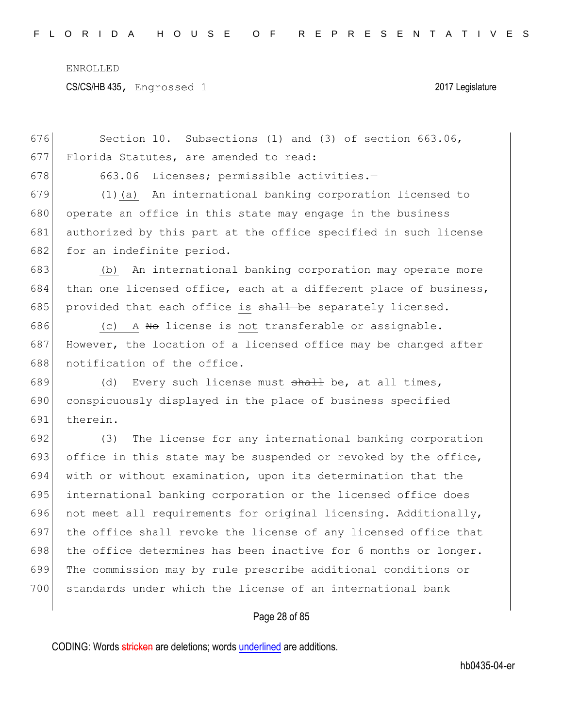CS/CS/HB 435, Engrossed 1 2017 Legislature

676 Section 10. Subsections (1) and (3) of section 663.06, 677 Florida Statutes, are amended to read: 678 663.06 Licenses; permissible activities.-679 (1)(a) An international banking corporation licensed to 680 operate an office in this state may engage in the business 681 authorized by this part at the office specified in such license 682 for an indefinite period. 683 (b) An international banking corporation may operate more 684 than one licensed office, each at a different place of business, 685 provided that each office is  $shall$  be separately licensed. 686  $(c)$  A No license is not transferable or assignable. 687 However, the location of a licensed office may be changed after 688 notification of the office. 689 (d) Every such license must  $shaH$  be, at all times, 690 conspicuously displayed in the place of business specified 691 therein. 692 (3) The license for any international banking corporation 693 office in this state may be suspended or revoked by the office, 694 with or without examination, upon its determination that the 695 international banking corporation or the licensed office does 696 not meet all requirements for original licensing. Additionally, 697 the office shall revoke the license of any licensed office that 698 the office determines has been inactive for 6 months or longer. 699 The commission may by rule prescribe additional conditions or 700 standards under which the license of an international bank

#### Page 28 of 85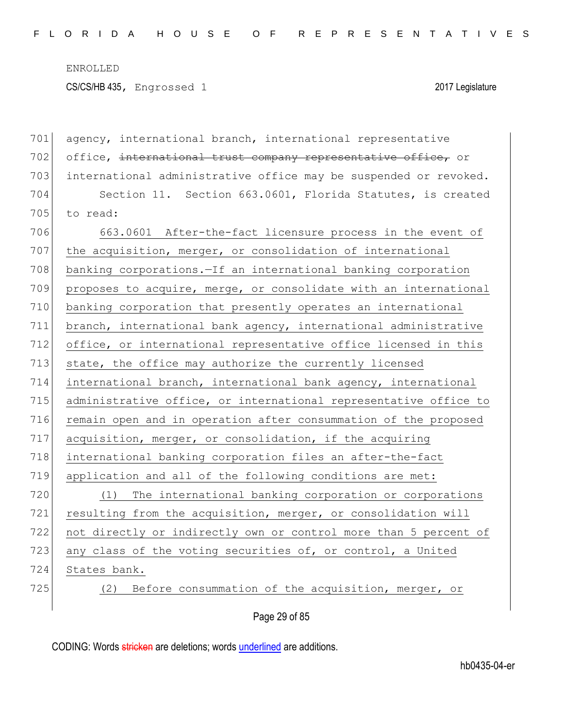| 701 | agency, international branch, international representative       |
|-----|------------------------------------------------------------------|
| 702 | office, international trust company representative office, or    |
| 703 | international administrative office may be suspended or revoked. |
| 704 | Section 11. Section 663.0601, Florida Statutes, is created       |
| 705 | to read:                                                         |
| 706 | 663.0601 After-the-fact licensure process in the event of        |
| 707 | the acquisition, merger, or consolidation of international       |
| 708 | banking corporations. - If an international banking corporation  |
| 709 | proposes to acquire, merge, or consolidate with an international |
| 710 | banking corporation that presently operates an international     |
| 711 | branch, international bank agency, international administrative  |
| 712 | office, or international representative office licensed in this  |
| 713 | state, the office may authorize the currently licensed           |
| 714 | international branch, international bank agency, international   |
| 715 | administrative office, or international representative office to |
| 716 | remain open and in operation after consummation of the proposed  |
| 717 | acquisition, merger, or consolidation, if the acquiring          |
| 718 | international banking corporation files an after-the-fact        |
| 719 | application and all of the following conditions are met:         |
| 720 | (1) The international banking corporation or corporations        |
| 721 | resulting from the acquisition, merger, or consolidation will    |
| 722 | not directly or indirectly own or control more than 5 percent of |
| 723 | any class of the voting securities of, or control, a United      |
| 724 | States bank.                                                     |
| 725 | (2) Before consummation of the acquisition, merger, or           |
|     |                                                                  |

Page 29 of 85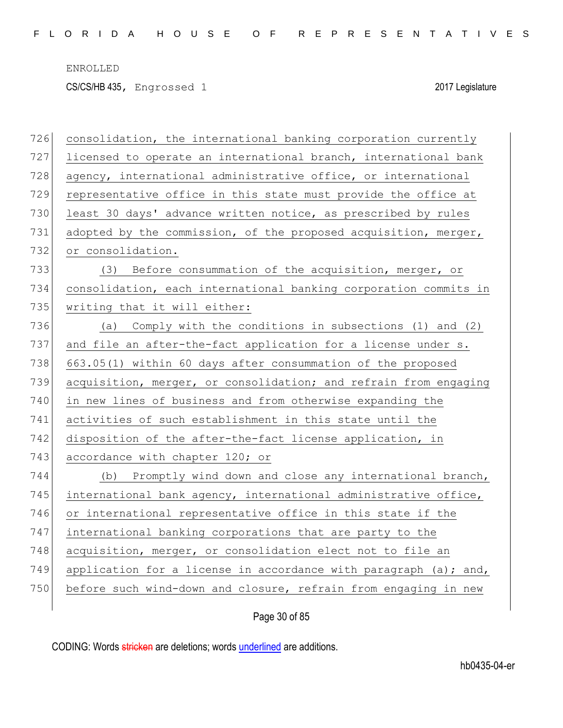CS/CS/HB 435, Engrossed 1 2017 Legislature

| 726 | consolidation, the international banking corporation currently   |
|-----|------------------------------------------------------------------|
| 727 | licensed to operate an international branch, international bank  |
| 728 | agency, international administrative office, or international    |
| 729 | representative office in this state must provide the office at   |
| 730 | least 30 days' advance written notice, as prescribed by rules    |
| 731 | adopted by the commission, of the proposed acquisition, merger,  |
| 732 | or consolidation.                                                |
| 733 | (3) Before consummation of the acquisition, merger, or           |
| 734 | consolidation, each international banking corporation commits in |
| 735 | writing that it will either:                                     |
| 736 | Comply with the conditions in subsections (1) and (2)<br>(a)     |
| 737 | and file an after-the-fact application for a license under s.    |
| 738 | 663.05(1) within 60 days after consummation of the proposed      |
| 739 | acquisition, merger, or consolidation; and refrain from engaging |
| 740 | in new lines of business and from otherwise expanding the        |
| 741 | activities of such establishment in this state until the         |
| 742 | disposition of the after-the-fact license application, in        |
| 743 | accordance with chapter 120; or                                  |
| 744 | (b) Promptly wind down and close any international branch,       |
| 745 | international bank agency, international administrative office,  |
| 746 | or international representative office in this state if the      |
| 747 | international banking corporations that are party to the         |
| 748 | acquisition, merger, or consolidation elect not to file an       |
| 749 | application for a license in accordance with paragraph (a); and, |
| 750 | before such wind-down and closure, refrain from engaging in new  |
|     |                                                                  |

Page 30 of 85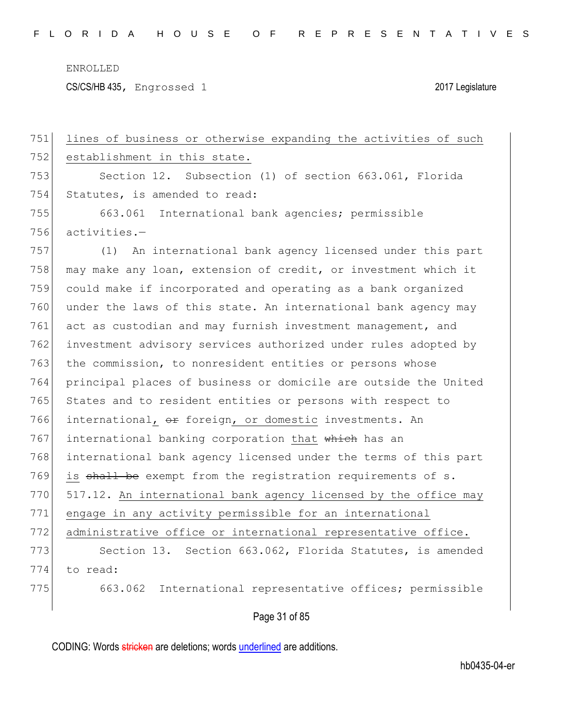CS/CS/HB 435, Engrossed 1 2017 Legislature

Page 31 of 85 751 lines of business or otherwise expanding the activities of such 752 establishment in this state. 753 Section 12. Subsection (1) of section 663.061, Florida 754 Statutes, is amended to read: 755 663.061 International bank agencies; permissible 756 activities.— 757 (1) An international bank agency licensed under this part 758 may make any loan, extension of credit, or investment which it 759 could make if incorporated and operating as a bank organized 760 under the laws of this state. An international bank agency may 761 act as custodian and may furnish investment management, and 762 investment advisory services authorized under rules adopted by 763 the commission, to nonresident entities or persons whose 764 principal places of business or domicile are outside the United 765 States and to resident entities or persons with respect to 766 international,  $\theta$  foreign, or domestic investments. An 767 international banking corporation that which has an 768 international bank agency licensed under the terms of this part 769 is shall be exempt from the registration requirements of s. 770 517.12. An international bank agency licensed by the office may 771 engage in any activity permissible for an international 772 administrative office or international representative office. 773 Section 13. Section 663.062, Florida Statutes, is amended 774 to read: 775 663.062 International representative offices; permissible

CODING: Words stricken are deletions; words underlined are additions.

hb0435-04-er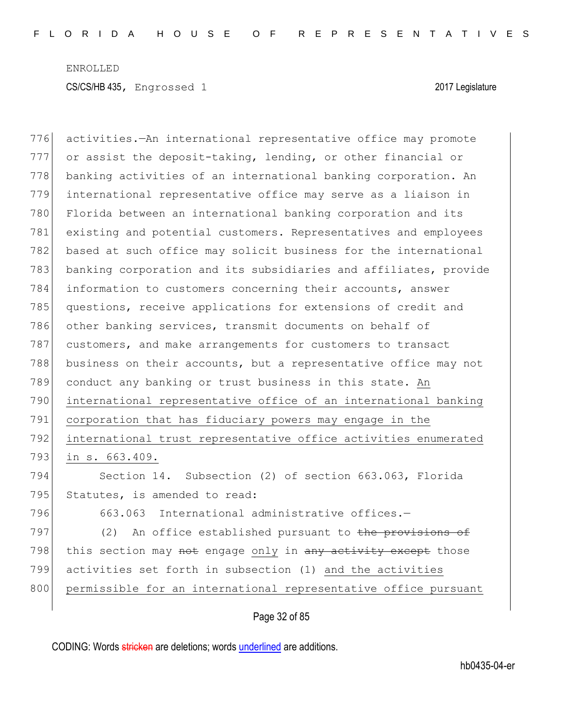activities.—An international representative office may promote or assist the deposit-taking, lending, or other financial or 778 banking activities of an international banking corporation. An international representative office may serve as a liaison in 780 Florida between an international banking corporation and its existing and potential customers. Representatives and employees 782 based at such office may solicit business for the international banking corporation and its subsidiaries and affiliates, provide information to customers concerning their accounts, answer questions, receive applications for extensions of credit and 786 other banking services, transmit documents on behalf of customers, and make arrangements for customers to transact business on their accounts, but a representative office may not conduct any banking or trust business in this state. An international representative office of an international banking corporation that has fiduciary powers may engage in the international trust representative office activities enumerated in s. 663.409. Section 14. Subsection (2) of section 663.063, Florida 795 Statutes, is amended to read: 796 663.063 International administrative offices.-797 (2) An office established pursuant to the provisions of 798 this section may not engage only in any activity except those activities set forth in subsection (1) and the activities 800 permissible for an international representative office pursuant

Page 32 of 85

CODING: Words stricken are deletions; words underlined are additions.

hb0435-04-er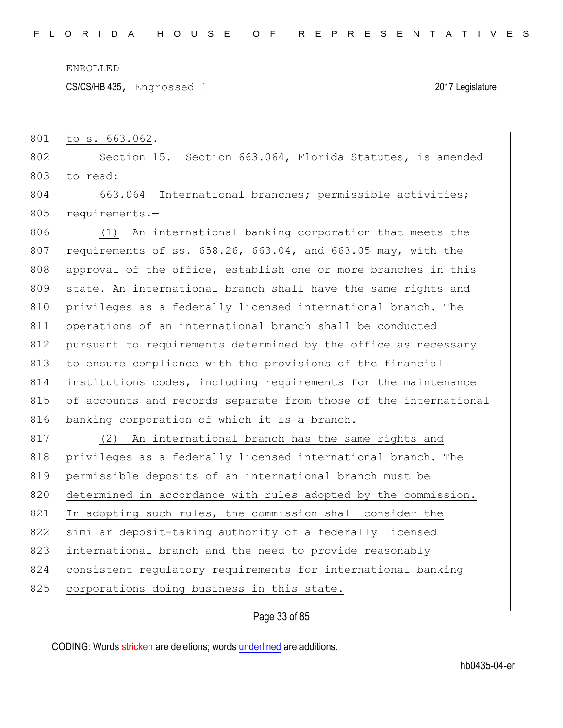CS/CS/HB 435, Engrossed 1 2017 Legislature

801 to s. 663.062.

802 Section 15. Section 663.064, Florida Statutes, is amended 803 to read:

804 663.064 International branches; permissible activities; 805 requirements.-

806 (1) An international banking corporation that meets the 807 requirements of ss.  $658.26$ ,  $663.04$ , and  $663.05$  may, with the 808 approval of the office, establish one or more branches in this 809 state. An international branch shall have the same rights and 810 privileges as a federally licensed international branch. The 811 operations of an international branch shall be conducted 812 pursuant to requirements determined by the office as necessary 813 to ensure compliance with the provisions of the financial 814 institutions codes, including requirements for the maintenance 815 of accounts and records separate from those of the international 816 banking corporation of which it is a branch.

817 (2) An international branch has the same rights and 818 privileges as a federally licensed international branch. The 819 permissible deposits of an international branch must be 820 determined in accordance with rules adopted by the commission. 821 In adopting such rules, the commission shall consider the 822 similar deposit-taking authority of a federally licensed 823 international branch and the need to provide reasonably 824 consistent regulatory requirements for international banking 825 corporations doing business in this state.

### Page 33 of 85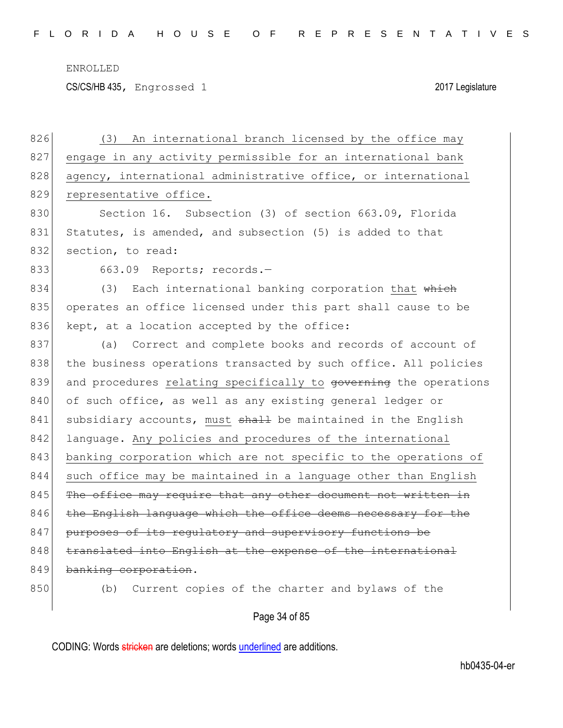CS/CS/HB 435, Engrossed 1 2017 Legislature

| 826 | An international branch licensed by the office may<br>(3)        |
|-----|------------------------------------------------------------------|
| 827 | engage in any activity permissible for an international bank     |
| 828 | agency, international administrative office, or international    |
| 829 | representative office.                                           |
| 830 | Section 16. Subsection (3) of section 663.09, Florida            |
| 831 | Statutes, is amended, and subsection (5) is added to that        |
| 832 | section, to read:                                                |
| 833 | 663.09 Reports; records.-                                        |
| 834 | Each international banking corporation that which<br>(3)         |
| 835 | operates an office licensed under this part shall cause to be    |
| 836 | kept, at a location accepted by the office:                      |
| 837 | (a) Correct and complete books and records of account of         |
| 838 | the business operations transacted by such office. All policies  |
| 839 | and procedures relating specifically to governing the operations |
| 840 | of such office, as well as any existing general ledger or        |
| 841 | subsidiary accounts, must shall be maintained in the English     |
| 842 | language. Any policies and procedures of the international       |
| 843 | banking corporation which are not specific to the operations of  |
| 844 | such office may be maintained in a language other than English   |
| 845 | The office may require that any other document not written in    |
| 846 | the English language which the office deems necessary for the    |
| 847 | purposes of its regulatory and supervisory functions be          |
| 848 | translated into English at the expense of the international      |
| 849 | banking corporation.                                             |
| 850 | Current copies of the charter and bylaws of the<br>(b)           |
|     |                                                                  |

Page 34 of 85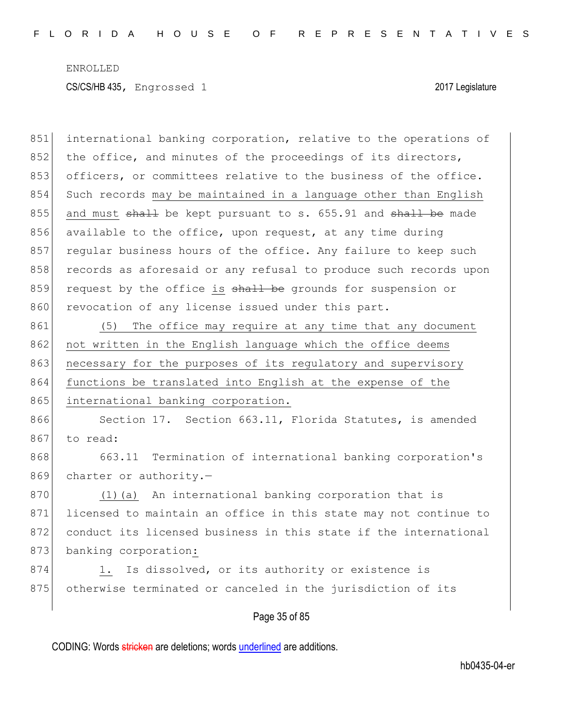Page 35 of 85 851 international banking corporation, relative to the operations of 852 the office, and minutes of the proceedings of its directors, 853 officers, or committees relative to the business of the office. 854 Such records may be maintained in a language other than English 855 and must  $shall$  be kept pursuant to s. 655.91 and  $shall$  be made 856 available to the office, upon request, at any time during 857 regular business hours of the office. Any failure to keep such 858 records as aforesaid or any refusal to produce such records upon 859 request by the office is shall be grounds for suspension or 860 revocation of any license issued under this part. 861 (5) The office may require at any time that any document 862 not written in the English language which the office deems 863 necessary for the purposes of its regulatory and supervisory 864 functions be translated into English at the expense of the 865 international banking corporation. 866 Section 17. Section 663.11, Florida Statutes, is amended 867 to read: 868 663.11 Termination of international banking corporation's 869 charter or authority.-870 (1)(a) An international banking corporation that is 871 licensed to maintain an office in this state may not continue to 872 conduct its licensed business in this state if the international 873 banking corporation: 874 1. Is dissolved, or its authority or existence is 875 otherwise terminated or canceled in the jurisdiction of its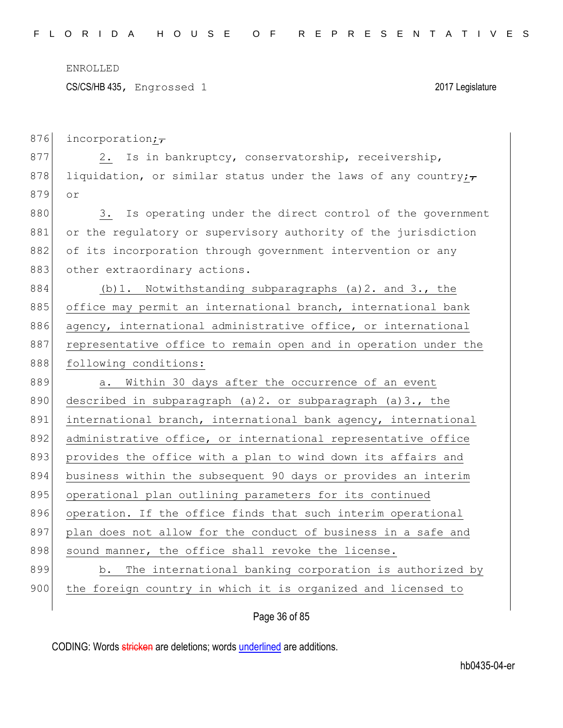CS/CS/HB 435, Engrossed 1 2017 Legislature

876 incorporation; $\tau$ 877 2. Is in bankruptcy, conservatorship, receivership, 878 liquidation, or similar status under the laws of any country; 879 or 880 3. Is operating under the direct control of the government 881 or the regulatory or supervisory authority of the jurisdiction 882 of its incorporation through government intervention or any 883 other extraordinary actions. 884 (b)1. Notwithstanding subparagraphs (a)2. and 3., the 885 office may permit an international branch, international bank 886 agency, international administrative office, or international 887 representative office to remain open and in operation under the 888 following conditions: 889 a. Within 30 days after the occurrence of an event 890 described in subparagraph (a) 2. or subparagraph (a) 3., the 891 international branch, international bank agency, international 892 administrative office, or international representative office 893 provides the office with a plan to wind down its affairs and 894 business within the subsequent 90 days or provides an interim 895 operational plan outlining parameters for its continued 896 operation. If the office finds that such interim operational 897 plan does not allow for the conduct of business in a safe and 898 sound manner, the office shall revoke the license. 899 b. The international banking corporation is authorized by 900 the foreign country in which it is organized and licensed to

Page 36 of 85

CODING: Words stricken are deletions; words underlined are additions.

hb0435-04-er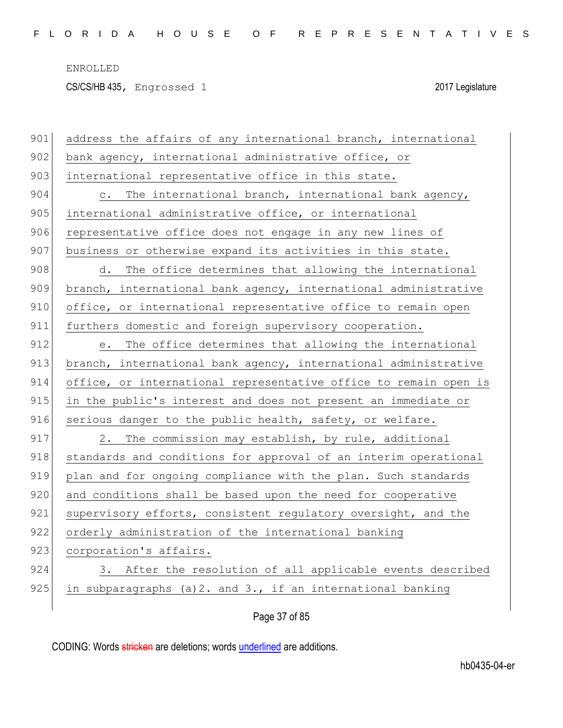CS/CS/HB 435, Engrossed 1 2017 Legislature

| 901 | address the affairs of any international branch, international   |
|-----|------------------------------------------------------------------|
| 902 | bank agency, international administrative office, or             |
| 903 | international representative office in this state.               |
| 904 | c. The international branch, international bank agency,          |
| 905 | international administrative office, or international            |
| 906 | representative office does not engage in any new lines of        |
| 907 | business or otherwise expand its activities in this state.       |
| 908 | d. The office determines that allowing the international         |
| 909 | branch, international bank agency, international administrative  |
| 910 | office, or international representative office to remain open    |
| 911 | furthers domestic and foreign supervisory cooperation.           |
| 912 | The office determines that allowing the international<br>e.      |
| 913 | branch, international bank agency, international administrative  |
| 914 | office, or international representative office to remain open is |
| 915 | in the public's interest and does not present an immediate or    |
| 916 | serious danger to the public health, safety, or welfare.         |
| 917 | 2. The commission may establish, by rule, additional             |
| 918 | standards and conditions for approval of an interim operational  |
| 919 | plan and for ongoing compliance with the plan. Such standards    |
| 920 | and conditions shall be based upon the need for cooperative      |
| 921 | supervisory efforts, consistent regulatory oversight, and the    |
| 922 | orderly administration of the international banking              |
| 923 | corporation's affairs.                                           |
| 924 | 3. After the resolution of all applicable events described       |
| 925 | in subparagraphs (a) 2. and 3., if an international banking      |
|     |                                                                  |

Page 37 of 85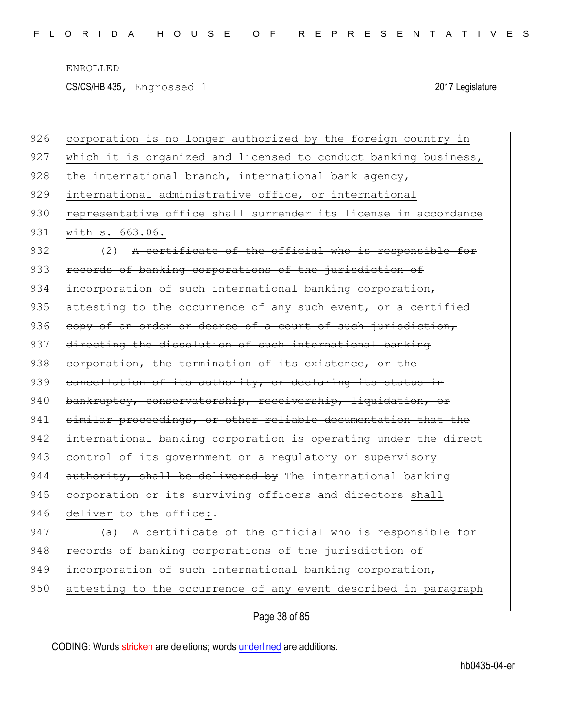CS/CS/HB 435, Engrossed 1 2017 Legislature

| 926 | corporation is no longer authorized by the foreign country in   |
|-----|-----------------------------------------------------------------|
| 927 | which it is organized and licensed to conduct banking business, |
| 928 | the international branch, international bank agency,            |
| 929 | international administrative office, or international           |
| 930 | representative office shall surrender its license in accordance |
| 931 | with s. 663.06.                                                 |
| 932 | (2) A certificate of the official who is responsible for        |
| 933 | records of banking corporations of the jurisdiction of          |
| 934 | incorporation of such international banking corporation,        |
| 935 | attesting to the occurrence of any such event, or a certified   |
| 936 | copy of an order or decree of a court of such jurisdiction,     |
| 937 | directing the dissolution of such international banking         |
| 938 | corporation, the termination of its existence, or the           |
| 939 | cancellation of its authority, or declaring its status in       |
| 940 | bankruptcy, conservatorship, receivership, liquidation, or      |
| 941 | similar proceedings, or other reliable documentation that the   |
| 942 | international banking corporation is operating under the direct |
| 943 | control of its government or a regulatory or supervisory        |
| 944 | authority, shall be delivered by The international banking      |
| 945 | corporation or its surviving officers and directors shall       |
| 946 | deliver to the office:-                                         |
| 947 | (a) A certificate of the official who is responsible for        |
| 948 | records of banking corporations of the jurisdiction of          |
| 949 | incorporation of such international banking corporation,        |
| 950 | attesting to the occurrence of any event described in paragraph |
|     |                                                                 |

Page 38 of 85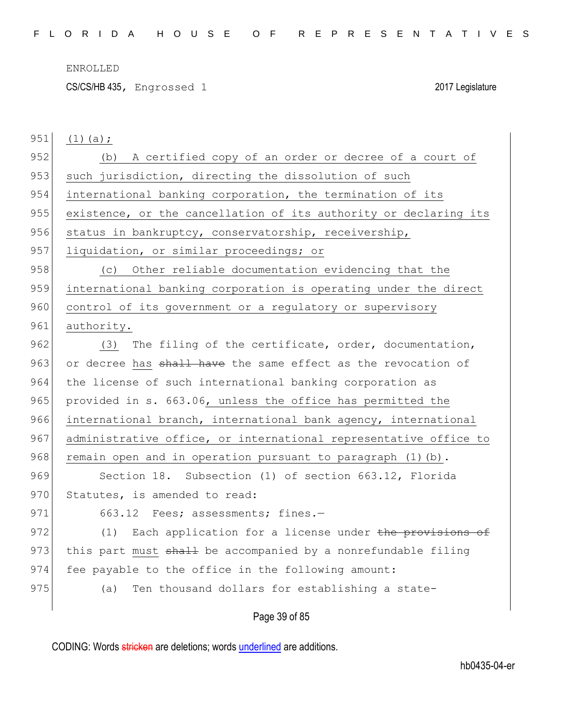CS/CS/HB 435, Engrossed 1 2017 Legislature

| 951 | $(1)$ (a); |  |
|-----|------------|--|
|-----|------------|--|

952 (b) A certified copy of an order or decree of a court of 953 such jurisdiction, directing the dissolution of such 954 international banking corporation, the termination of its 955 existence, or the cancellation of its authority or declaring its 956 status in bankruptcy, conservatorship, receivership, 957 liquidation, or similar proceedings; or 958 (c) Other reliable documentation evidencing that the 959 international banking corporation is operating under the direct 960 control of its government or a regulatory or supervisory 961 authority. 962 (3) The filing of the certificate, order, documentation, 963 or decree has shall have the same effect as the revocation of 964 the license of such international banking corporation as 965 provided in s. 663.06, unless the office has permitted the 966 international branch, international bank agency, international 967 administrative office, or international representative office to 968 remain open and in operation pursuant to paragraph  $(1)$  (b). 969 Section 18. Subsection (1) of section 663.12, Florida 970 Statutes, is amended to read: 971 663.12 Fees; assessments; fines.-972 (1) Each application for a license under the provisions of 973 this part must shall be accompanied by a nonrefundable filing 974 fee payable to the office in the following amount: 975 (a) Ten thousand dollars for establishing a state-

Page 39 of 85

CODING: Words stricken are deletions; words underlined are additions.

hb0435-04-er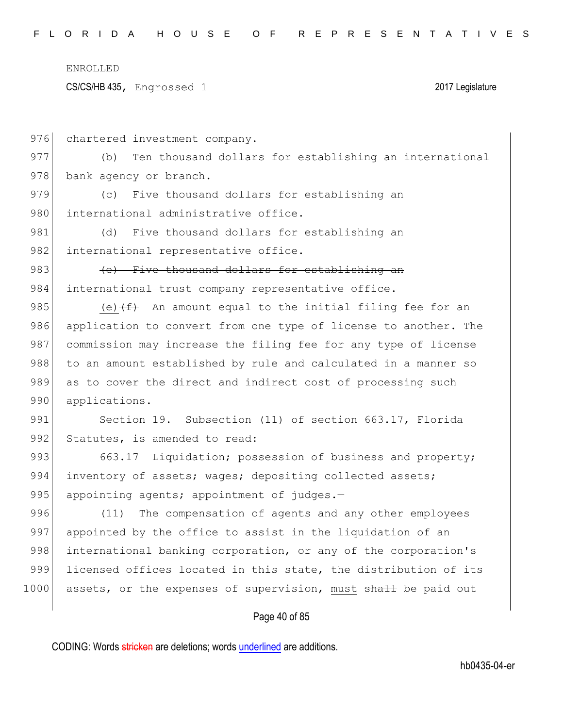CS/CS/HB 435, Engrossed 1 2017 Legislature

Page 40 of 85 976 chartered investment company. 977 (b) Ten thousand dollars for establishing an international 978 bank agency or branch. 979 (c) Five thousand dollars for establishing an 980 international administrative office. 981 (d) Five thousand dollars for establishing an 982 international representative office. 983 (e) Five thousand dollars for establishing an 984 international trust company representative office. 985 (e) $(f+$  An amount equal to the initial filing fee for an 986 application to convert from one type of license to another. The 987 commission may increase the filing fee for any type of license 988 to an amount established by rule and calculated in a manner so 989 as to cover the direct and indirect cost of processing such 990 applications. 991 Section 19. Subsection (11) of section 663.17, Florida 992 Statutes, is amended to read: 993 663.17 Liquidation; possession of business and property; 994 inventory of assets; wages; depositing collected assets; 995 appointing agents; appointment of judges. $-$ 996 (11) The compensation of agents and any other employees 997 appointed by the office to assist in the liquidation of an 998 international banking corporation, or any of the corporation's 999 licensed offices located in this state, the distribution of its 1000 assets, or the expenses of supervision, must shall be paid out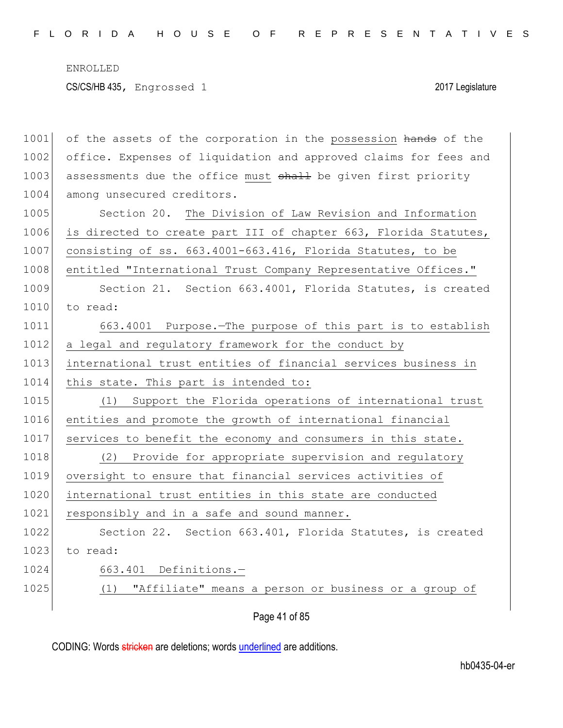ENROLLED CS/CS/HB 435, Engrossed 1 2017 Legislature

| 1001 | of the assets of the corporation in the possession hands of the  |
|------|------------------------------------------------------------------|
| 1002 | office. Expenses of liquidation and approved claims for fees and |
| 1003 | assessments due the office must shall be given first priority    |
| 1004 | among unsecured creditors.                                       |
| 1005 | Section 20. The Division of Law Revision and Information         |
| 1006 | is directed to create part III of chapter 663, Florida Statutes, |
| 1007 | consisting of ss. 663.4001-663.416, Florida Statutes, to be      |
| 1008 | entitled "International Trust Company Representative Offices."   |
| 1009 | Section 21. Section 663.4001, Florida Statutes, is created       |
| 1010 | to read:                                                         |
| 1011 | 663.4001 Purpose. The purpose of this part is to establish       |
| 1012 | a legal and regulatory framework for the conduct by              |
| 1013 | international trust entities of financial services business in   |
| 1014 | this state. This part is intended to:                            |
| 1015 | Support the Florida operations of international trust<br>(1)     |
| 1016 | entities and promote the growth of international financial       |
| 1017 | services to benefit the economy and consumers in this state.     |
| 1018 | (2) Provide for appropriate supervision and regulatory           |
| 1019 | oversight to ensure that financial services activities of        |
| 1020 | international trust entities in this state are conducted         |
| 1021 | responsibly and in a safe and sound manner.                      |
| 1022 | Section 22. Section 663.401, Florida Statutes, is created        |
| 1023 | to read:                                                         |
| 1024 | 663.401 Definitions.-                                            |
| 1025 | (1) "Affiliate" means a person or business or a group of         |
|      |                                                                  |

Page 41 of 85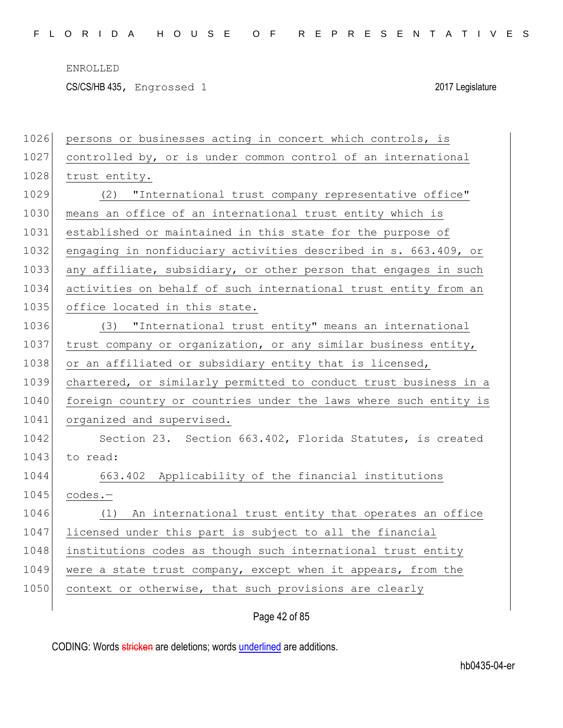CS/CS/HB 435, Engrossed 1 2017 Legislature

| 1026 | persons or businesses acting in concert which controls, is       |
|------|------------------------------------------------------------------|
| 1027 | controlled by, or is under common control of an international    |
| 1028 | trust entity.                                                    |
| 1029 | (2) "International trust company representative office"          |
| 1030 | means an office of an international trust entity which is        |
| 1031 | established or maintained in this state for the purpose of       |
| 1032 | engaging in nonfiduciary activities described in s. 663.409, or  |
| 1033 | any affiliate, subsidiary, or other person that engages in such  |
| 1034 | activities on behalf of such international trust entity from an  |
| 1035 | office located in this state.                                    |
| 1036 | "International trust entity" means an international<br>(3)       |
| 1037 | trust company or organization, or any similar business entity,   |
| 1038 | or an affiliated or subsidiary entity that is licensed,          |
| 1039 | chartered, or similarly permitted to conduct trust business in a |
| 1040 | foreign country or countries under the laws where such entity is |
| 1041 | organized and supervised.                                        |
| 1042 | Section 23. Section 663.402, Florida Statutes, is created        |
| 1043 | to read:                                                         |
| 1044 | 663.402 Applicability of the financial institutions              |
| 1045 | codes.-                                                          |
| 1046 | An international trust entity that operates an office<br>(1)     |
| 1047 |                                                                  |
|      | licensed under this part is subject to all the financial         |
| 1048 | institutions codes as though such international trust entity     |
| 1049 | were a state trust company, except when it appears, from the     |
| 1050 | context or otherwise, that such provisions are clearly           |

Page 42 of 85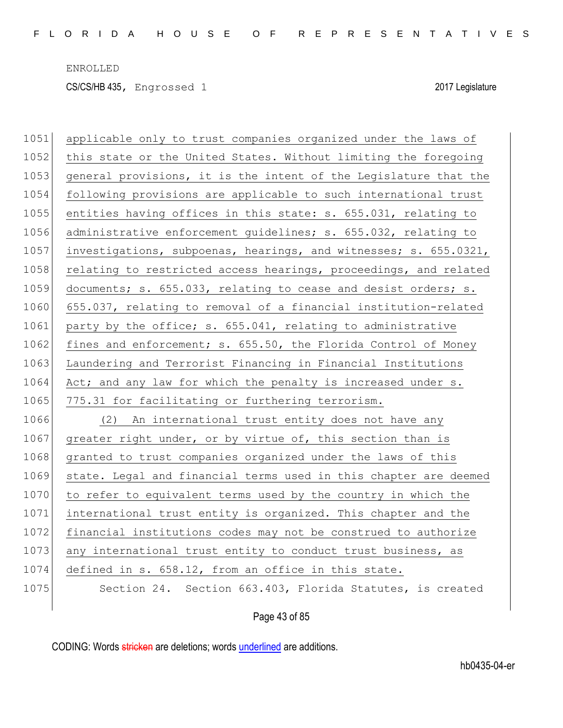CS/CS/HB 435, Engrossed 1 2017 Legislature

1051 applicable only to trust companies organized under the laws of 1052 this state or the United States. Without limiting the foregoing 1053 general provisions, it is the intent of the Legislature that the 1054 following provisions are applicable to such international trust 1055 entities having offices in this state: s. 655.031, relating to 1056 administrative enforcement guidelines; s. 655.032, relating to 1057 investigations, subpoenas, hearings, and witnesses; s. 655.0321, 1058 relating to restricted access hearings, proceedings, and related 1059 documents; s. 655.033, relating to cease and desist orders; s. 1060 655.037, relating to removal of a financial institution-related 1061 party by the office; s. 655.041, relating to administrative 1062 fines and enforcement; s. 655.50, the Florida Control of Money 1063 Laundering and Terrorist Financing in Financial Institutions 1064 Act; and any law for which the penalty is increased under s. 1065 775.31 for facilitating or furthering terrorism. 1066 (2) An international trust entity does not have any 1067 greater right under, or by virtue of, this section than is 1068 granted to trust companies organized under the laws of this 1069 state. Legal and financial terms used in this chapter are deemed 1070 to refer to equivalent terms used by the country in which the 1071 international trust entity is organized. This chapter and the 1072 financial institutions codes may not be construed to authorize 1073 any international trust entity to conduct trust business, as 1074 defined in s. 658.12, from an office in this state. 1075 Section 24. Section 663.403, Florida Statutes, is created

Page 43 of 85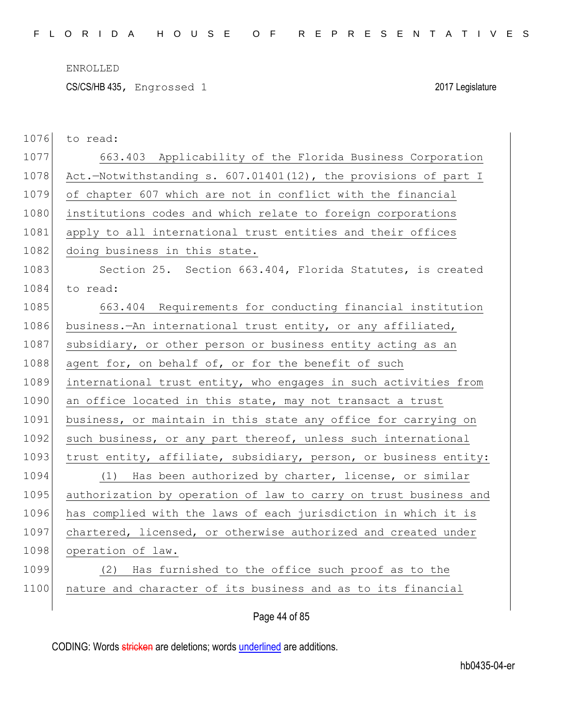CS/CS/HB 435, Engrossed 1 2017 Legislature

| 1076 | to read:                                                         |
|------|------------------------------------------------------------------|
| 1077 | 663.403 Applicability of the Florida Business Corporation        |
| 1078 | Act.-Notwithstanding s. 607.01401(12), the provisions of part I  |
| 1079 | of chapter 607 which are not in conflict with the financial      |
| 1080 | institutions codes and which relate to foreign corporations      |
| 1081 | apply to all international trust entities and their offices      |
| 1082 | doing business in this state.                                    |
| 1083 | Section 25. Section 663.404, Florida Statutes, is created        |
| 1084 | to read:                                                         |
| 1085 | 663.404 Requirements for conducting financial institution        |
| 1086 | business.—An international trust entity, or any affiliated,      |
| 1087 | subsidiary, or other person or business entity acting as an      |
| 1088 | agent for, on behalf of, or for the benefit of such              |
| 1089 | international trust entity, who engages in such activities from  |
| 1090 | an office located in this state, may not transact a trust        |
| 1091 | business, or maintain in this state any office for carrying on   |
| 1092 | such business, or any part thereof, unless such international    |
| 1093 | trust entity, affiliate, subsidiary, person, or business entity: |
| 1094 | (1) Has been authorized by charter, license, or similar          |
| 1095 | authorization by operation of law to carry on trust business and |
| 1096 | has complied with the laws of each jurisdiction in which it is   |
| 1097 | chartered, licensed, or otherwise authorized and created under   |
| 1098 | operation of law.                                                |
| 1099 | Has furnished to the office such proof as to the<br>(2)          |
| 1100 | nature and character of its business and as to its financial     |
|      |                                                                  |

Page 44 of 85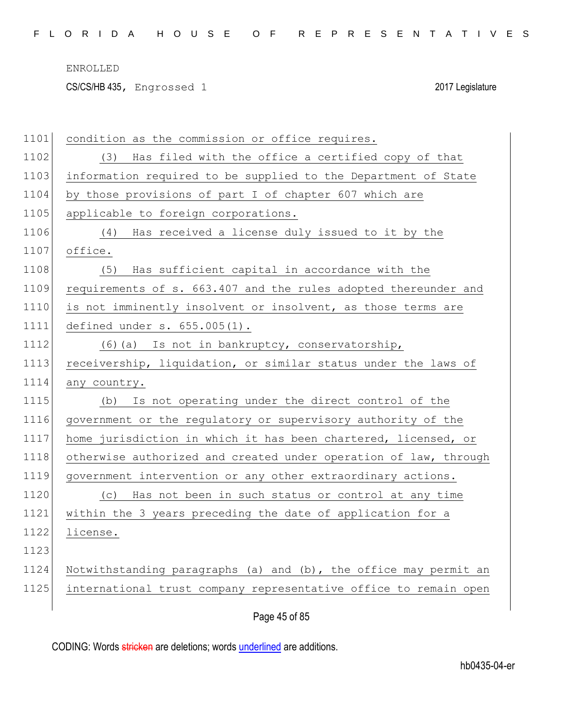CS/CS/HB 435, Engrossed 1 2017 Legislature

| 1101 | condition as the commission or office requires.                  |
|------|------------------------------------------------------------------|
| 1102 | Has filed with the office a certified copy of that<br>(3)        |
| 1103 | information required to be supplied to the Department of State   |
| 1104 | by those provisions of part I of chapter 607 which are           |
| 1105 | applicable to foreign corporations.                              |
| 1106 | Has received a license duly issued to it by the<br>(4)           |
| 1107 | office.                                                          |
| 1108 | Has sufficient capital in accordance with the<br>(5)             |
| 1109 | requirements of s. 663.407 and the rules adopted thereunder and  |
| 1110 | is not imminently insolvent or insolvent, as those terms are     |
| 1111 | defined under s. 655.005(1).                                     |
| 1112 | (6) (a) Is not in bankruptcy, conservatorship,                   |
| 1113 | receivership, liquidation, or similar status under the laws of   |
| 1114 | any country.                                                     |
| 1115 | Is not operating under the direct control of the<br>(b)          |
| 1116 | government or the regulatory or supervisory authority of the     |
| 1117 | home jurisdiction in which it has been chartered, licensed, or   |
| 1118 | otherwise authorized and created under operation of law, through |
| 1119 | government intervention or any other extraordinary actions.      |
| 1120 | Has not been in such status or control at any time<br>(C)        |
| 1121 | within the 3 years preceding the date of application for a       |
| 1122 | license.                                                         |
| 1123 |                                                                  |
| 1124 | Notwithstanding paragraphs (a) and (b), the office may permit an |
| 1125 | international trust company representative office to remain open |
|      | Page 45 of 85                                                    |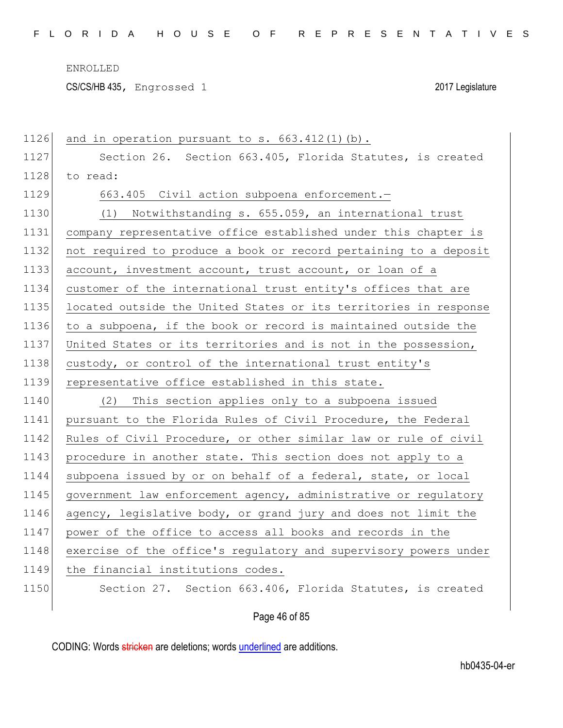CS/CS/HB 435, Engrossed 1 2017 Legislature

| 1126 | and in operation pursuant to $s. 663.412(1)(b)$ .                |
|------|------------------------------------------------------------------|
| 1127 | Section 26. Section 663.405, Florida Statutes, is created        |
| 1128 | to read:                                                         |
| 1129 | 663.405 Civil action subpoena enforcement.-                      |
| 1130 | (1) Notwithstanding s. 655.059, an international trust           |
| 1131 | company representative office established under this chapter is  |
| 1132 | not required to produce a book or record pertaining to a deposit |
| 1133 | account, investment account, trust account, or loan of a         |
| 1134 | customer of the international trust entity's offices that are    |
| 1135 | located outside the United States or its territories in response |
| 1136 | to a subpoena, if the book or record is maintained outside the   |
| 1137 | United States or its territories and is not in the possession,   |
| 1138 | custody, or control of the international trust entity's          |
| 1139 | representative office established in this state.                 |
| 1140 | (2) This section applies only to a subpoena issued               |
| 1141 | pursuant to the Florida Rules of Civil Procedure, the Federal    |
| 1142 | Rules of Civil Procedure, or other similar law or rule of civil  |
| 1143 | procedure in another state. This section does not apply to a     |
| 1144 | subpoena issued by or on behalf of a federal, state, or local    |
| 1145 | government law enforcement agency, administrative or regulatory  |
| 1146 | agency, legislative body, or grand jury and does not limit the   |
| 1147 | power of the office to access all books and records in the       |
| 1148 | exercise of the office's regulatory and supervisory powers under |
| 1149 | the financial institutions codes.                                |
| 1150 | Section 27. Section 663.406, Florida Statutes, is created        |
|      | Page 46 of 85                                                    |
|      |                                                                  |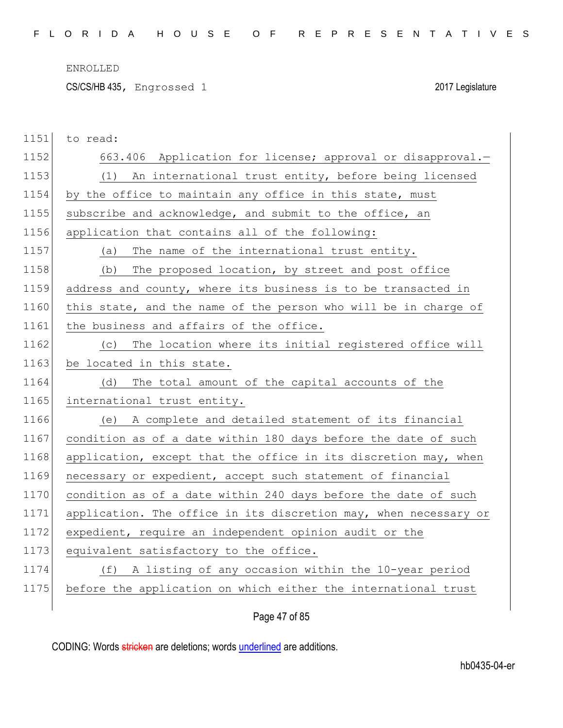CS/CS/HB 435, Engrossed 1 2017 Legislature

| 1151 | to read:                                                         |
|------|------------------------------------------------------------------|
| 1152 | 663.406 Application for license; approval or disapproval.-       |
| 1153 | (1) An international trust entity, before being licensed         |
| 1154 | by the office to maintain any office in this state, must         |
| 1155 | subscribe and acknowledge, and submit to the office, an          |
| 1156 | application that contains all of the following:                  |
| 1157 | The name of the international trust entity.<br>(a)               |
| 1158 | The proposed location, by street and post office<br>(b)          |
| 1159 | address and county, where its business is to be transacted in    |
| 1160 | this state, and the name of the person who will be in charge of  |
| 1161 | the business and affairs of the office.                          |
| 1162 | The location where its initial registered office will<br>(C)     |
| 1163 | be located in this state.                                        |
| 1164 | The total amount of the capital accounts of the<br>(d)           |
| 1165 | international trust entity.                                      |
| 1166 | (e) A complete and detailed statement of its financial           |
| 1167 | condition as of a date within 180 days before the date of such   |
| 1168 | application, except that the office in its discretion may, when  |
| 1169 | necessary or expedient, accept such statement of financial       |
| 1170 | condition as of a date within 240 days before the date of such   |
| 1171 | application. The office in its discretion may, when necessary or |
| 1172 | expedient, require an independent opinion audit or the           |
| 1173 | equivalent satisfactory to the office.                           |
| 1174 | A listing of any occasion within the 10-year period<br>(f)       |
| 1175 | before the application on which either the international trust   |
|      |                                                                  |

# Page 47 of 85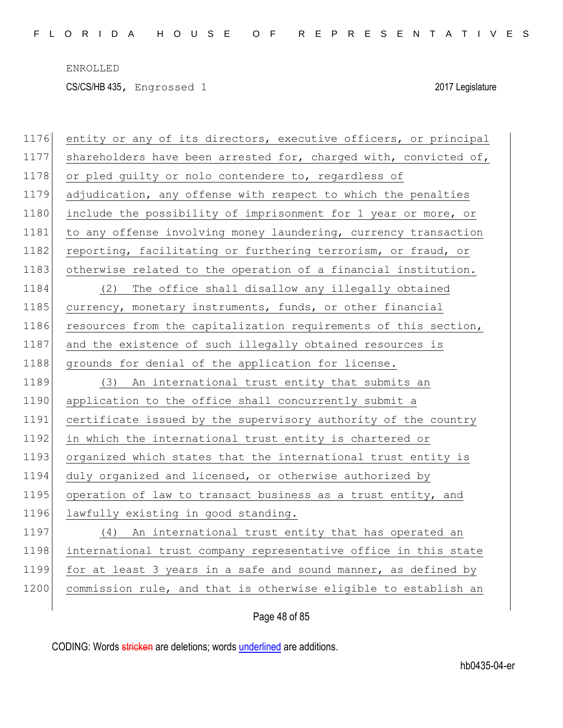ENROLLED CS/CS/HB 435, Engrossed 1 2017 Legislature

| 1176 | entity or any of its directors, executive officers, or principal |
|------|------------------------------------------------------------------|
| 1177 | shareholders have been arrested for, charged with, convicted of, |
| 1178 | or pled guilty or nolo contendere to, regardless of              |
| 1179 | adjudication, any offense with respect to which the penalties    |
| 1180 | include the possibility of imprisonment for 1 year or more, or   |
| 1181 | to any offense involving money laundering, currency transaction  |
| 1182 | reporting, facilitating or furthering terrorism, or fraud, or    |
| 1183 | otherwise related to the operation of a financial institution.   |
| 1184 | The office shall disallow any illegally obtained<br>(2)          |
| 1185 | currency, monetary instruments, funds, or other financial        |
| 1186 | resources from the capitalization requirements of this section,  |
| 1187 | and the existence of such illegally obtained resources is        |
| 1188 | grounds for denial of the application for license.               |
| 1189 | An international trust entity that submits an<br>(3)             |
|      |                                                                  |
| 1190 | application to the office shall concurrently submit a            |
| 1191 | certificate issued by the supervisory authority of the country   |
| 1192 | in which the international trust entity is chartered or          |
| 1193 | organized which states that the international trust entity is    |
| 1194 | duly organized and licensed, or otherwise authorized by          |
| 1195 | operation of law to transact business as a trust entity, and     |
| 1196 | lawfully existing in good standing.                              |
| 1197 | (4) An international trust entity that has operated an           |
| 1198 | international trust company representative office in this state  |
| 1199 | for at least 3 years in a safe and sound manner, as defined by   |
| 1200 | commission rule, and that is otherwise eligible to establish an  |

# Page 48 of 85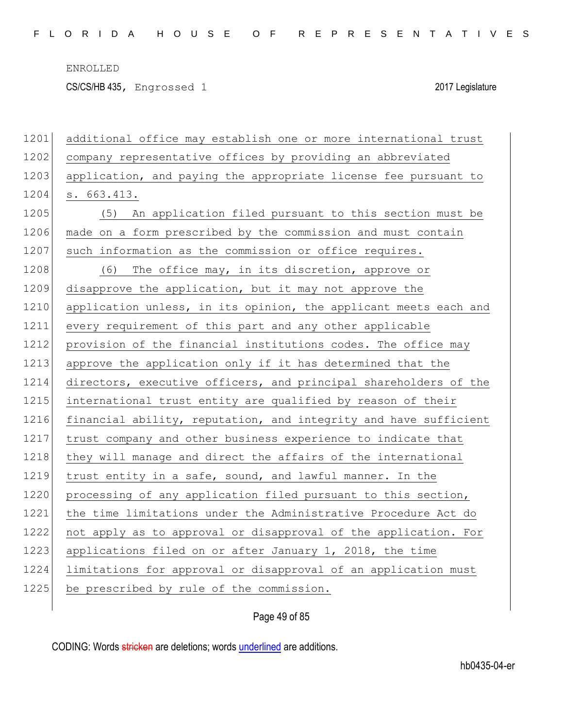CS/CS/HB 435, Engrossed 1 2017 Legislature

| 1201 | additional office may establish one or more international trust  |
|------|------------------------------------------------------------------|
| 1202 | company representative offices by providing an abbreviated       |
| 1203 | application, and paying the appropriate license fee pursuant to  |
| 1204 | s. 663.413.                                                      |
| 1205 | An application filed pursuant to this section must be<br>(5)     |
| 1206 | made on a form prescribed by the commission and must contain     |
| 1207 | such information as the commission or office requires.           |
| 1208 | (6) The office may, in its discretion, approve or                |
| 1209 | disapprove the application, but it may not approve the           |
| 1210 | application unless, in its opinion, the applicant meets each and |
| 1211 | every requirement of this part and any other applicable          |
| 1212 | provision of the financial institutions codes. The office may    |
| 1213 | approve the application only if it has determined that the       |
| 1214 | directors, executive officers, and principal shareholders of the |
| 1215 | international trust entity are qualified by reason of their      |
| 1216 | financial ability, reputation, and integrity and have sufficient |
| 1217 | trust company and other business experience to indicate that     |
| 1218 | they will manage and direct the affairs of the international     |
| 1219 | trust entity in a safe, sound, and lawful manner. In the         |
| 1220 | processing of any application filed pursuant to this section,    |
| 1221 | the time limitations under the Administrative Procedure Act do   |
| 1222 | not apply as to approval or disapproval of the application. For  |
| 1223 | applications filed on or after January 1, 2018, the time         |
| 1224 | limitations for approval or disapproval of an application must   |
| 1225 | be prescribed by rule of the commission.                         |
|      |                                                                  |

# Page 49 of 85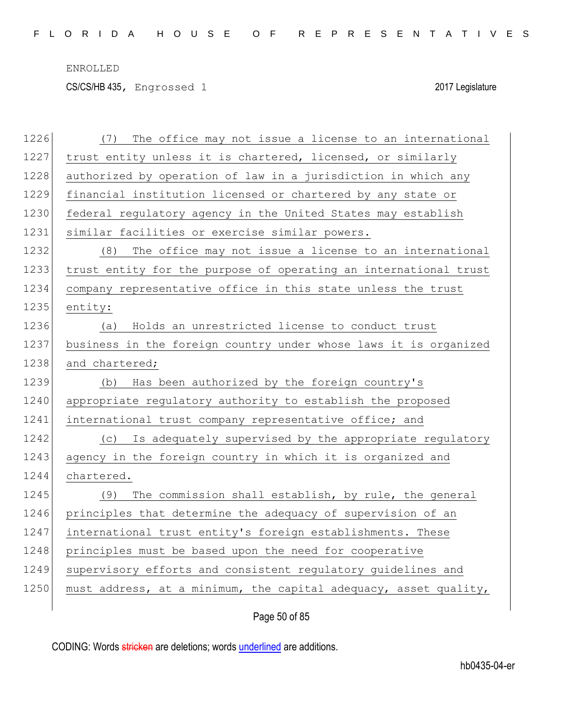CS/CS/HB 435, Engrossed 1 2017 Legislature

| 1226 | The office may not issue a license to an international<br>(7)    |
|------|------------------------------------------------------------------|
| 1227 | trust entity unless it is chartered, licensed, or similarly      |
| 1228 | authorized by operation of law in a jurisdiction in which any    |
| 1229 | financial institution licensed or chartered by any state or      |
| 1230 | federal regulatory agency in the United States may establish     |
| 1231 | similar facilities or exercise similar powers.                   |
| 1232 | The office may not issue a license to an international<br>(8)    |
| 1233 | trust entity for the purpose of operating an international trust |
| 1234 | company representative office in this state unless the trust     |
| 1235 | entity:                                                          |
| 1236 | Holds an unrestricted license to conduct trust<br>(a)            |
| 1237 | business in the foreign country under whose laws it is organized |
| 1238 | and chartered;                                                   |
| 1239 | Has been authorized by the foreign country's<br>(b)              |
| 1240 | appropriate regulatory authority to establish the proposed       |
| 1241 | international trust company representative office; and           |
| 1242 | (c) Is adequately supervised by the appropriate regulatory       |
| 1243 | agency in the foreign country in which it is organized and       |
| 1244 | chartered.                                                       |
| 1245 | The commission shall establish, by rule, the general<br>(9)      |
| 1246 | principles that determine the adequacy of supervision of an      |
| 1247 | international trust entity's foreign establishments. These       |
|      |                                                                  |
| 1248 | principles must be based upon the need for cooperative           |
| 1249 | supervisory efforts and consistent regulatory guidelines and     |
| 1250 | must address, at a minimum, the capital adequacy, asset quality, |

Page 50 of 85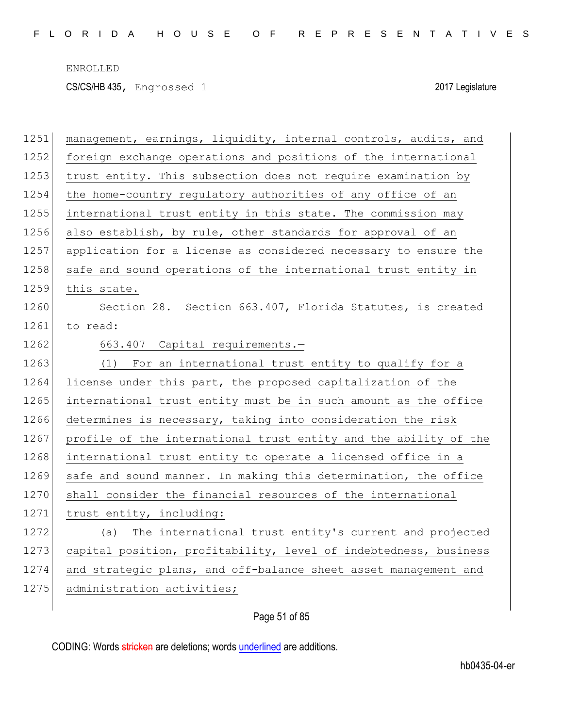CS/CS/HB 435, Engrossed 1 2017 Legislature

| 1251 | management, earnings, liquidity, internal controls, audits, and  |
|------|------------------------------------------------------------------|
| 1252 | foreign exchange operations and positions of the international   |
| 1253 | trust entity. This subsection does not require examination by    |
| 1254 | the home-country regulatory authorities of any office of an      |
| 1255 | international trust entity in this state. The commission may     |
| 1256 | also establish, by rule, other standards for approval of an      |
| 1257 | application for a license as considered necessary to ensure the  |
| 1258 | safe and sound operations of the international trust entity in   |
| 1259 | this state.                                                      |
| 1260 | Section 28. Section 663.407, Florida Statutes, is created        |
| 1261 | to read:                                                         |
| 1262 | 663.407 Capital requirements.-                                   |
| 1263 | (1) For an international trust entity to qualify for a           |
| 1264 | license under this part, the proposed capitalization of the      |
| 1265 | international trust entity must be in such amount as the office  |
| 1266 | determines is necessary, taking into consideration the risk      |
| 1267 | profile of the international trust entity and the ability of the |
| 1268 | international trust entity to operate a licensed office in a     |
| 1269 | safe and sound manner. In making this determination, the office  |
| 1270 | shall consider the financial resources of the international      |
| 1271 | trust entity, including:                                         |
| 1272 | (a) The international trust entity's current and projected       |
| 1273 | capital position, profitability, level of indebtedness, business |
| 1274 | and strategic plans, and off-balance sheet asset management and  |
| 1275 | administration activities;                                       |
|      |                                                                  |

# Page 51 of 85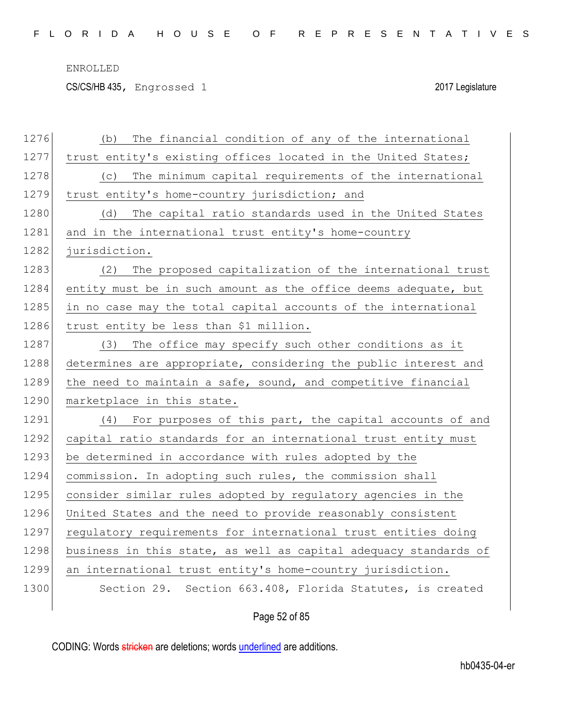CS/CS/HB 435, Engrossed 1 2017 Legislature

| 1276 | The financial condition of any of the international<br>(b)       |
|------|------------------------------------------------------------------|
| 1277 | trust entity's existing offices located in the United States;    |
| 1278 | The minimum capital requirements of the international<br>(C)     |
| 1279 | trust entity's home-country jurisdiction; and                    |
| 1280 | The capital ratio standards used in the United States<br>(d)     |
| 1281 | and in the international trust entity's home-country             |
| 1282 | jurisdiction.                                                    |
| 1283 | (2)<br>The proposed capitalization of the international trust    |
| 1284 | entity must be in such amount as the office deems adequate, but  |
| 1285 | in no case may the total capital accounts of the international   |
| 1286 | trust entity be less than \$1 million.                           |
| 1287 | (3) The office may specify such other conditions as it           |
| 1288 | determines are appropriate, considering the public interest and  |
| 1289 | the need to maintain a safe, sound, and competitive financial    |
| 1290 | marketplace in this state.                                       |
| 1291 | (4) For purposes of this part, the capital accounts of and       |
| 1292 | capital ratio standards for an international trust entity must   |
| 1293 | be determined in accordance with rules adopted by the            |
| 1294 | commission. In adopting such rules, the commission shall         |
| 1295 | consider similar rules adopted by regulatory agencies in the     |
| 1296 | United States and the need to provide reasonably consistent      |
| 1297 | regulatory requirements for international trust entities doing   |
| 1298 | business in this state, as well as capital adequacy standards of |
| 1299 | an international trust entity's home-country jurisdiction.       |
| 1300 | Section 29. Section 663.408, Florida Statutes, is created        |
|      | Page 52 of 85                                                    |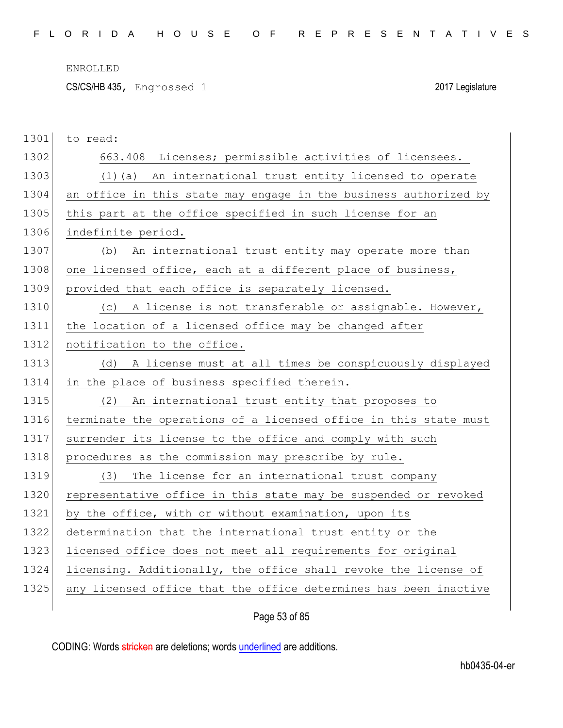CS/CS/HB 435, Engrossed 1 2017 Legislature

| 1301 | to read:                                                         |
|------|------------------------------------------------------------------|
| 1302 | 663.408 Licenses; permissible activities of licensees.-          |
| 1303 | (1)(a) An international trust entity licensed to operate         |
| 1304 | an office in this state may engage in the business authorized by |
| 1305 | this part at the office specified in such license for an         |
| 1306 | indefinite period.                                               |
| 1307 | (b) An international trust entity may operate more than          |
| 1308 | one licensed office, each at a different place of business,      |
| 1309 | provided that each office is separately licensed.                |
| 1310 | (c) A license is not transferable or assignable. However,        |
| 1311 | the location of a licensed office may be changed after           |
| 1312 | notification to the office.                                      |
| 1313 | A license must at all times be conspicuously displayed<br>(d)    |
|      |                                                                  |
| 1314 | in the place of business specified therein.                      |
| 1315 | An international trust entity that proposes to<br>(2)            |
| 1316 | terminate the operations of a licensed office in this state must |
| 1317 | surrender its license to the office and comply with such         |
| 1318 | procedures as the commission may prescribe by rule.              |
| 1319 | The license for an international trust company<br>(3)            |
| 1320 | representative office in this state may be suspended or revoked  |
| 1321 | by the office, with or without examination, upon its             |
| 1322 | determination that the international trust entity or the         |
| 1323 | licensed office does not meet all requirements for original      |
| 1324 | licensing. Additionally, the office shall revoke the license of  |
| 1325 | any licensed office that the office determines has been inactive |

Page 53 of 85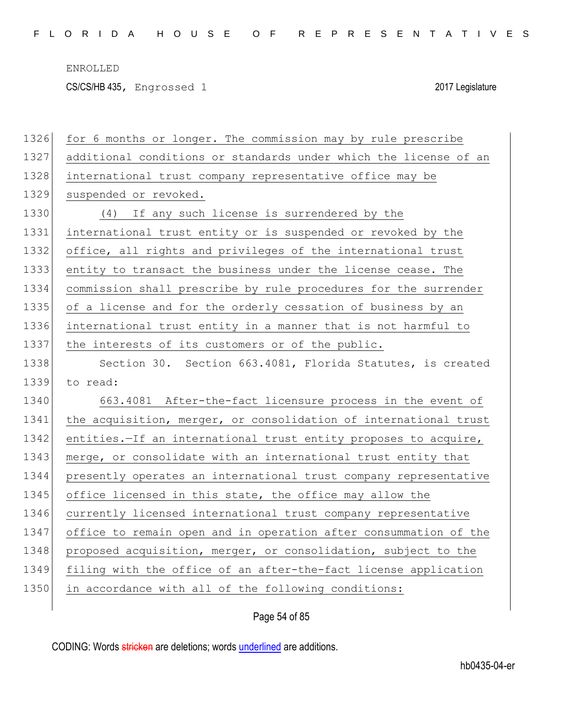CS/CS/HB 435, Engrossed 1 2017 Legislature

| 1326 | for 6 months or longer. The commission may by rule prescribe     |
|------|------------------------------------------------------------------|
| 1327 | additional conditions or standards under which the license of an |
| 1328 | international trust company representative office may be         |
| 1329 | suspended or revoked.                                            |
| 1330 | (4) If any such license is surrendered by the                    |
| 1331 | international trust entity or is suspended or revoked by the     |
| 1332 | office, all rights and privileges of the international trust     |
| 1333 | entity to transact the business under the license cease. The     |
| 1334 | commission shall prescribe by rule procedures for the surrender  |
| 1335 | of a license and for the orderly cessation of business by an     |
| 1336 | international trust entity in a manner that is not harmful to    |
| 1337 | the interests of its customers or of the public.                 |
| 1338 | Section 30. Section 663.4081, Florida Statutes, is created       |
|      |                                                                  |
| 1339 | to read:                                                         |
| 1340 | 663.4081 After-the-fact licensure process in the event of        |
| 1341 | the acquisition, merger, or consolidation of international trust |
| 1342 | entities. If an international trust entity proposes to acquire,  |
| 1343 | merge, or consolidate with an international trust entity that    |
| 1344 | presently operates an international trust company representative |
| 1345 | office licensed in this state, the office may allow the          |
| 1346 | currently licensed international trust company representative    |
| 1347 | office to remain open and in operation after consummation of the |
| 1348 | proposed acquisition, merger, or consolidation, subject to the   |
| 1349 | filing with the office of an after-the-fact license application  |
| 1350 | in accordance with all of the following conditions:              |

Page 54 of 85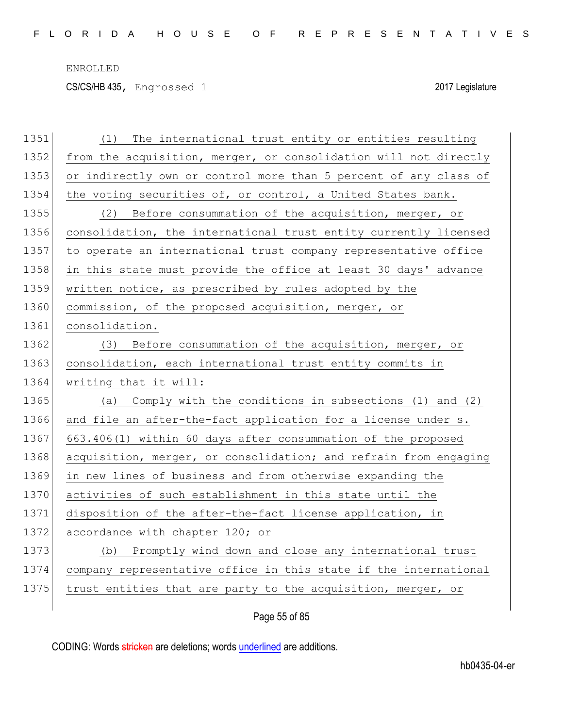CS/CS/HB 435, Engrossed 1 2017 Legislature

| 1351 | The international trust entity or entities resulting<br>(1)      |
|------|------------------------------------------------------------------|
| 1352 | from the acquisition, merger, or consolidation will not directly |
| 1353 | or indirectly own or control more than 5 percent of any class of |
| 1354 | the voting securities of, or control, a United States bank.      |
| 1355 | (2) Before consummation of the acquisition, merger, or           |
| 1356 | consolidation, the international trust entity currently licensed |
| 1357 | to operate an international trust company representative office  |
| 1358 | in this state must provide the office at least 30 days' advance  |
| 1359 | written notice, as prescribed by rules adopted by the            |
| 1360 | commission, of the proposed acquisition, merger, or              |
| 1361 | consolidation.                                                   |
| 1362 | (3) Before consummation of the acquisition, merger, or           |
| 1363 | consolidation, each international trust entity commits in        |
|      |                                                                  |
| 1364 | writing that it will:                                            |
| 1365 | Comply with the conditions in subsections (1) and (2)<br>(a)     |
| 1366 | and file an after-the-fact application for a license under s.    |
| 1367 | 663.406(1) within 60 days after consummation of the proposed     |
| 1368 | acquisition, merger, or consolidation; and refrain from engaging |
| 1369 | in new lines of business and from otherwise expanding the        |
| 1370 | activities of such establishment in this state until the         |
| 1371 | disposition of the after-the-fact license application, in        |
| 1372 | accordance with chapter 120; or                                  |
| 1373 | (b) Promptly wind down and close any international trust         |
| 1374 | company representative office in this state if the international |
| 1375 | trust entities that are party to the acquisition, merger, or     |

Page 55 of 85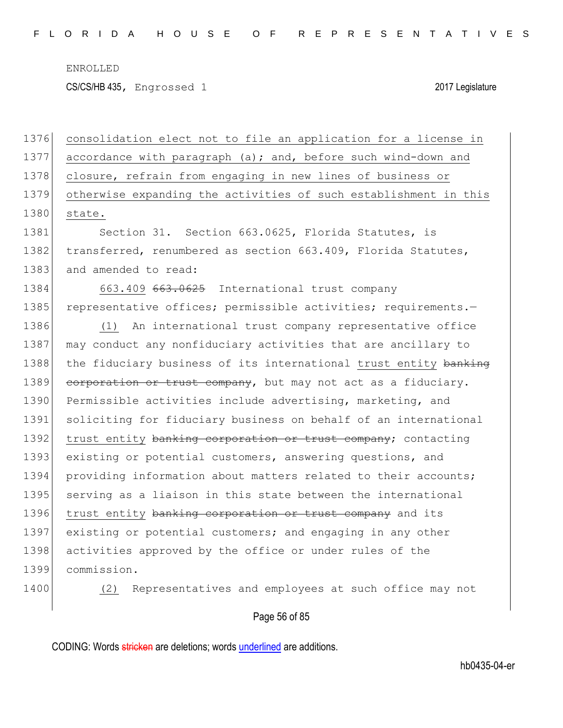CS/CS/HB 435, Engrossed 1 2017 Legislature

1376 consolidation elect not to file an application for a license in 1377 accordance with paragraph (a); and, before such wind-down and 1378 closure, refrain from engaging in new lines of business or 1379 otherwise expanding the activities of such establishment in this 1380 state. 1381 Section 31. Section 663.0625, Florida Statutes, is 1382 transferred, renumbered as section 663.409, Florida Statutes, 1383 and amended to read: 1384 663.409 663.0625 International trust company 1385 representative offices; permissible activities; requirements.-1386 (1) An international trust company representative office 1387 may conduct any nonfiduciary activities that are ancillary to 1388 the fiduciary business of its international trust entity banking 1389 corporation or trust company, but may not act as a fiduciary. 1390 Permissible activities include advertising, marketing, and 1391 soliciting for fiduciary business on behalf of an international 1392 trust entity banking corporation or trust company; contacting 1393 existing or potential customers, answering questions, and 1394 providing information about matters related to their accounts; 1395 serving as a liaison in this state between the international 1396 trust entity banking corporation or trust company and its 1397 existing or potential customers; and engaging in any other 1398 activities approved by the office or under rules of the 1399 commission.

1400 (2) Representatives and employees at such office may not

## Page 56 of 85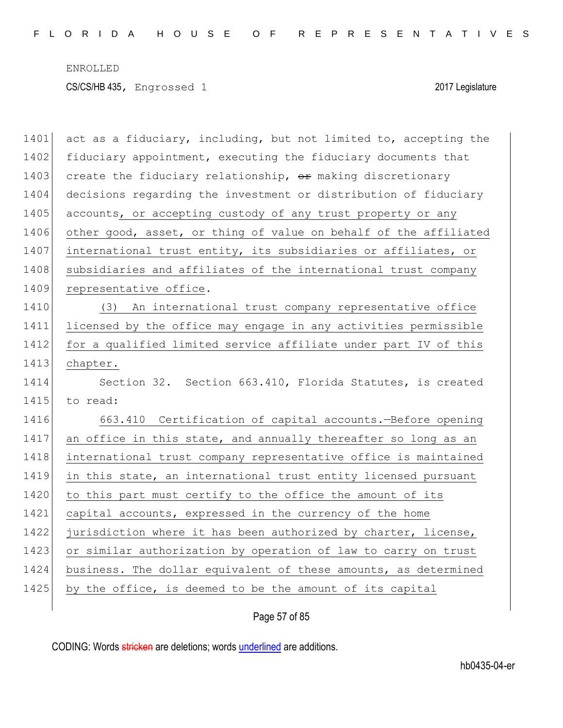ENROLLED CS/CS/HB 435, Engrossed 1 2017 Legislature

| 1401 | act as a fiduciary, including, but not limited to, accepting the |
|------|------------------------------------------------------------------|
| 1402 | fiduciary appointment, executing the fiduciary documents that    |
| 1403 | create the fiduciary relationship, or making discretionary       |
| 1404 | decisions regarding the investment or distribution of fiduciary  |
| 1405 | accounts, or accepting custody of any trust property or any      |
| 1406 | other good, asset, or thing of value on behalf of the affiliated |
| 1407 | international trust entity, its subsidiaries or affiliates, or   |
| 1408 | subsidiaries and affiliates of the international trust company   |
| 1409 | representative office.                                           |
| 1410 | (3) An international trust company representative office         |
| 1411 | licensed by the office may engage in any activities permissible  |
| 1412 | for a qualified limited service affiliate under part IV of this  |
| 1413 | chapter.                                                         |
| 1414 | Section 32. Section 663.410, Florida Statutes, is created        |
| 1415 | to read:                                                         |
| 1416 | 663.410 Certification of capital accounts. - Before opening      |
| 1417 | an office in this state, and annually thereafter so long as an   |
| 1418 | international trust company representative office is maintained  |
| 1419 | in this state, an international trust entity licensed pursuant   |
| 1420 | to this part must certify to the office the amount of its        |
| 1421 | capital accounts, expressed in the currency of the home          |
| 1422 | jurisdiction where it has been authorized by charter, license,   |
| 1423 | or similar authorization by operation of law to carry on trust   |
| 1424 | business. The dollar equivalent of these amounts, as determined  |
| 1425 | by the office, is deemed to be the amount of its capital         |
|      |                                                                  |

Page 57 of 85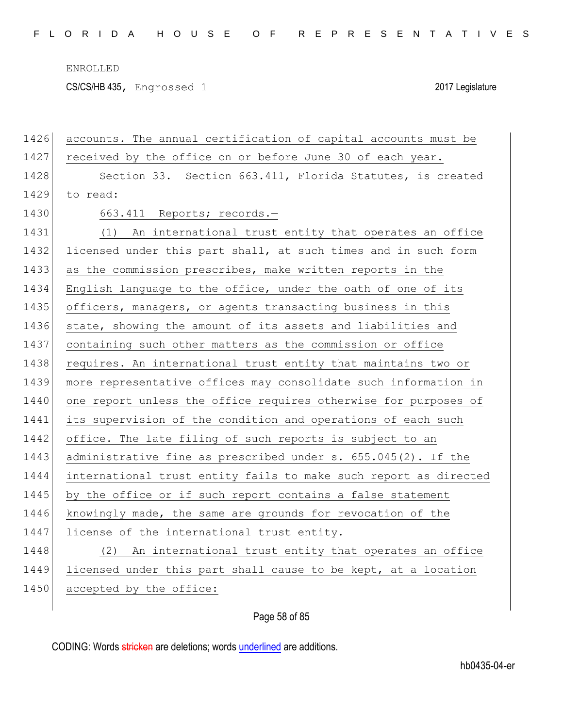CS/CS/HB 435, Engrossed 1 2017 Legislature

| 1426 | accounts. The annual certification of capital accounts must be   |
|------|------------------------------------------------------------------|
| 1427 | received by the office on or before June 30 of each year.        |
| 1428 | Section 33. Section 663.411, Florida Statutes, is created        |
| 1429 | to read:                                                         |
| 1430 | 663.411 Reports; records.-                                       |
| 1431 | (1) An international trust entity that operates an office        |
| 1432 | licensed under this part shall, at such times and in such form   |
| 1433 | as the commission prescribes, make written reports in the        |
| 1434 | English language to the office, under the oath of one of its     |
| 1435 | officers, managers, or agents transacting business in this       |
| 1436 | state, showing the amount of its assets and liabilities and      |
| 1437 | containing such other matters as the commission or office        |
| 1438 | requires. An international trust entity that maintains two or    |
| 1439 | more representative offices may consolidate such information in  |
| 1440 | one report unless the office requires otherwise for purposes of  |
| 1441 | its supervision of the condition and operations of each such     |
| 1442 | office. The late filing of such reports is subject to an         |
| 1443 | administrative fine as prescribed under s. 655.045(2). If the    |
| 1444 | international trust entity fails to make such report as directed |
| 1445 | by the office or if such report contains a false statement       |
| 1446 | knowingly made, the same are grounds for revocation of the       |
| 1447 | license of the international trust entity.                       |
| 1448 | An international trust entity that operates an office<br>(2)     |
| 1449 | licensed under this part shall cause to be kept, at a location   |
| 1450 | accepted by the office:                                          |
|      |                                                                  |

Page 58 of 85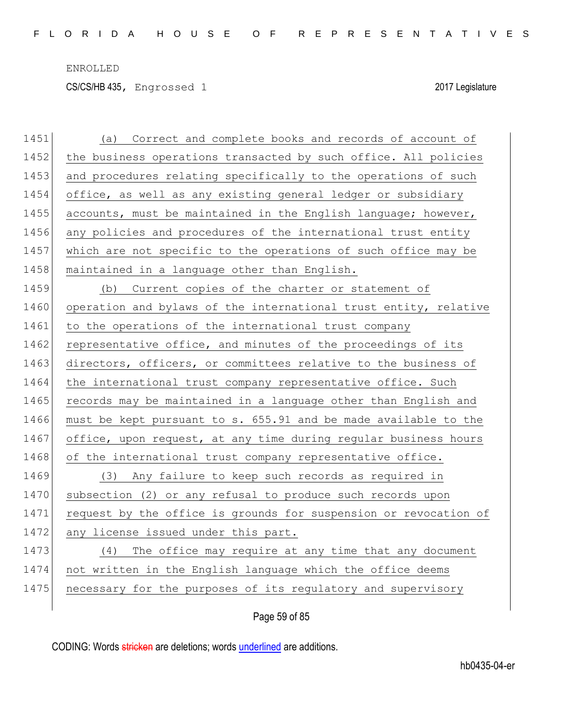CS/CS/HB 435, Engrossed 1 2017 Legislature

| 1451 | Correct and complete books and records of account of<br>(a)      |
|------|------------------------------------------------------------------|
| 1452 | the business operations transacted by such office. All policies  |
| 1453 | and procedures relating specifically to the operations of such   |
| 1454 | office, as well as any existing general ledger or subsidiary     |
| 1455 | accounts, must be maintained in the English language; however,   |
| 1456 | any policies and procedures of the international trust entity    |
| 1457 | which are not specific to the operations of such office may be   |
| 1458 | maintained in a language other than English.                     |
| 1459 | Current copies of the charter or statement of<br>(b)             |
| 1460 | operation and bylaws of the international trust entity, relative |
| 1461 | to the operations of the international trust company             |
| 1462 | representative office, and minutes of the proceedings of its     |
| 1463 | directors, officers, or committees relative to the business of   |
| 1464 | the international trust company representative office. Such      |
| 1465 | records may be maintained in a language other than English and   |
| 1466 | must be kept pursuant to s. 655.91 and be made available to the  |
| 1467 | office, upon request, at any time during regular business hours  |
| 1468 | of the international trust company representative office.        |
| 1469 | (3) Any failure to keep such records as required in              |
| 1470 | subsection (2) or any refusal to produce such records upon       |
| 1471 | request by the office is grounds for suspension or revocation of |
| 1472 | any license issued under this part.                              |
| 1473 | The office may require at any time that any document<br>(4)      |
| 1474 | not written in the English language which the office deems       |
| 1475 | necessary for the purposes of its regulatory and supervisory     |
|      |                                                                  |

Page 59 of 85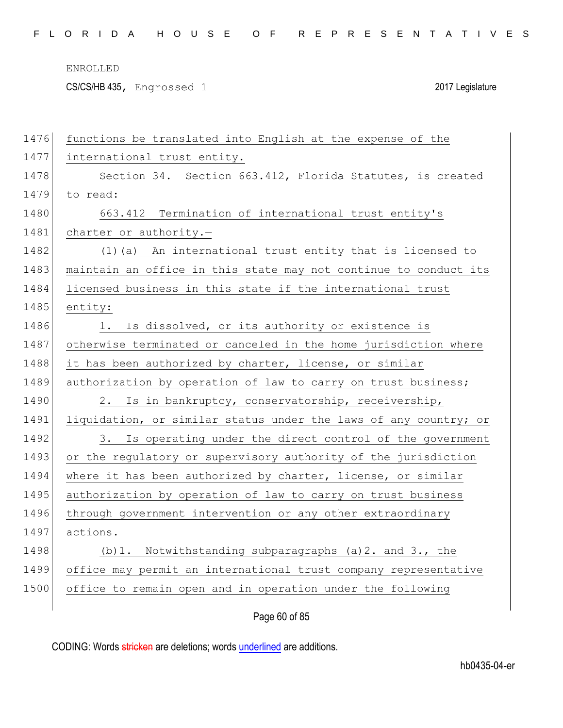CS/CS/HB 435, Engrossed 1 2017 Legislature

| 1476 | functions be translated into English at the expense of the       |
|------|------------------------------------------------------------------|
| 1477 | international trust entity.                                      |
| 1478 | Section 34. Section 663.412, Florida Statutes, is created        |
| 1479 | to read:                                                         |
| 1480 | 663.412 Termination of international trust entity's              |
| 1481 | charter or authority.-                                           |
| 1482 | (1) (a) An international trust entity that is licensed to        |
| 1483 | maintain an office in this state may not continue to conduct its |
| 1484 | licensed business in this state if the international trust       |
| 1485 | entity:                                                          |
| 1486 | Is dissolved, or its authority or existence is<br>1.             |
| 1487 | otherwise terminated or canceled in the home jurisdiction where  |
| 1488 | it has been authorized by charter, license, or similar           |
| 1489 | authorization by operation of law to carry on trust business;    |
| 1490 | 2. Is in bankruptcy, conservatorship, receivership,              |
| 1491 | liquidation, or similar status under the laws of any country; or |
| 1492 | 3. Is operating under the direct control of the government       |
| 1493 | or the regulatory or supervisory authority of the jurisdiction   |
| 1494 | where it has been authorized by charter, license, or similar     |
| 1495 | authorization by operation of law to carry on trust business     |
| 1496 | through government intervention or any other extraordinary       |
| 1497 | actions.                                                         |
| 1498 | Notwithstanding subparagraphs (a) 2. and 3., the<br>(b) 1.       |
| 1499 | office may permit an international trust company representative  |
| 1500 | office to remain open and in operation under the following       |
|      |                                                                  |

Page 60 of 85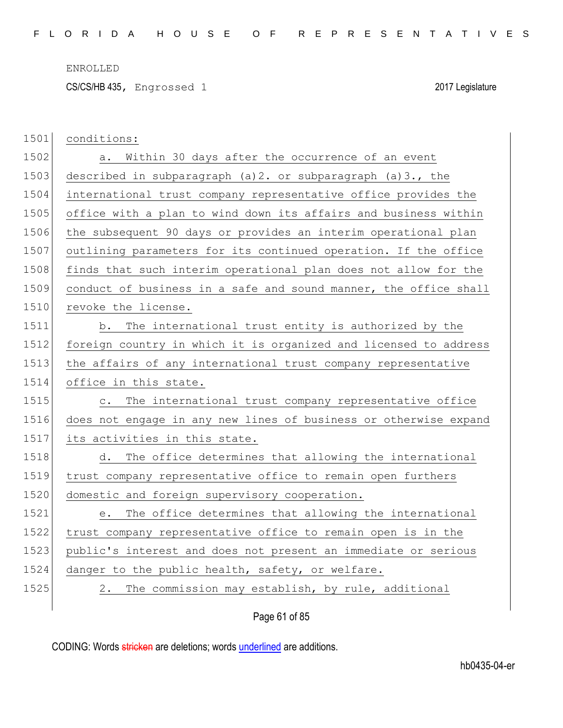CS/CS/HB 435, Engrossed 1 2017 Legislature

| 1501 | conditions:                                                            |
|------|------------------------------------------------------------------------|
| 1502 | Within 30 days after the occurrence of an event<br>а.                  |
| 1503 | described in subparagraph (a) 2. or subparagraph (a) 3., the           |
| 1504 | international trust company representative office provides the         |
| 1505 | office with a plan to wind down its affairs and business within        |
| 1506 | the subsequent 90 days or provides an interim operational plan         |
| 1507 | outlining parameters for its continued operation. If the office        |
| 1508 | finds that such interim operational plan does not allow for the        |
| 1509 | conduct of business in a safe and sound manner, the office shall       |
| 1510 | revoke the license.                                                    |
| 1511 | The international trust entity is authorized by the<br>b.              |
| 1512 | foreign country in which it is organized and licensed to address       |
| 1513 | the affairs of any international trust company representative          |
|      |                                                                        |
| 1514 | office in this state.                                                  |
| 1515 | The international trust company representative office<br>$\circ$ .     |
| 1516 | does not engage in any new lines of business or otherwise expand       |
| 1517 | its activities in this state.                                          |
| 1518 | d. The office determines that allowing the international               |
| 1519 | trust company representative office to remain open furthers            |
| 1520 | domestic and foreign supervisory cooperation.                          |
| 1521 | The office determines that allowing the international<br>$e_{\bullet}$ |
| 1522 | trust company representative office to remain open is in the           |
| 1523 | public's interest and does not present an immediate or serious         |
| 1524 | danger to the public health, safety, or welfare.                       |
| 1525 | 2. The commission may establish, by rule, additional                   |

# Page 61 of 85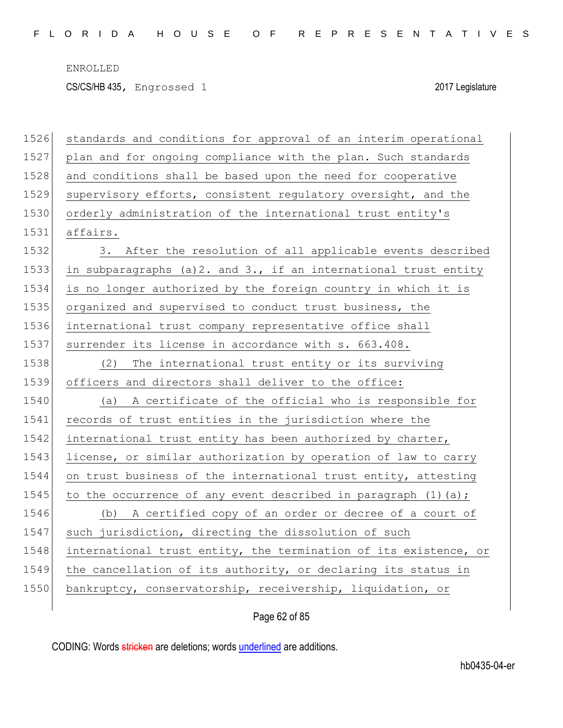CS/CS/HB 435, Engrossed 1 2017 Legislature

| 1526 | standards and conditions for approval of an interim operational  |
|------|------------------------------------------------------------------|
| 1527 | plan and for ongoing compliance with the plan. Such standards    |
| 1528 | and conditions shall be based upon the need for cooperative      |
| 1529 | supervisory efforts, consistent regulatory oversight, and the    |
| 1530 | orderly administration of the international trust entity's       |
| 1531 | affairs.                                                         |
| 1532 | 3. After the resolution of all applicable events described       |
| 1533 | in subparagraphs (a) 2. and 3., if an international trust entity |
| 1534 | is no longer authorized by the foreign country in which it is    |
| 1535 | organized and supervised to conduct trust business, the          |
| 1536 | international trust company representative office shall          |
| 1537 | surrender its license in accordance with s. 663.408.             |
| 1538 | The international trust entity or its surviving<br>(2)           |
| 1539 | officers and directors shall deliver to the office:              |
| 1540 | A certificate of the official who is responsible for<br>(a)      |
| 1541 | records of trust entities in the jurisdiction where the          |
| 1542 | international trust entity has been authorized by charter,       |
| 1543 | license, or similar authorization by operation of law to carry   |
| 1544 | on trust business of the international trust entity, attesting   |
| 1545 | to the occurrence of any event described in paragraph $(1)$ (a); |
| 1546 | (b) A certified copy of an order or decree of a court of         |
| 1547 | such jurisdiction, directing the dissolution of such             |
| 1548 | international trust entity, the termination of its existence, or |
| 1549 | the cancellation of its authority, or declaring its status in    |
| 1550 | bankruptcy, conservatorship, receivership, liquidation, or       |
|      |                                                                  |

Page 62 of 85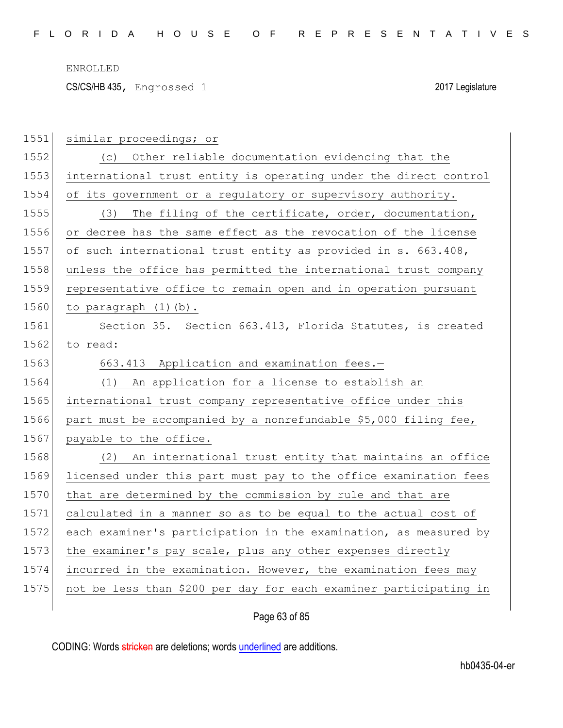CS/CS/HB 435, Engrossed 1 2017 Legislature

| 1551 | similar proceedings; or                                           |
|------|-------------------------------------------------------------------|
| 1552 | (c) Other reliable documentation evidencing that the              |
| 1553 | international trust entity is operating under the direct control  |
| 1554 | of its government or a regulatory or supervisory authority.       |
| 1555 | (3) The filing of the certificate, order, documentation,          |
| 1556 | or decree has the same effect as the revocation of the license    |
| 1557 | of such international trust entity as provided in s. 663.408,     |
| 1558 | unless the office has permitted the international trust company   |
| 1559 | representative office to remain open and in operation pursuant    |
| 1560 | to paragraph $(1)$ $(b)$ .                                        |
| 1561 | Section 35. Section 663.413, Florida Statutes, is created         |
| 1562 | to read:                                                          |
| 1563 | 663.413 Application and examination fees.-                        |
| 1564 | (1) An application for a license to establish an                  |
| 1565 | international trust company representative office under this      |
| 1566 | part must be accompanied by a nonrefundable \$5,000 filing fee,   |
| 1567 | payable to the office.                                            |
| 1568 | (2) An international trust entity that maintains an office        |
| 1569 | licensed under this part must pay to the office examination fees  |
| 1570 | that are determined by the commission by rule and that are        |
| 1571 | calculated in a manner so as to be equal to the actual cost of    |
| 1572 | each examiner's participation in the examination, as measured by  |
| 1573 | the examiner's pay scale, plus any other expenses directly        |
| 1574 | incurred in the examination. However, the examination fees may    |
| 1575 | not be less than \$200 per day for each examiner participating in |
|      |                                                                   |

Page 63 of 85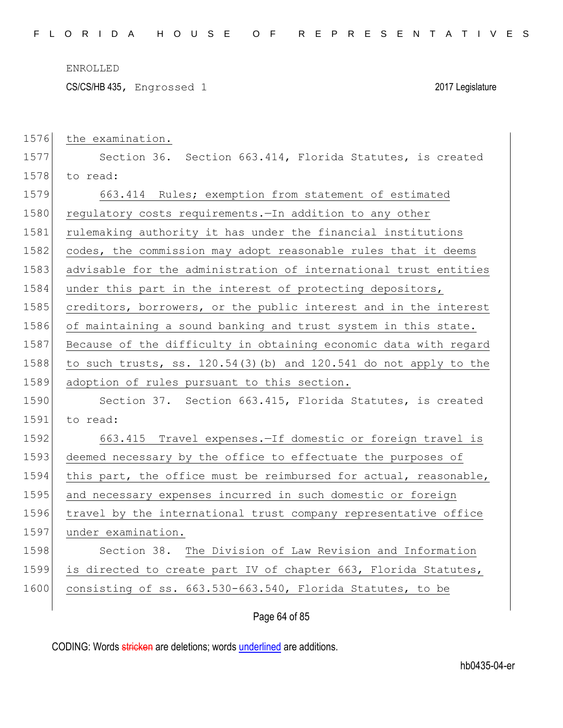CS/CS/HB 435, Engrossed 1 2017 Legislature

| 1576 | the examination.                                                 |
|------|------------------------------------------------------------------|
| 1577 | Section 36. Section 663.414, Florida Statutes, is created        |
| 1578 | to read:                                                         |
| 1579 | 663.414 Rules; exemption from statement of estimated             |
| 1580 | regulatory costs requirements. - In addition to any other        |
| 1581 | rulemaking authority it has under the financial institutions     |
| 1582 | codes, the commission may adopt reasonable rules that it deems   |
| 1583 | advisable for the administration of international trust entities |
| 1584 | under this part in the interest of protecting depositors,        |
| 1585 | creditors, borrowers, or the public interest and in the interest |
| 1586 | of maintaining a sound banking and trust system in this state.   |
| 1587 | Because of the difficulty in obtaining economic data with regard |
| 1588 | to such trusts, ss. 120.54(3)(b) and 120.541 do not apply to the |
|      |                                                                  |
| 1589 | adoption of rules pursuant to this section.                      |
| 1590 | Section 37. Section 663.415, Florida Statutes, is created        |
| 1591 | to read:                                                         |
| 1592 | 663.415 Travel expenses. - If domestic or foreign travel is      |
| 1593 | deemed necessary by the office to effectuate the purposes of     |
| 1594 | this part, the office must be reimbursed for actual, reasonable, |
| 1595 | and necessary expenses incurred in such domestic or foreign      |
| 1596 | travel by the international trust company representative office  |
| 1597 | under examination.                                               |
| 1598 | Section 38. The Division of Law Revision and Information         |
| 1599 | is directed to create part IV of chapter 663, Florida Statutes,  |
| 1600 | consisting of ss. 663.530-663.540, Florida Statutes, to be       |

# Page 64 of 85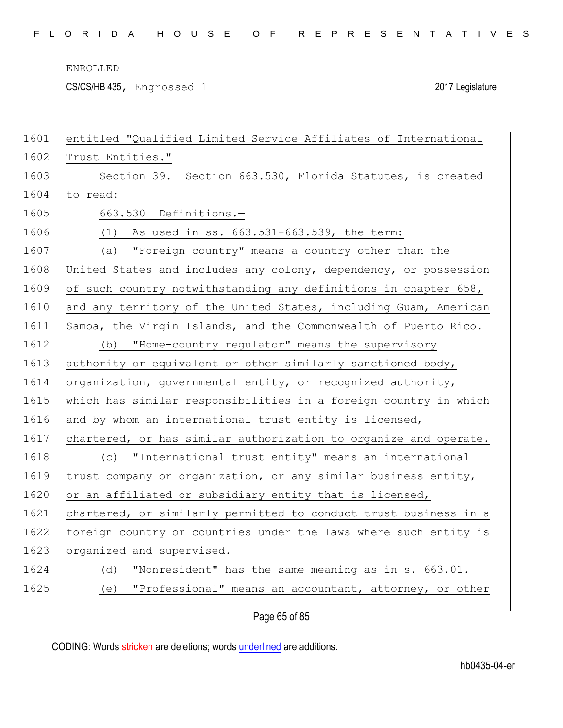CS/CS/HB 435, Engrossed 1 2017 Legislature

| 1601 | entitled "Qualified Limited Service Affiliates of International  |
|------|------------------------------------------------------------------|
| 1602 | Trust Entities."                                                 |
| 1603 | Section 39. Section 663.530, Florida Statutes, is created        |
| 1604 | to read:                                                         |
| 1605 | 663.530 Definitions.-                                            |
| 1606 | $(1)$ As used in ss. $663.531-663.539$ , the term:               |
| 1607 | (a) "Foreign country" means a country other than the             |
| 1608 | United States and includes any colony, dependency, or possession |
| 1609 | of such country notwithstanding any definitions in chapter 658,  |
| 1610 | and any territory of the United States, including Guam, American |
| 1611 | Samoa, the Virgin Islands, and the Commonwealth of Puerto Rico.  |
| 1612 | "Home-country regulator" means the supervisory<br>(b)            |
| 1613 | authority or equivalent or other similarly sanctioned body,      |
| 1614 | organization, governmental entity, or recognized authority,      |
| 1615 | which has similar responsibilities in a foreign country in which |
| 1616 | and by whom an international trust entity is licensed,           |
| 1617 | chartered, or has similar authorization to organize and operate. |
| 1618 | (c) "International trust entity" means an international          |
| 1619 | trust company or organization, or any similar business entity,   |
| 1620 | or an affiliated or subsidiary entity that is licensed,          |
| 1621 | chartered, or similarly permitted to conduct trust business in a |
| 1622 | foreign country or countries under the laws where such entity is |
| 1623 | organized and supervised.                                        |
| 1624 | "Nonresident" has the same meaning as in s. 663.01.<br>(d)       |
| 1625 | "Professional" means an accountant, attorney, or other<br>(e)    |
|      |                                                                  |

Page 65 of 85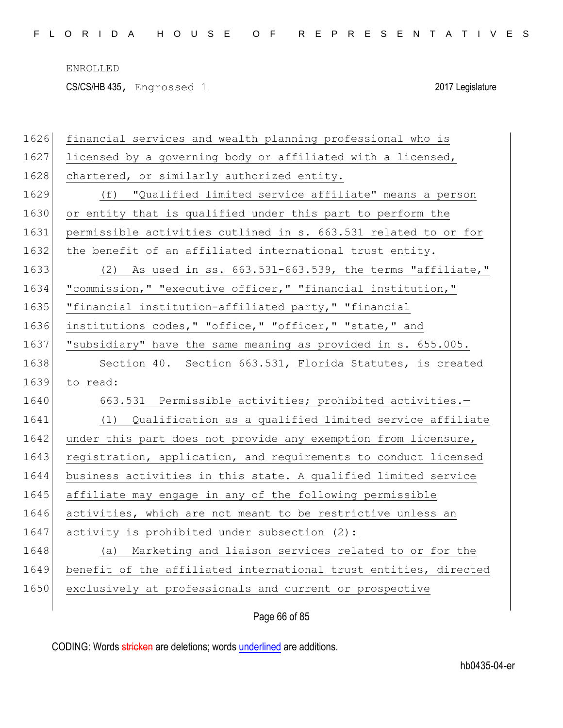CS/CS/HB 435, Engrossed 1 2017 Legislature

| 1626 | financial services and wealth planning professional who is       |
|------|------------------------------------------------------------------|
| 1627 | licensed by a governing body or affiliated with a licensed,      |
| 1628 | chartered, or similarly authorized entity.                       |
| 1629 | (f) "Qualified limited service affiliate" means a person         |
| 1630 | or entity that is qualified under this part to perform the       |
| 1631 | permissible activities outlined in s. 663.531 related to or for  |
| 1632 | the benefit of an affiliated international trust entity.         |
| 1633 | $(2)$ As used in ss. $663.531-663.539$ , the terms "affiliate,"  |
| 1634 | "commission," "executive officer," "financial institution,"      |
| 1635 | "financial institution-affiliated party," "financial             |
| 1636 | institutions codes, " "office, " "officer, " "state, " and       |
| 1637 | "subsidiary" have the same meaning as provided in s. 655.005.    |
| 1638 | Section 40. Section 663.531, Florida Statutes, is created        |
|      |                                                                  |
| 1639 | to read:                                                         |
| 1640 | 663.531 Permissible activities; prohibited activities.-          |
| 1641 | (1) Qualification as a qualified limited service affiliate       |
| 1642 | under this part does not provide any exemption from licensure,   |
| 1643 | registration, application, and requirements to conduct licensed  |
| 1644 | business activities in this state. A qualified limited service   |
| 1645 | affiliate may engage in any of the following permissible         |
| 1646 | activities, which are not meant to be restrictive unless an      |
| 1647 | activity is prohibited under subsection (2):                     |
| 1648 | Marketing and liaison services related to or for the<br>(a)      |
| 1649 | benefit of the affiliated international trust entities, directed |
| 1650 | exclusively at professionals and current or prospective          |

Page 66 of 85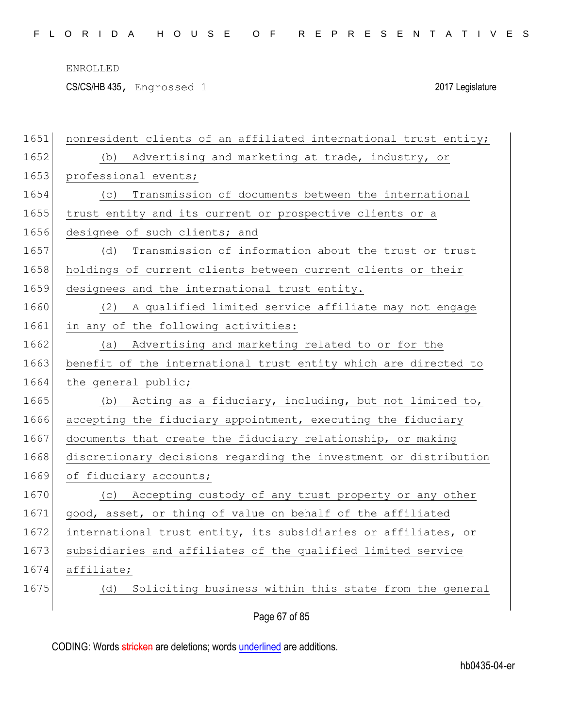CS/CS/HB 435, Engrossed 1 2017 Legislature

| 1651 | nonresident clients of an affiliated international trust entity; |
|------|------------------------------------------------------------------|
| 1652 | Advertising and marketing at trade, industry, or<br>(b)          |
| 1653 | professional events;                                             |
| 1654 | Transmission of documents between the international<br>(C)       |
| 1655 | trust entity and its current or prospective clients or a         |
| 1656 | designee of such clients; and                                    |
| 1657 | Transmission of information about the trust or trust<br>(d)      |
| 1658 | holdings of current clients between current clients or their     |
| 1659 | designees and the international trust entity.                    |
| 1660 | (2) A qualified limited service affiliate may not engage         |
| 1661 | in any of the following activities:                              |
| 1662 | Advertising and marketing related to or for the<br>(a)           |
| 1663 | benefit of the international trust entity which are directed to  |
| 1664 | the general public;                                              |
| 1665 | Acting as a fiduciary, including, but not limited to,<br>(b)     |
| 1666 | accepting the fiduciary appointment, executing the fiduciary     |
| 1667 | documents that create the fiduciary relationship, or making      |
| 1668 | discretionary decisions regarding the investment or distribution |
| 1669 | of fiduciary accounts;                                           |
| 1670 | (c) Accepting custody of any trust property or any other         |
| 1671 | good, asset, or thing of value on behalf of the affiliated       |
| 1672 | international trust entity, its subsidiaries or affiliates, or   |
| 1673 | subsidiaries and affiliates of the qualified limited service     |
| 1674 | affiliate;                                                       |
| 1675 | Soliciting business within this state from the general<br>(d)    |
|      |                                                                  |
|      | Page 67 of 85                                                    |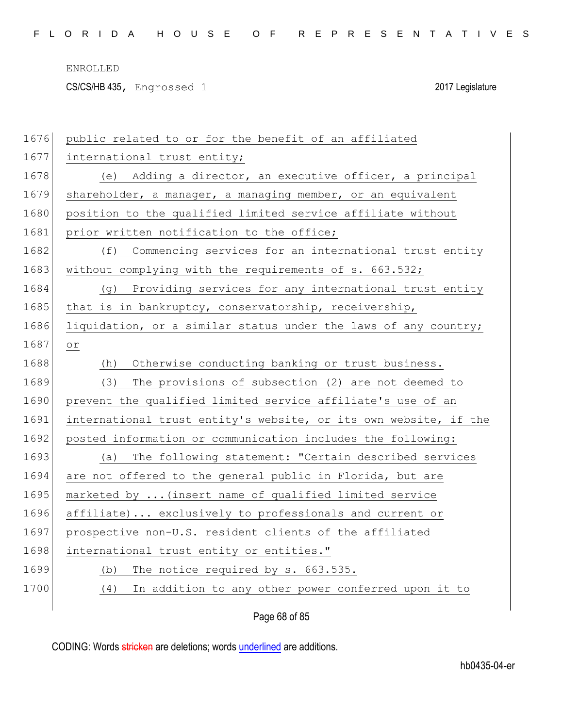CS/CS/HB 435, Engrossed 1 2017 Legislature

| 1676 | public related to or for the benefit of an affiliated            |
|------|------------------------------------------------------------------|
| 1677 | international trust entity;                                      |
| 1678 | (e) Adding a director, an executive officer, a principal         |
| 1679 | shareholder, a manager, a managing member, or an equivalent      |
| 1680 | position to the qualified limited service affiliate without      |
| 1681 | prior written notification to the office;                        |
| 1682 | Commencing services for an international trust entity<br>(f)     |
| 1683 | without complying with the requirements of s. 663.532;           |
| 1684 | (g) Providing services for any international trust entity        |
| 1685 | that is in bankruptcy, conservatorship, receivership,            |
| 1686 | liquidation, or a similar status under the laws of any country;  |
| 1687 | $\circ$ r                                                        |
| 1688 | Otherwise conducting banking or trust business.<br>(h)           |
| 1689 | The provisions of subsection (2) are not deemed to<br>(3)        |
| 1690 | prevent the qualified limited service affiliate's use of an      |
| 1691 | international trust entity's website, or its own website, if the |
| 1692 | posted information or communication includes the following:      |
| 1693 | The following statement: "Certain described services<br>(a)      |
| 1694 | are not offered to the general public in Florida, but are        |
| 1695 | marketed by  (insert name of qualified limited service           |
| 1696 | affiliate) exclusively to professionals and current or           |
| 1697 | prospective non-U.S. resident clients of the affiliated          |
| 1698 | international trust entity or entities."                         |
| 1699 | The notice required by s. 663.535.<br>(b)                        |
| 1700 | In addition to any other power conferred upon it to<br>(4)       |
|      |                                                                  |

# Page 68 of 85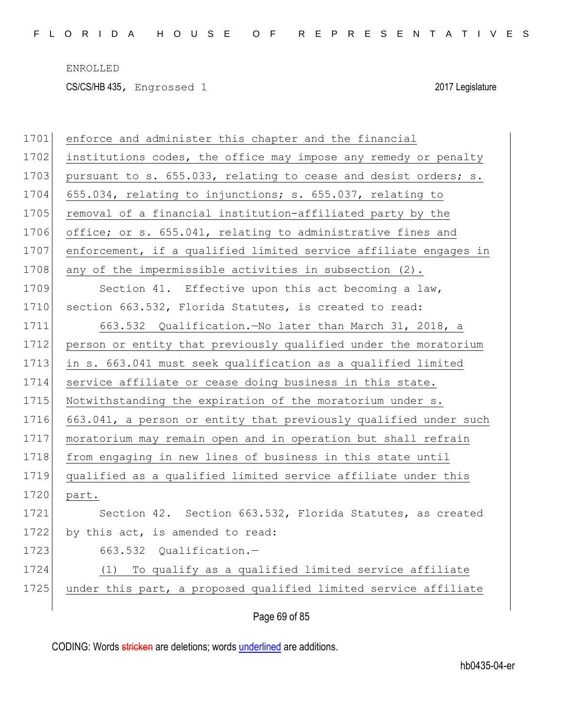CS/CS/HB 435, Engrossed 1 2017 Legislature

| 1701 | enforce and administer this chapter and the financial            |
|------|------------------------------------------------------------------|
| 1702 | institutions codes, the office may impose any remedy or penalty  |
| 1703 | pursuant to s. 655.033, relating to cease and desist orders; s.  |
| 1704 | 655.034, relating to injunctions; s. 655.037, relating to        |
| 1705 | removal of a financial institution-affiliated party by the       |
| 1706 | office; or s. 655.041, relating to administrative fines and      |
| 1707 | enforcement, if a qualified limited service affiliate engages in |
| 1708 | any of the impermissible activities in subsection (2).           |
| 1709 | Section 41. Effective upon this act becoming a law,              |
| 1710 | section 663.532, Florida Statutes, is created to read:           |
| 1711 | 663.532 Qualification. No later than March 31, 2018, a           |
| 1712 | person or entity that previously qualified under the moratorium  |
| 1713 | in s. 663.041 must seek qualification as a qualified limited     |
| 1714 | service affiliate or cease doing business in this state.         |
| 1715 | Notwithstanding the expiration of the moratorium under s.        |
| 1716 | 663.041, a person or entity that previously qualified under such |
| 1717 | moratorium may remain open and in operation but shall refrain    |
| 1718 | from engaging in new lines of business in this state until       |
| 1719 | qualified as a qualified limited service affiliate under this    |
| 1720 | part.                                                            |
| 1721 | Section 42. Section 663.532, Florida Statutes, as created        |
| 1722 | by this act, is amended to read:                                 |
| 1723 | 663.532 Qualification.-                                          |
| 1724 | To qualify as a qualified limited service affiliate<br>(1)       |
| 1725 | under this part, a proposed qualified limited service affiliate  |
|      |                                                                  |

Page 69 of 85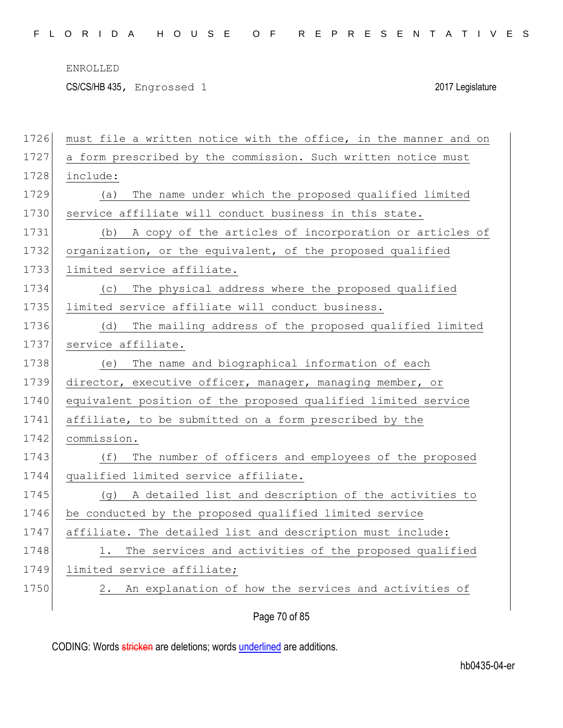CS/CS/HB 435, Engrossed 1 2017 Legislature

| 1726 | must file a written notice with the office, in the manner and on |
|------|------------------------------------------------------------------|
| 1727 | a form prescribed by the commission. Such written notice must    |
| 1728 | include:                                                         |
| 1729 | The name under which the proposed qualified limited<br>(a)       |
| 1730 | service affiliate will conduct business in this state.           |
| 1731 | A copy of the articles of incorporation or articles of<br>(b)    |
| 1732 | organization, or the equivalent, of the proposed qualified       |
| 1733 | limited service affiliate.                                       |
| 1734 | The physical address where the proposed qualified<br>(C)         |
| 1735 | limited service affiliate will conduct business.                 |
| 1736 | The mailing address of the proposed qualified limited<br>(d)     |
| 1737 | service affiliate.                                               |
| 1738 | The name and biographical information of each<br>(e)             |
| 1739 | director, executive officer, manager, managing member, or        |
| 1740 | equivalent position of the proposed qualified limited service    |
| 1741 | affiliate, to be submitted on a form prescribed by the           |
| 1742 | commission.                                                      |
| 1743 | The number of officers and employees of the proposed<br>(f)      |
| 1744 | qualified limited service affiliate.                             |
| 1745 | A detailed list and description of the activities to<br>(q)      |
| 1746 | be conducted by the proposed qualified limited service           |
| 1747 | affiliate. The detailed list and description must include:       |
| 1748 | The services and activities of the proposed qualified            |
| 1749 | limited service affiliate;                                       |
| 1750 | An explanation of how the services and activities of<br>2.       |
|      |                                                                  |
|      | Page 70 of 85                                                    |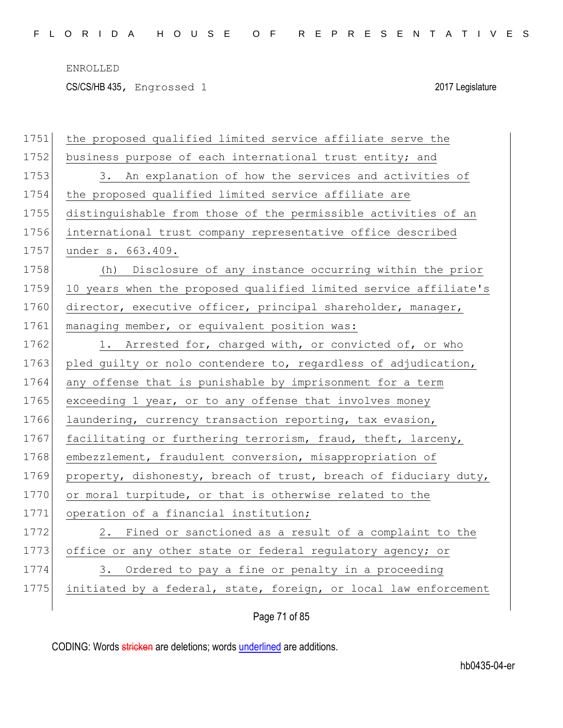CS/CS/HB 435, Engrossed 1 2017 Legislature

| 1751 | the proposed qualified limited service affiliate serve the       |
|------|------------------------------------------------------------------|
| 1752 | business purpose of each international trust entity; and         |
| 1753 | 3. An explanation of how the services and activities of          |
| 1754 | the proposed qualified limited service affiliate are             |
| 1755 | distinguishable from those of the permissible activities of an   |
| 1756 | international trust company representative office described      |
| 1757 | under s. 663.409.                                                |
| 1758 | (h) Disclosure of any instance occurring within the prior        |
| 1759 | 10 years when the proposed qualified limited service affiliate's |
| 1760 | director, executive officer, principal shareholder, manager,     |
| 1761 | managing member, or equivalent position was:                     |
| 1762 | 1. Arrested for, charged with, or convicted of, or who           |
| 1763 | pled guilty or nolo contendere to, regardless of adjudication,   |
| 1764 | any offense that is punishable by imprisonment for a term        |
| 1765 | exceeding 1 year, or to any offense that involves money          |
| 1766 | laundering, currency transaction reporting, tax evasion,         |
| 1767 | facilitating or furthering terrorism, fraud, theft, larceny,     |
| 1768 | embezzlement, fraudulent conversion, misappropriation of         |
| 1769 | property, dishonesty, breach of trust, breach of fiduciary duty, |
| 1770 | or moral turpitude, or that is otherwise related to the          |
| 1771 | operation of a financial institution;                            |
| 1772 | Fined or sanctioned as a result of a complaint to the<br>2.      |
| 1773 | office or any other state or federal regulatory agency; or       |
| 1774 | Ordered to pay a fine or penalty in a proceeding<br>3.           |
| 1775 | initiated by a federal, state, foreign, or local law enforcement |
|      |                                                                  |

Page 71 of 85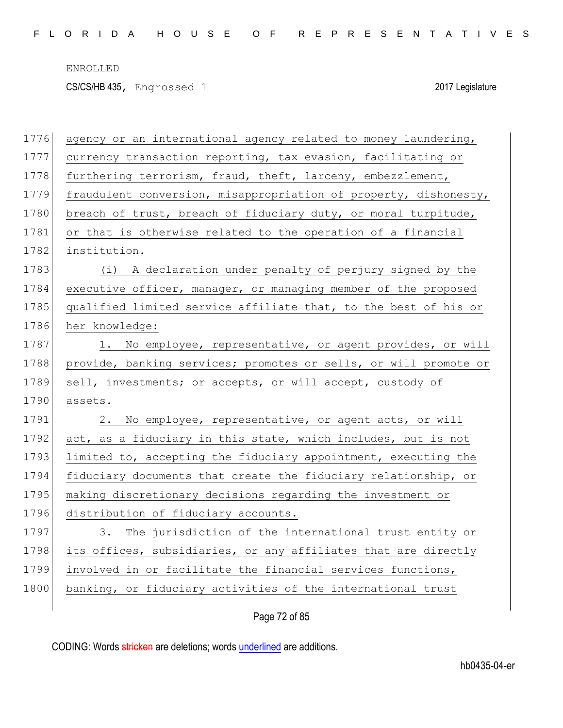CS/CS/HB 435, Engrossed 1 2017 Legislature

| 1776 | agency or an international agency related to money laundering,   |
|------|------------------------------------------------------------------|
| 1777 | currency transaction reporting, tax evasion, facilitating or     |
| 1778 | furthering terrorism, fraud, theft, larceny, embezzlement,       |
| 1779 | fraudulent conversion, misappropriation of property, dishonesty, |
| 1780 | breach of trust, breach of fiduciary duty, or moral turpitude,   |
| 1781 | or that is otherwise related to the operation of a financial     |
| 1782 | institution.                                                     |
| 1783 | (i) A declaration under penalty of perjury signed by the         |
| 1784 | executive officer, manager, or managing member of the proposed   |
| 1785 | qualified limited service affiliate that, to the best of his or  |
| 1786 | her knowledge:                                                   |
| 1787 | 1. No employee, representative, or agent provides, or will       |
| 1788 | provide, banking services; promotes or sells, or will promote or |
|      |                                                                  |
| 1789 | sell, investments; or accepts, or will accept, custody of        |
| 1790 | assets.                                                          |
| 1791 | 2. No employee, representative, or agent acts, or will           |
| 1792 | act, as a fiduciary in this state, which includes, but is not    |
| 1793 | limited to, accepting the fiduciary appointment, executing the   |
| 1794 | fiduciary documents that create the fiduciary relationship, or   |
| 1795 | making discretionary decisions regarding the investment or       |
| 1796 | distribution of fiduciary accounts.                              |
| 1797 | 3. The jurisdiction of the international trust entity or         |
| 1798 | its offices, subsidiaries, or any affiliates that are directly   |
| 1799 | involved in or facilitate the financial services functions,      |
| 1800 | banking, or fiduciary activities of the international trust      |

# Page 72 of 85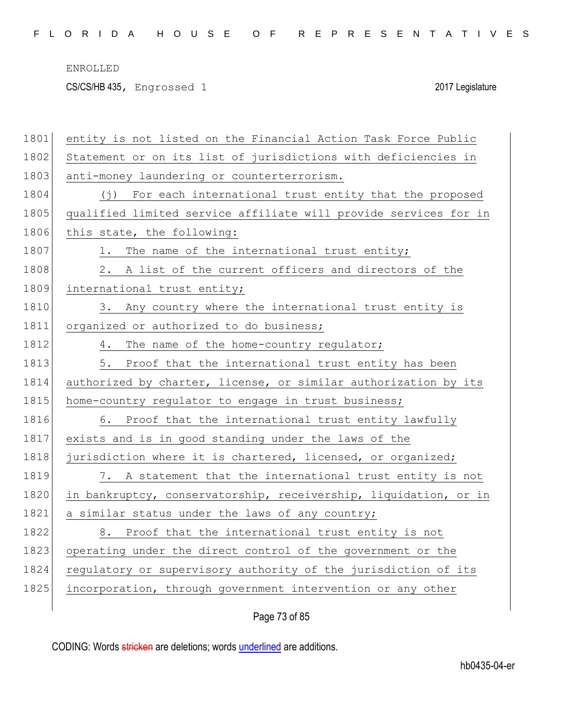CS/CS/HB 435, Engrossed 1 2017 Legislature

| 1801 | entity is not listed on the Financial Action Task Force Public   |
|------|------------------------------------------------------------------|
| 1802 | Statement or on its list of jurisdictions with deficiencies in   |
| 1803 | anti-money laundering or counterterrorism.                       |
| 1804 | (j) For each international trust entity that the proposed        |
| 1805 | qualified limited service affiliate will provide services for in |
| 1806 | this state, the following:                                       |
| 1807 | The name of the international trust entity;<br>1.                |
| 1808 | A list of the current officers and directors of the<br>2.        |
| 1809 | international trust entity;                                      |
| 1810 | 3. Any country where the international trust entity is           |
| 1811 | organized or authorized to do business;                          |
| 1812 | The name of the home-country regulator;<br>4.                    |
| 1813 | 5.<br>Proof that the international trust entity has been         |
| 1814 | authorized by charter, license, or similar authorization by its  |
| 1815 | home-country regulator to engage in trust business;              |
| 1816 | 6. Proof that the international trust entity lawfully            |
| 1817 | exists and is in good standing under the laws of the             |
| 1818 | jurisdiction where it is chartered, licensed, or organized;      |
| 1819 | 7. A statement that the international trust entity is not        |
| 1820 | in bankruptcy, conservatorship, receivership, liquidation, or in |
| 1821 | a similar status under the laws of any country;                  |
| 1822 | 8. Proof that the international trust entity is not              |
| 1823 | operating under the direct control of the government or the      |
| 1824 | regulatory or supervisory authority of the jurisdiction of its   |
| 1825 | incorporation, through government intervention or any other      |
|      |                                                                  |

Page 73 of 85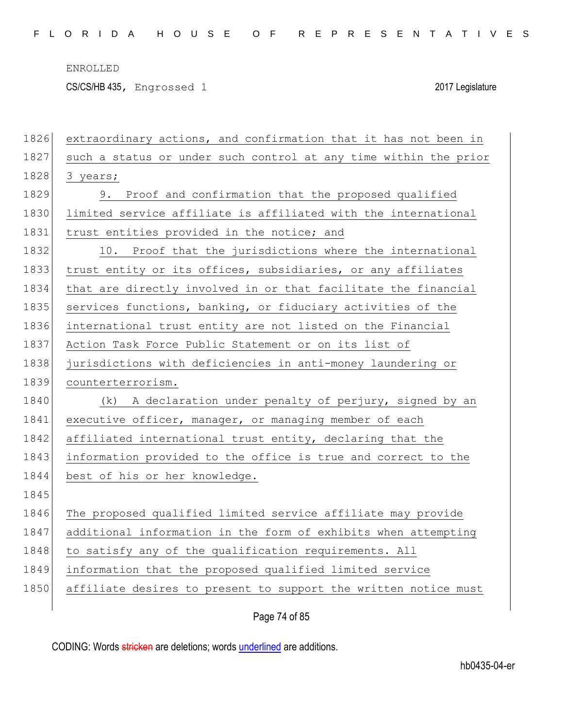CS/CS/HB 435, Engrossed 1 2017 Legislature

| 1826 | extraordinary actions, and confirmation that it has not been in  |
|------|------------------------------------------------------------------|
| 1827 | such a status or under such control at any time within the prior |
| 1828 | 3 years;                                                         |
| 1829 | 9. Proof and confirmation that the proposed qualified            |
| 1830 | limited service affiliate is affiliated with the international   |
| 1831 | trust entities provided in the notice; and                       |
| 1832 | 10. Proof that the jurisdictions where the international         |
| 1833 | trust entity or its offices, subsidiaries, or any affiliates     |
| 1834 | that are directly involved in or that facilitate the financial   |
| 1835 | services functions, banking, or fiduciary activities of the      |
| 1836 | international trust entity are not listed on the Financial       |
| 1837 | Action Task Force Public Statement or on its list of             |
| 1838 | jurisdictions with deficiencies in anti-money laundering or      |
| 1839 | counterterrorism.                                                |
| 1840 | (k) A declaration under penalty of perjury, signed by an         |
| 1841 | executive officer, manager, or managing member of each           |
| 1842 | affiliated international trust entity, declaring that the        |
| 1843 | information provided to the office is true and correct to the    |
| 1844 | best of his or her knowledge.                                    |
| 1845 |                                                                  |
| 1846 | The proposed qualified limited service affiliate may provide     |
| 1847 | additional information in the form of exhibits when attempting   |
| 1848 | to satisfy any of the qualification requirements. All            |
| 1849 | information that the proposed qualified limited service          |
| 1850 | affiliate desires to present to support the written notice must  |
|      |                                                                  |
|      | Page 74 of 85                                                    |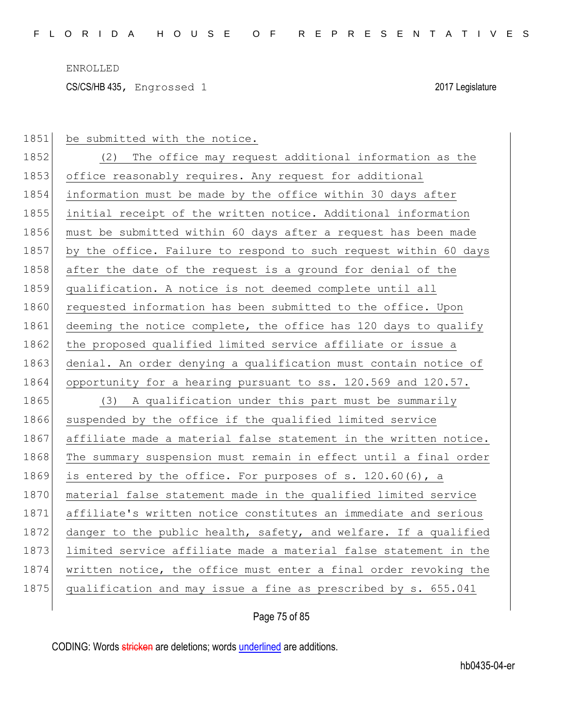$\overline{\phantom{a}}$ 

CS/CS/HB 435, Engrossed 1 2017 Legislature

| 1851 | be submitted with the notice.                                    |
|------|------------------------------------------------------------------|
| 1852 | (2) The office may request additional information as the         |
| 1853 | office reasonably requires. Any request for additional           |
| 1854 | information must be made by the office within 30 days after      |
| 1855 | initial receipt of the written notice. Additional information    |
| 1856 | must be submitted within 60 days after a request has been made   |
| 1857 | by the office. Failure to respond to such request within 60 days |
| 1858 | after the date of the request is a ground for denial of the      |
| 1859 | qualification. A notice is not deemed complete until all         |
| 1860 | requested information has been submitted to the office. Upon     |
| 1861 | deeming the notice complete, the office has 120 days to qualify  |
| 1862 | the proposed qualified limited service affiliate or issue a      |
| 1863 | denial. An order denying a qualification must contain notice of  |
| 1864 | opportunity for a hearing pursuant to ss. 120.569 and 120.57.    |
| 1865 | (3) A qualification under this part must be summarily            |
| 1866 | suspended by the office if the qualified limited service         |
| 1867 | affiliate made a material false statement in the written notice. |
| 1868 | The summary suspension must remain in effect until a final order |
| 1869 | is entered by the office. For purposes of s. 120.60(6), a        |
| 1870 | material false statement made in the qualified limited service   |
| 1871 | affiliate's written notice constitutes an immediate and serious  |
| 1872 | danger to the public health, safety, and welfare. If a qualified |
| 1873 | limited service affiliate made a material false statement in the |
| 1874 | written notice, the office must enter a final order revoking the |
| 1875 | qualification and may issue a fine as prescribed by s. 655.041   |

Page 75 of 85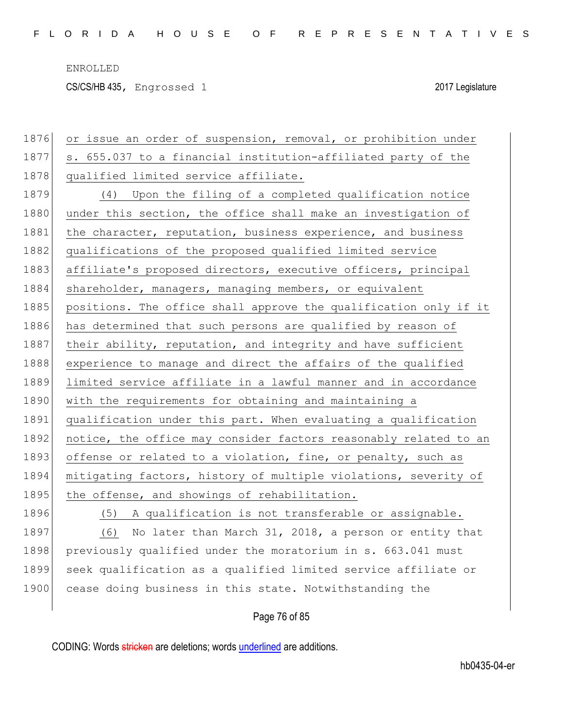CS/CS/HB 435, Engrossed 1 2017 Legislature

| 1876 | or issue an order of suspension, removal, or prohibition under   |
|------|------------------------------------------------------------------|
| 1877 | s. 655.037 to a financial institution-affiliated party of the    |
| 1878 | qualified limited service affiliate.                             |
| 1879 | (4) Upon the filing of a completed qualification notice          |
| 1880 | under this section, the office shall make an investigation of    |
| 1881 | the character, reputation, business experience, and business     |
| 1882 | qualifications of the proposed qualified limited service         |
| 1883 | affiliate's proposed directors, executive officers, principal    |
| 1884 | shareholder, managers, managing members, or equivalent           |
| 1885 | positions. The office shall approve the qualification only if it |
| 1886 | has determined that such persons are qualified by reason of      |
| 1887 | their ability, reputation, and integrity and have sufficient     |
| 1888 | experience to manage and direct the affairs of the qualified     |
| 1889 | limited service affiliate in a lawful manner and in accordance   |
| 1890 | with the requirements for obtaining and maintaining a            |
| 1891 | qualification under this part. When evaluating a qualification   |
| 1892 | notice, the office may consider factors reasonably related to an |
| 1893 | offense or related to a violation, fine, or penalty, such as     |
| 1894 | mitigating factors, history of multiple violations, severity of  |
| 1895 | the offense, and showings of rehabilitation.                     |
| 1896 | (5) A qualification is not transferable or assignable.           |
| 1897 | No later than March 31, 2018, a person or entity that<br>(6)     |
| 1898 | previously qualified under the moratorium in s. 663.041 must     |
| 1899 | seek qualification as a qualified limited service affiliate or   |
| 1900 | cease doing business in this state. Notwithstanding the          |
|      |                                                                  |

Page 76 of 85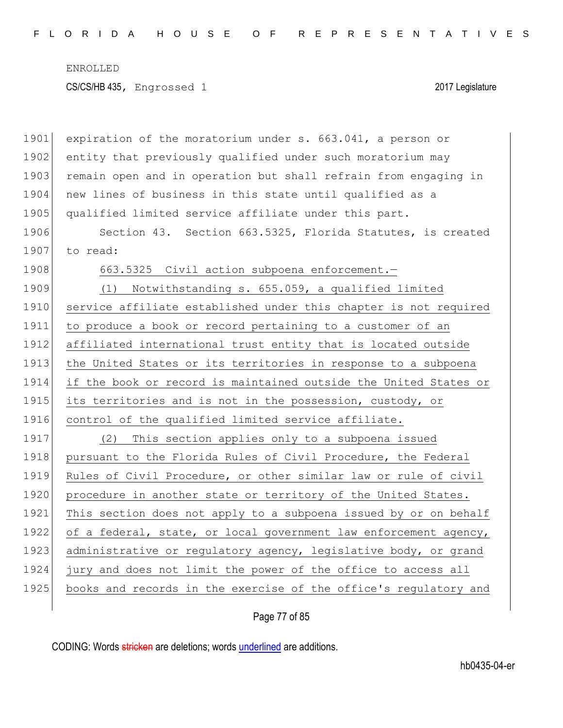ENROLLED CS/CS/HB 435, Engrossed 1 2017 Legislature

| 1901 | expiration of the moratorium under s. 663.041, a person or       |
|------|------------------------------------------------------------------|
| 1902 | entity that previously qualified under such moratorium may       |
| 1903 | remain open and in operation but shall refrain from engaging in  |
| 1904 | new lines of business in this state until qualified as a         |
| 1905 | qualified limited service affiliate under this part.             |
| 1906 | Section 43. Section 663.5325, Florida Statutes, is created       |
| 1907 | to read:                                                         |
| 1908 | 663.5325 Civil action subpoena enforcement.-                     |
| 1909 | Notwithstanding s. 655.059, a qualified limited<br>(1)           |
| 1910 | service affiliate established under this chapter is not required |
| 1911 | to produce a book or record pertaining to a customer of an       |
| 1912 | affiliated international trust entity that is located outside    |
| 1913 | the United States or its territories in response to a subpoena   |
| 1914 | if the book or record is maintained outside the United States or |
| 1915 | its territories and is not in the possession, custody, or        |
| 1916 | control of the qualified limited service affiliate.              |
| 1917 | (2) This section applies only to a subpoena issued               |
| 1918 | pursuant to the Florida Rules of Civil Procedure, the Federal    |
| 1919 | Rules of Civil Procedure, or other similar law or rule of civil  |
| 1920 | procedure in another state or territory of the United States.    |
| 1921 | This section does not apply to a subpoena issued by or on behalf |
| 1922 | of a federal, state, or local government law enforcement agency, |
| 1923 | administrative or regulatory agency, legislative body, or grand  |
| 1924 | jury and does not limit the power of the office to access all    |
| 1925 | books and records in the exercise of the office's regulatory and |
|      |                                                                  |

Page 77 of 85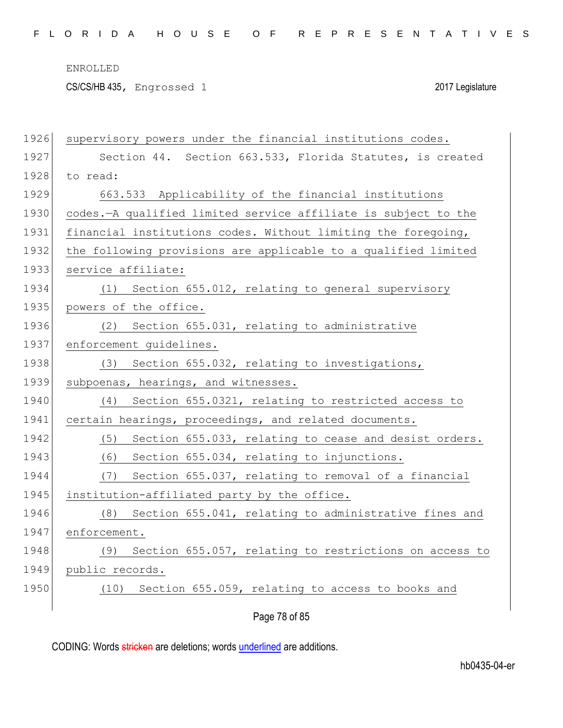CS/CS/HB 435, Engrossed 1 2017 Legislature

| 1926 | supervisory powers under the financial institutions codes.     |
|------|----------------------------------------------------------------|
| 1927 | Section 44. Section 663.533, Florida Statutes, is created      |
| 1928 | to read:                                                       |
| 1929 | 663.533 Applicability of the financial institutions            |
| 1930 | codes.-A qualified limited service affiliate is subject to the |
| 1931 | financial institutions codes. Without limiting the foregoing,  |
| 1932 | the following provisions are applicable to a qualified limited |
| 1933 | service affiliate:                                             |
| 1934 | Section 655.012, relating to general supervisory<br>(1)        |
| 1935 | powers of the office.                                          |
| 1936 | Section 655.031, relating to administrative<br>(2)             |
| 1937 | enforcement guidelines.                                        |
| 1938 | Section 655.032, relating to investigations,<br>(3)            |
| 1939 | subpoenas, hearings, and witnesses.                            |
| 1940 | Section 655.0321, relating to restricted access to<br>(4)      |
| 1941 | certain hearings, proceedings, and related documents.          |
| 1942 | Section 655.033, relating to cease and desist orders.<br>(5)   |
| 1943 | Section 655.034, relating to injunctions.<br>(6)               |
| 1944 | Section 655.037, relating to removal of a financial<br>(7)     |
| 1945 | institution-affiliated party by the office.                    |
| 1946 | Section 655.041, relating to administrative fines and<br>(8)   |
| 1947 | enforcement.                                                   |
| 1948 | Section 655.057, relating to restrictions on access to<br>(9)  |
| 1949 | public records.                                                |
| 1950 | (10) Section 655.059, relating to access to books and          |
|      |                                                                |

Page 78 of 85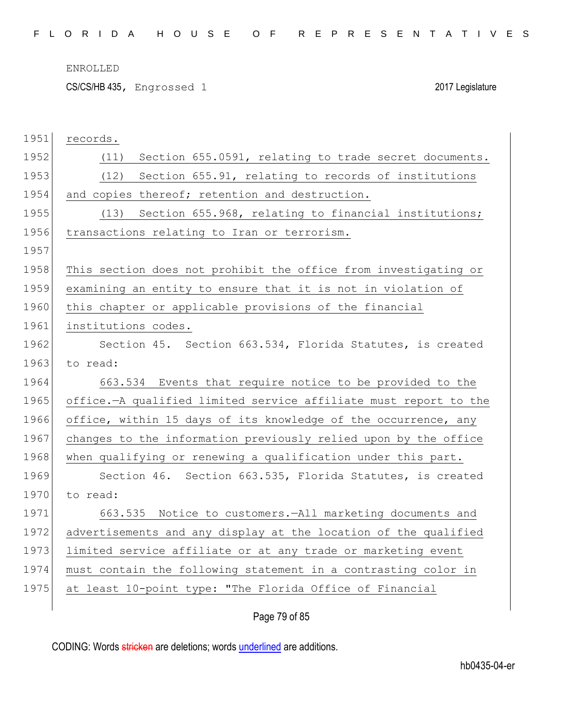CS/CS/HB 435, Engrossed 1 2017 Legislature

| 1951 | records.                                                         |
|------|------------------------------------------------------------------|
| 1952 | Section 655.0591, relating to trade secret documents.<br>(11)    |
| 1953 | (12)<br>Section 655.91, relating to records of institutions      |
| 1954 | and copies thereof; retention and destruction.                   |
| 1955 | (13) Section 655.968, relating to financial institutions;        |
| 1956 | transactions relating to Iran or terrorism.                      |
| 1957 |                                                                  |
| 1958 | This section does not prohibit the office from investigating or  |
| 1959 | examining an entity to ensure that it is not in violation of     |
| 1960 | this chapter or applicable provisions of the financial           |
| 1961 | institutions codes.                                              |
| 1962 | Section 45. Section 663.534, Florida Statutes, is created        |
| 1963 | to read:                                                         |
| 1964 | 663.534 Events that require notice to be provided to the         |
| 1965 | office.-A qualified limited service affiliate must report to the |
| 1966 | office, within 15 days of its knowledge of the occurrence, any   |
| 1967 | changes to the information previously relied upon by the office  |
| 1968 | when qualifying or renewing a qualification under this part.     |
| 1969 | Section 46. Section 663.535, Florida Statutes, is created        |
| 1970 | to read:                                                         |
| 1971 | 663.535 Notice to customers.-All marketing documents and         |
|      |                                                                  |
| 1972 | advertisements and any display at the location of the qualified  |
| 1973 | limited service affiliate or at any trade or marketing event     |
| 1974 | must contain the following statement in a contrasting color in   |
| 1975 | at least 10-point type: "The Florida Office of Financial         |

# Page 79 of 85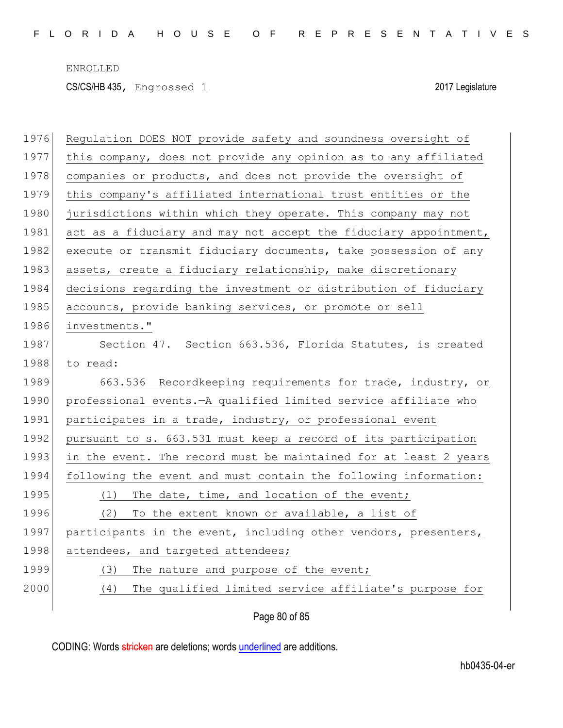CS/CS/HB 435, Engrossed 1 2017 Legislature

| 1976 | Regulation DOES NOT provide safety and soundness oversight of    |
|------|------------------------------------------------------------------|
| 1977 | this company, does not provide any opinion as to any affiliated  |
| 1978 | companies or products, and does not provide the oversight of     |
| 1979 | this company's affiliated international trust entities or the    |
| 1980 | jurisdictions within which they operate. This company may not    |
| 1981 | act as a fiduciary and may not accept the fiduciary appointment, |
| 1982 | execute or transmit fiduciary documents, take possession of any  |
| 1983 | assets, create a fiduciary relationship, make discretionary      |
| 1984 | decisions regarding the investment or distribution of fiduciary  |
| 1985 | accounts, provide banking services, or promote or sell           |
| 1986 | investments."                                                    |
| 1987 | Section 47. Section 663.536, Florida Statutes, is created        |
| 1988 | to read:                                                         |
| 1989 | 663.536 Recordkeeping requirements for trade, industry, or       |
| 1990 | professional events. - A qualified limited service affiliate who |
| 1991 | participates in a trade, industry, or professional event         |
| 1992 | pursuant to s. 663.531 must keep a record of its participation   |
| 1993 | in the event. The record must be maintained for at least 2 years |
| 1994 | following the event and must contain the following information:  |
| 1995 | The date, time, and location of the event;<br>(1)                |
| 1996 | To the extent known or available, a list of<br>(2)               |
| 1997 | participants in the event, including other vendors, presenters,  |
| 1998 | attendees, and targeted attendees;                               |
| 1999 | (3)<br>The nature and purpose of the event;                      |
| 2000 | The qualified limited service affiliate's purpose for<br>(4)     |
|      |                                                                  |

Page 80 of 85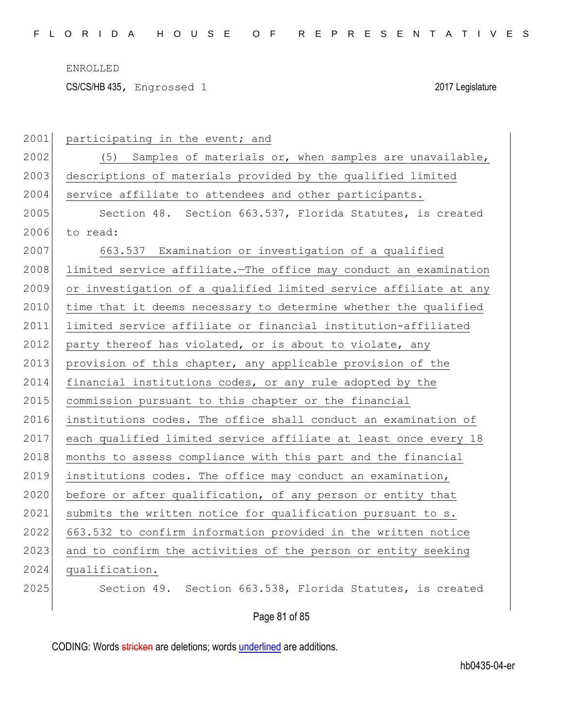CS/CS/HB 435, Engrossed 1 2017 Legislature

| 2001 | participating in the event; and                                  |
|------|------------------------------------------------------------------|
| 2002 | Samples of materials or, when samples are unavailable,<br>(5)    |
| 2003 | descriptions of materials provided by the qualified limited      |
| 2004 | service affiliate to attendees and other participants.           |
| 2005 | Section 48. Section 663.537, Florida Statutes, is created        |
| 2006 | to read:                                                         |
| 2007 | 663.537 Examination or investigation of a qualified              |
| 2008 | limited service affiliate. The office may conduct an examination |
| 2009 | or investigation of a qualified limited service affiliate at any |
| 2010 | time that it deems necessary to determine whether the qualified  |
| 2011 | limited service affiliate or financial institution-affiliated    |
| 2012 | party thereof has violated, or is about to violate, any          |
| 2013 | provision of this chapter, any applicable provision of the       |
| 2014 | financial institutions codes, or any rule adopted by the         |
| 2015 | commission pursuant to this chapter or the financial             |
| 2016 | institutions codes. The office shall conduct an examination of   |
| 2017 | each qualified limited service affiliate at least once every 18  |
| 2018 | months to assess compliance with this part and the financial     |
| 2019 | institutions codes. The office may conduct an examination,       |
| 2020 | before or after qualification, of any person or entity that      |
| 2021 | submits the written notice for qualification pursuant to s.      |
| 2022 | 663.532 to confirm information provided in the written notice    |
| 2023 | and to confirm the activities of the person or entity seeking    |
| 2024 | qualification.                                                   |
| 2025 | Section 663.538, Florida Statutes, is created<br>Section 49.     |
|      | Page 81 of 85                                                    |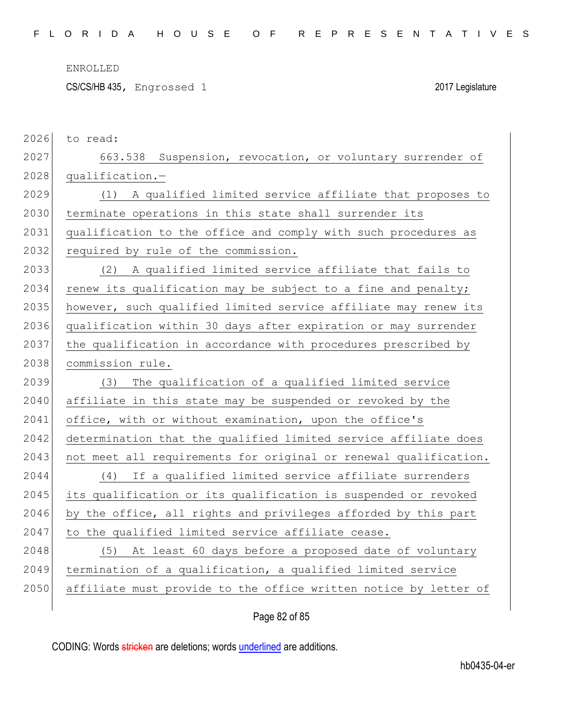CS/CS/HB 435, Engrossed 1 2017 Legislature

| 2026 | to read:                                                         |
|------|------------------------------------------------------------------|
| 2027 | 663.538 Suspension, revocation, or voluntary surrender of        |
| 2028 | qualification.-                                                  |
| 2029 | (1) A qualified limited service affiliate that proposes to       |
| 2030 | terminate operations in this state shall surrender its           |
| 2031 | qualification to the office and comply with such procedures as   |
| 2032 | required by rule of the commission.                              |
| 2033 | A qualified limited service affiliate that fails to<br>(2)       |
| 2034 | renew its qualification may be subject to a fine and penalty;    |
| 2035 | however, such qualified limited service affiliate may renew its  |
| 2036 | qualification within 30 days after expiration or may surrender   |
| 2037 | the qualification in accordance with procedures prescribed by    |
| 2038 | commission rule.                                                 |
|      |                                                                  |
| 2039 | The qualification of a qualified limited service<br>(3)          |
| 2040 | affiliate in this state may be suspended or revoked by the       |
| 2041 | office, with or without examination, upon the office's           |
| 2042 | determination that the qualified limited service affiliate does  |
| 2043 | not meet all requirements for original or renewal qualification. |
| 2044 | If a qualified limited service affiliate surrenders<br>(4)       |
| 2045 | its qualification or its qualification is suspended or revoked   |
| 2046 | by the office, all rights and privileges afforded by this part   |
| 2047 | to the qualified limited service affiliate cease.                |
| 2048 | At least 60 days before a proposed date of voluntary<br>(5)      |
| 2049 | termination of a qualification, a qualified limited service      |
| 2050 | affiliate must provide to the office written notice by letter of |

Page 82 of 85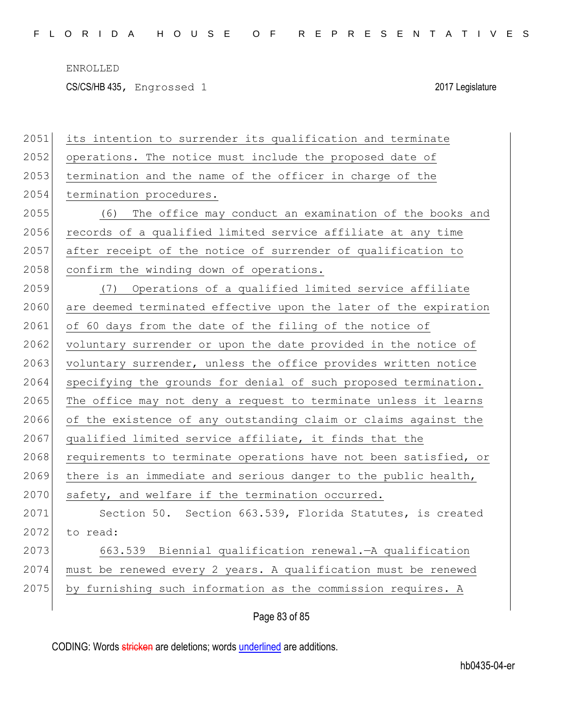CS/CS/HB 435, Engrossed 1 2017 Legislature

| 2051 | its intention to surrender its qualification and terminate       |
|------|------------------------------------------------------------------|
| 2052 | operations. The notice must include the proposed date of         |
| 2053 | termination and the name of the officer in charge of the         |
| 2054 | termination procedures.                                          |
| 2055 | The office may conduct an examination of the books and<br>(6)    |
| 2056 | records of a qualified limited service affiliate at any time     |
| 2057 | after receipt of the notice of surrender of qualification to     |
| 2058 | confirm the winding down of operations.                          |
| 2059 | Operations of a qualified limited service affiliate<br>(7)       |
| 2060 | are deemed terminated effective upon the later of the expiration |
| 2061 | of 60 days from the date of the filing of the notice of          |
| 2062 | voluntary surrender or upon the date provided in the notice of   |
| 2063 | voluntary surrender, unless the office provides written notice   |
| 2064 | specifying the grounds for denial of such proposed termination.  |
| 2065 | The office may not deny a request to terminate unless it learns  |
| 2066 | of the existence of any outstanding claim or claims against the  |
| 2067 | qualified limited service affiliate, it finds that the           |
| 2068 | requirements to terminate operations have not been satisfied, or |
| 2069 | there is an immediate and serious danger to the public health,   |
| 2070 | safety, and welfare if the termination occurred.                 |
| 2071 | Section 50. Section 663.539, Florida Statutes, is created        |
| 2072 | to read:                                                         |
| 2073 | 663.539 Biennial qualification renewal. - A qualification        |
| 2074 | must be renewed every 2 years. A qualification must be renewed   |
| 2075 | by furnishing such information as the commission requires. A     |
|      |                                                                  |

Page 83 of 85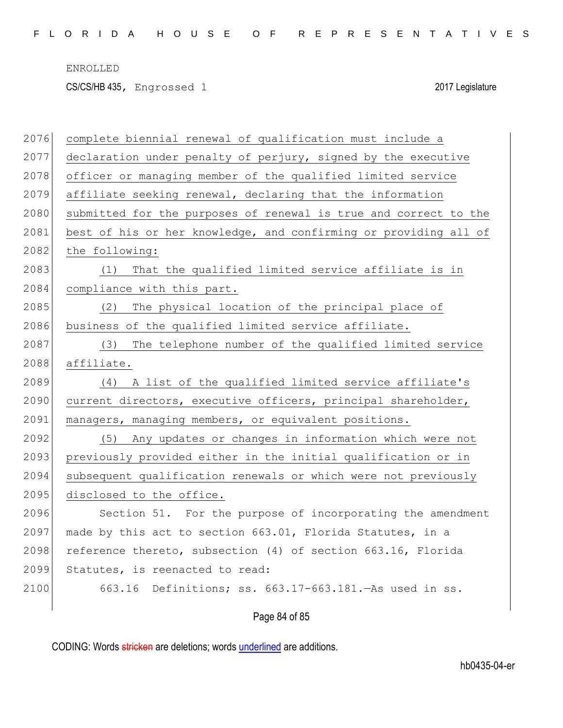CS/CS/HB 435, Engrossed 1 2017 Legislature

| 2076 | complete biennial renewal of qualification must include a        |
|------|------------------------------------------------------------------|
| 2077 | declaration under penalty of perjury, signed by the executive    |
| 2078 | officer or managing member of the qualified limited service      |
| 2079 | affiliate seeking renewal, declaring that the information        |
| 2080 | submitted for the purposes of renewal is true and correct to the |
| 2081 | best of his or her knowledge, and confirming or providing all of |
| 2082 | the following:                                                   |
| 2083 | That the qualified limited service affiliate is in<br>(1)        |
| 2084 | compliance with this part.                                       |
| 2085 | The physical location of the principal place of<br>(2)           |
| 2086 | business of the qualified limited service affiliate.             |
| 2087 | The telephone number of the qualified limited service<br>(3)     |
| 2088 | affiliate.                                                       |
| 2089 | (4) A list of the qualified limited service affiliate's          |
| 2090 | current directors, executive officers, principal shareholder,    |
| 2091 | managers, managing members, or equivalent positions.             |
| 2092 | Any updates or changes in information which were not<br>(5)      |
| 2093 | previously provided either in the initial qualification or in    |
| 2094 | subsequent qualification renewals or which were not previously   |
| 2095 | disclosed to the office.                                         |
| 2096 | Section 51. For the purpose of incorporating the amendment       |
| 2097 | made by this act to section 663.01, Florida Statutes, in a       |
| 2098 | reference thereto, subsection (4) of section 663.16, Florida     |
| 2099 | Statutes, is reenacted to read:                                  |
| 2100 | 663.16 Definitions; ss. 663.17-663.181. - As used in ss.         |
|      |                                                                  |

Page 84 of 85